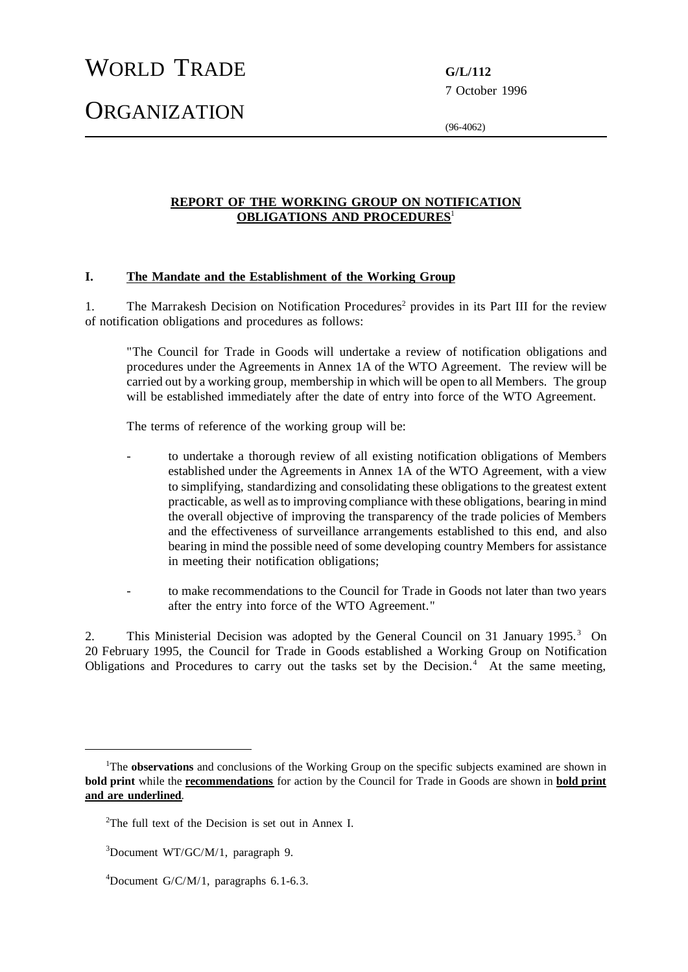# WORLD TRADE **G/L/112**

**ORGANIZATION** 

7 October 1996

(96-4062)

## **REPORT OF THE WORKING GROUP ON NOTIFICATION OBLIGATIONS AND PROCEDURES**<sup>1</sup>

#### **I. The Mandate and the Establishment of the Working Group**

1. The Marrakesh Decision on Notification Procedures<sup>2</sup> provides in its Part III for the review of notification obligations and procedures as follows:

"The Council for Trade in Goods will undertake a review of notification obligations and procedures under the Agreements in Annex 1A of the WTO Agreement. The review will be carried out by a working group, membership in which will be open to all Members. The group will be established immediately after the date of entry into force of the WTO Agreement.

The terms of reference of the working group will be:

- to undertake a thorough review of all existing notification obligations of Members established under the Agreements in Annex 1A of the WTO Agreement, with a view to simplifying, standardizing and consolidating these obligations to the greatest extent practicable, as well asto improving compliance with these obligations, bearing in mind the overall objective of improving the transparency of the trade policies of Members and the effectiveness of surveillance arrangements established to this end, and also bearing in mind the possible need of some developing country Members for assistance in meeting their notification obligations;
- to make recommendations to the Council for Trade in Goods not later than two years after the entry into force of the WTO Agreement."

2. This Ministerial Decision was adopted by the General Council on 31 January 1995.<sup>3</sup> On 20 February 1995, the Council for Trade in Goods established a Working Group on Notification Obligations and Procedures to carry out the tasks set by the Decision.<sup>4</sup> At the same meeting,

<sup>&</sup>lt;sup>1</sup>The **observations** and conclusions of the Working Group on the specific subjects examined are shown in **bold print** while the **recommendations** for action by the Council for Trade in Goods are shown in **bold print and are underlined**.

 $2$ The full text of the Decision is set out in Annex I.

<sup>3</sup>Document WT/GC/M/1, paragraph 9.

 $^{4}$ Document G/C/M/1, paragraphs 6.1-6.3.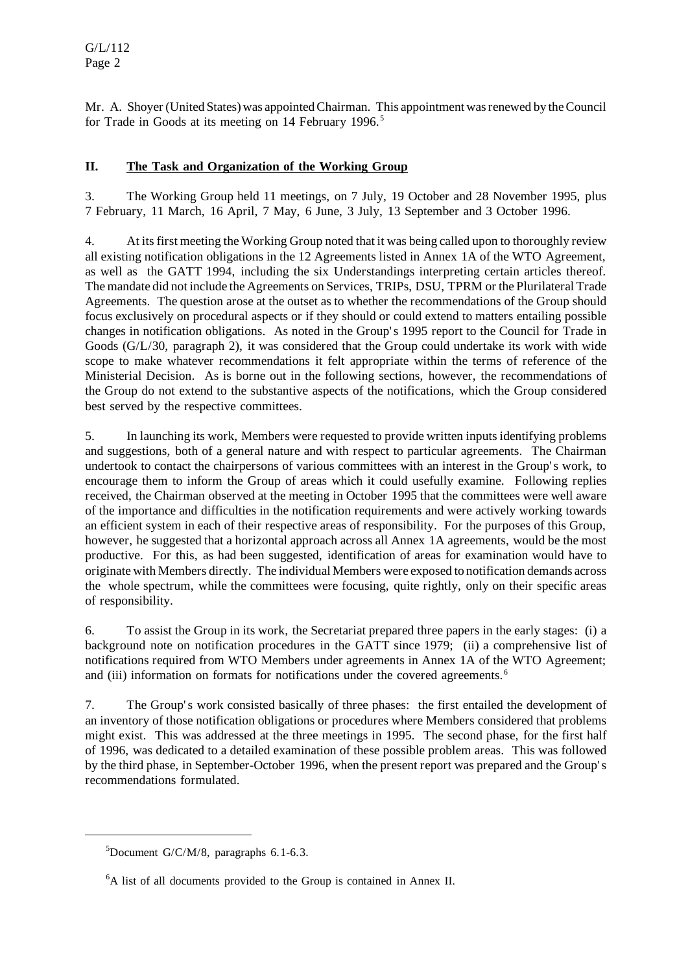Mr. A. Shoyer (United States) was appointed Chairman. This appointment was renewed by the Council for Trade in Goods at its meeting on 14 February 1996.<sup>5</sup>

# **II. The Task and Organization of the Working Group**

3. The Working Group held 11 meetings, on 7 July, 19 October and 28 November 1995, plus 7 February, 11 March, 16 April, 7 May, 6 June, 3 July, 13 September and 3 October 1996.

4. At itsfirst meeting the Working Group noted that it was being called upon to thoroughly review all existing notification obligations in the 12 Agreements listed in Annex 1A of the WTO Agreement, as well as the GATT 1994, including the six Understandings interpreting certain articles thereof. The mandate did not include the Agreements on Services, TRIPs, DSU, TPRM orthe Plurilateral Trade Agreements. The question arose at the outset as to whether the recommendations of the Group should focus exclusively on procedural aspects or if they should or could extend to matters entailing possible changes in notification obligations. As noted in the Group's 1995 report to the Council for Trade in Goods (G/L/30, paragraph 2), it was considered that the Group could undertake its work with wide scope to make whatever recommendations it felt appropriate within the terms of reference of the Ministerial Decision. As is borne out in the following sections, however, the recommendations of the Group do not extend to the substantive aspects of the notifications, which the Group considered best served by the respective committees.

5. In launching its work, Members were requested to provide written inputsidentifying problems and suggestions, both of a general nature and with respect to particular agreements. The Chairman undertook to contact the chairpersons of various committees with an interest in the Group's work, to encourage them to inform the Group of areas which it could usefully examine. Following replies received, the Chairman observed at the meeting in October 1995 that the committees were well aware of the importance and difficulties in the notification requirements and were actively working towards an efficient system in each of their respective areas of responsibility. For the purposes of this Group, however, he suggested that a horizontal approach across all Annex 1A agreements, would be the most productive. For this, as had been suggested, identification of areas for examination would have to originate with Members directly. The individual Members were exposed to notification demands across the whole spectrum, while the committees were focusing, quite rightly, only on their specific areas of responsibility.

6. To assist the Group in its work, the Secretariat prepared three papers in the early stages: (i) a background note on notification procedures in the GATT since 1979; (ii) a comprehensive list of notifications required from WTO Members under agreements in Annex 1A of the WTO Agreement; and (iii) information on formats for notifications under the covered agreements.<sup>6</sup>

7. The Group's work consisted basically of three phases: the first entailed the development of an inventory of those notification obligations or procedures where Members considered that problems might exist. This was addressed at the three meetings in 1995. The second phase, for the first half of 1996, was dedicated to a detailed examination of these possible problem areas. This was followed by the third phase, in September-October 1996, when the present report was prepared and the Group's recommendations formulated.

 $5$ Document G/C/M/8, paragraphs 6.1-6.3.

<sup>6</sup>A list of all documents provided to the Group is contained in Annex II.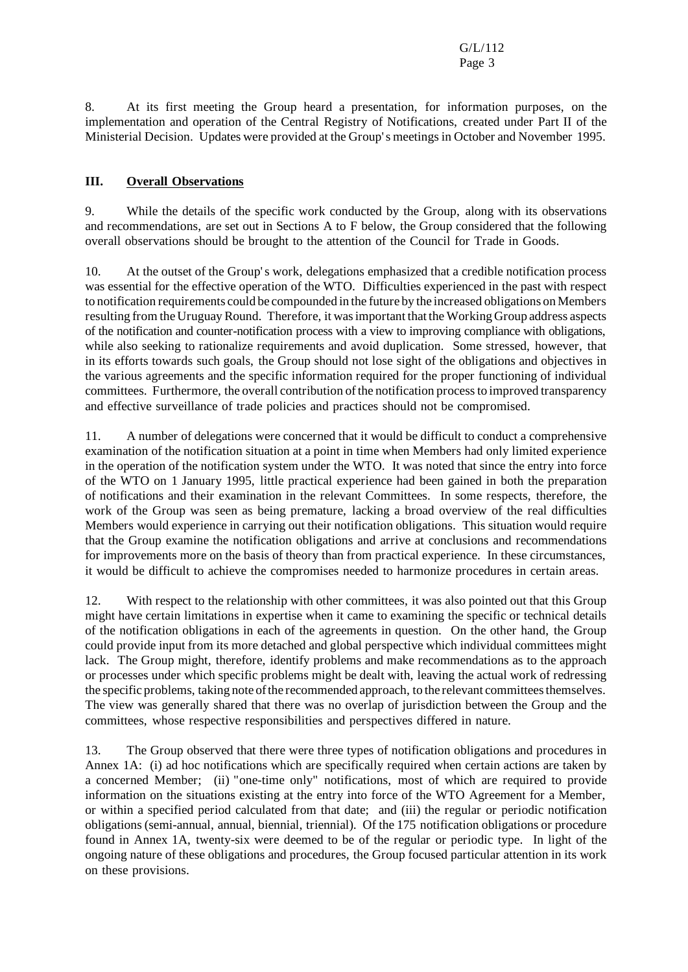8. At its first meeting the Group heard a presentation, for information purposes, on the implementation and operation of the Central Registry of Notifications, created under Part II of the Ministerial Decision. Updates were provided at the Group's meetingsin October and November 1995.

## **III. Overall Observations**

9. While the details of the specific work conducted by the Group, along with its observations and recommendations, are set out in Sections A to F below, the Group considered that the following overall observations should be brought to the attention of the Council for Trade in Goods.

10. At the outset of the Group's work, delegations emphasized that a credible notification process was essential for the effective operation of the WTO. Difficulties experienced in the past with respect to notification requirements could be compounded in the future by the increased obligations on Members resulting from the Uruguay Round. Therefore, it was important that the Working Group address aspects of the notification and counter-notification process with a view to improving compliance with obligations, while also seeking to rationalize requirements and avoid duplication. Some stressed, however, that in its efforts towards such goals, the Group should not lose sight of the obligations and objectives in the various agreements and the specific information required for the proper functioning of individual committees. Furthermore, the overall contribution of the notification process to improved transparency and effective surveillance of trade policies and practices should not be compromised.

11. A number of delegations were concerned that it would be difficult to conduct a comprehensive examination of the notification situation at a point in time when Members had only limited experience in the operation of the notification system under the WTO. It was noted that since the entry into force of the WTO on 1 January 1995, little practical experience had been gained in both the preparation of notifications and their examination in the relevant Committees. In some respects, therefore, the work of the Group was seen as being premature, lacking a broad overview of the real difficulties Members would experience in carrying out their notification obligations. This situation would require that the Group examine the notification obligations and arrive at conclusions and recommendations for improvements more on the basis of theory than from practical experience. In these circumstances, it would be difficult to achieve the compromises needed to harmonize procedures in certain areas.

12. With respect to the relationship with other committees, it was also pointed out that this Group might have certain limitations in expertise when it came to examining the specific or technical details of the notification obligations in each of the agreements in question. On the other hand, the Group could provide input from its more detached and global perspective which individual committees might lack. The Group might, therefore, identify problems and make recommendations as to the approach or processes under which specific problems might be dealt with, leaving the actual work of redressing the specific problems, taking note of the recommended approach, to the relevant committees themselves. The view was generally shared that there was no overlap of jurisdiction between the Group and the committees, whose respective responsibilities and perspectives differed in nature.

13. The Group observed that there were three types of notification obligations and procedures in Annex 1A: (i) ad hoc notifications which are specifically required when certain actions are taken by a concerned Member; (ii) "one-time only" notifications, most of which are required to provide information on the situations existing at the entry into force of the WTO Agreement for a Member, or within a specified period calculated from that date; and (iii) the regular or periodic notification obligations(semi-annual, annual, biennial, triennial). Of the 175 notification obligations or procedure found in Annex 1A, twenty-six were deemed to be of the regular or periodic type. In light of the ongoing nature of these obligations and procedures, the Group focused particular attention in its work on these provisions.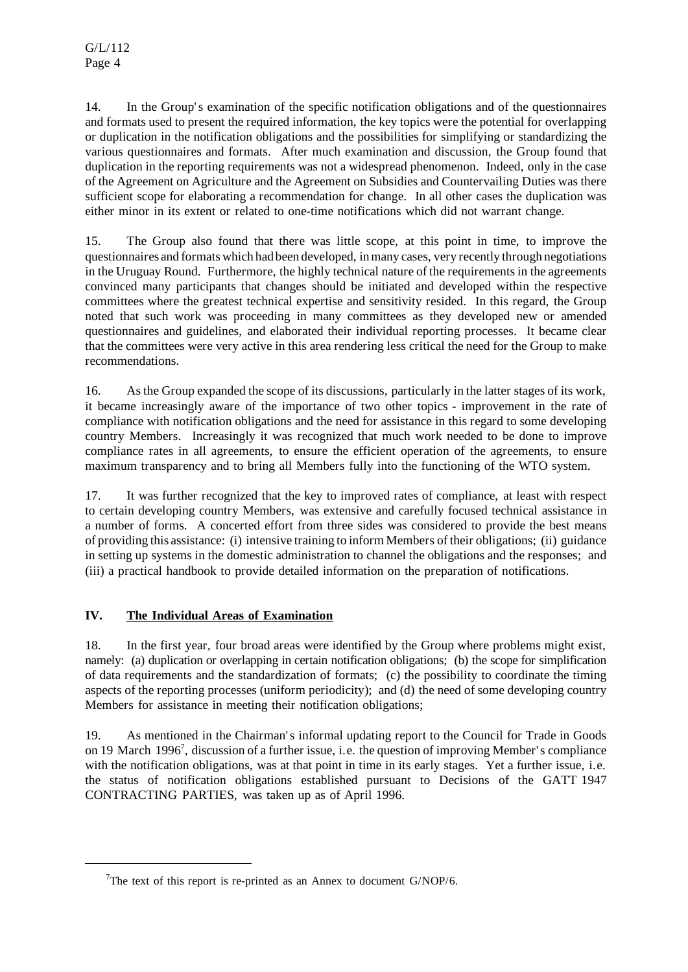14. In the Group's examination of the specific notification obligations and of the questionnaires and formats used to present the required information, the key topics were the potential for overlapping or duplication in the notification obligations and the possibilities for simplifying or standardizing the various questionnaires and formats. After much examination and discussion, the Group found that duplication in the reporting requirements was not a widespread phenomenon. Indeed, only in the case of the Agreement on Agriculture and the Agreement on Subsidies and Countervailing Duties was there sufficient scope for elaborating a recommendation for change. In all other cases the duplication was either minor in its extent or related to one-time notifications which did not warrant change.

15. The Group also found that there was little scope, at this point in time, to improve the questionnaires and formats which had been developed, in many cases, very recently through negotiations in the Uruguay Round. Furthermore, the highly technical nature of the requirements in the agreements convinced many participants that changes should be initiated and developed within the respective committees where the greatest technical expertise and sensitivity resided. In this regard, the Group noted that such work was proceeding in many committees as they developed new or amended questionnaires and guidelines, and elaborated their individual reporting processes. It became clear that the committees were very active in this area rendering less critical the need for the Group to make recommendations.

16. Asthe Group expanded the scope of its discussions, particularly in the latter stages of its work, it became increasingly aware of the importance of two other topics - improvement in the rate of compliance with notification obligations and the need for assistance in this regard to some developing country Members. Increasingly it was recognized that much work needed to be done to improve compliance rates in all agreements, to ensure the efficient operation of the agreements, to ensure maximum transparency and to bring all Members fully into the functioning of the WTO system.

17. It was further recognized that the key to improved rates of compliance, at least with respect to certain developing country Members, was extensive and carefully focused technical assistance in a number of forms. A concerted effort from three sides was considered to provide the best means of providing this assistance: (i) intensive training to inform Members of their obligations; (ii) guidance in setting up systems in the domestic administration to channel the obligations and the responses; and (iii) a practical handbook to provide detailed information on the preparation of notifications.

# **IV. The Individual Areas of Examination**

18. In the first year, four broad areas were identified by the Group where problems might exist, namely: (a) duplication or overlapping in certain notification obligations; (b) the scope for simplification of data requirements and the standardization of formats; (c) the possibility to coordinate the timing aspects of the reporting processes (uniform periodicity); and (d) the need of some developing country Members for assistance in meeting their notification obligations;

19. As mentioned in the Chairman's informal updating report to the Council for Trade in Goods on 19 March 1996<sup>7</sup> , discussion of a further issue, i.e. the question of improving Member's compliance with the notification obligations, was at that point in time in its early stages. Yet a further issue, i.e. the status of notification obligations established pursuant to Decisions of the GATT 1947 CONTRACTING PARTIES, was taken up as of April 1996.

<sup>&</sup>lt;sup>7</sup>The text of this report is re-printed as an Annex to document  $G/NOP/6$ .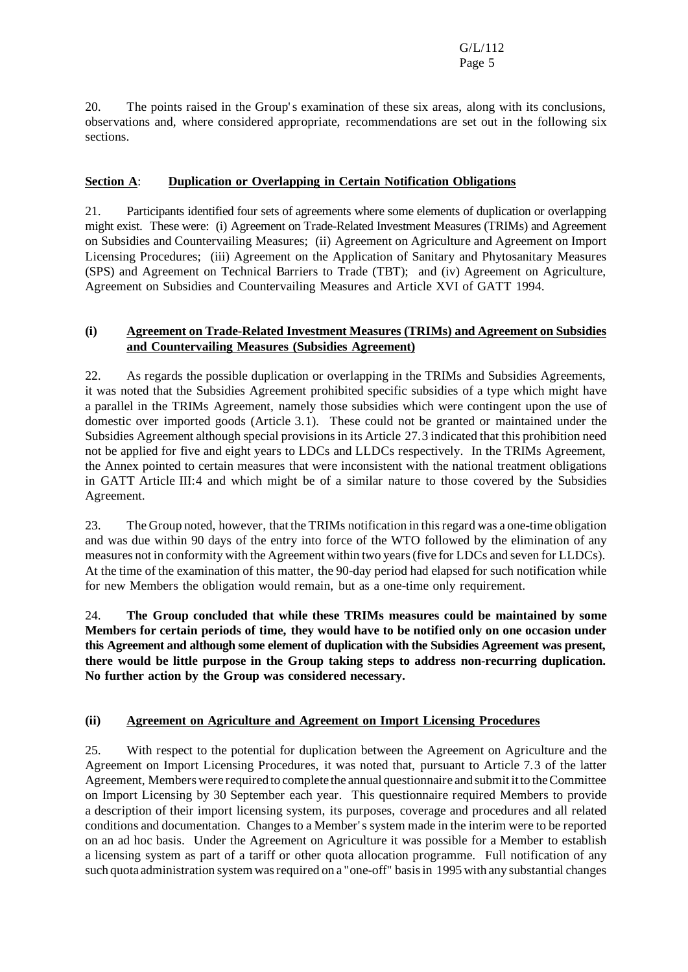20. The points raised in the Group's examination of these six areas, along with its conclusions, observations and, where considered appropriate, recommendations are set out in the following six sections.

## **Section A**: **Duplication or Overlapping in Certain Notification Obligations**

21. Participants identified four sets of agreements where some elements of duplication or overlapping might exist. These were: (i) Agreement on Trade-Related Investment Measures (TRIMs) and Agreement on Subsidies and Countervailing Measures; (ii) Agreement on Agriculture and Agreement on Import Licensing Procedures; (iii) Agreement on the Application of Sanitary and Phytosanitary Measures (SPS) and Agreement on Technical Barriers to Trade (TBT); and (iv) Agreement on Agriculture, Agreement on Subsidies and Countervailing Measures and Article XVI of GATT 1994.

## **(i) Agreement on Trade-Related Investment Measures (TRIMs) and Agreement on Subsidies and Countervailing Measures (Subsidies Agreement)**

22. As regards the possible duplication or overlapping in the TRIMs and Subsidies Agreements, it was noted that the Subsidies Agreement prohibited specific subsidies of a type which might have a parallel in the TRIMs Agreement, namely those subsidies which were contingent upon the use of domestic over imported goods (Article 3.1). These could not be granted or maintained under the Subsidies Agreement although special provisions in its Article 27.3 indicated that this prohibition need not be applied for five and eight years to LDCs and LLDCs respectively. In the TRIMs Agreement, the Annex pointed to certain measures that were inconsistent with the national treatment obligations in GATT Article III:4 and which might be of a similar nature to those covered by the Subsidies Agreement.

23. The Group noted, however, that the TRIMs notification in thisregard was a one-time obligation and was due within 90 days of the entry into force of the WTO followed by the elimination of any measures not in conformity with the Agreement within two years(five for LDCs and seven for LLDCs). At the time of the examination of this matter, the 90-day period had elapsed for such notification while for new Members the obligation would remain, but as a one-time only requirement.

24. **The Group concluded that while these TRIMs measures could be maintained by some Members for certain periods of time, they would have to be notified only on one occasion under this Agreement and although some element of duplication with the Subsidies Agreement was present, there would be little purpose in the Group taking steps to address non-recurring duplication. No further action by the Group was considered necessary.**

## **(ii) Agreement on Agriculture and Agreement on Import Licensing Procedures**

25. With respect to the potential for duplication between the Agreement on Agriculture and the Agreement on Import Licensing Procedures, it was noted that, pursuant to Article 7.3 of the latter Agreement, Members were required to complete the annual questionnaire and submit itto theCommittee on Import Licensing by 30 September each year. This questionnaire required Members to provide a description of their import licensing system, its purposes, coverage and procedures and all related conditions and documentation. Changes to a Member's system made in the interim were to be reported on an ad hoc basis. Under the Agreement on Agriculture it was possible for a Member to establish a licensing system as part of a tariff or other quota allocation programme. Full notification of any such quota administration system was required on a "one-off" basis in 1995 with any substantial changes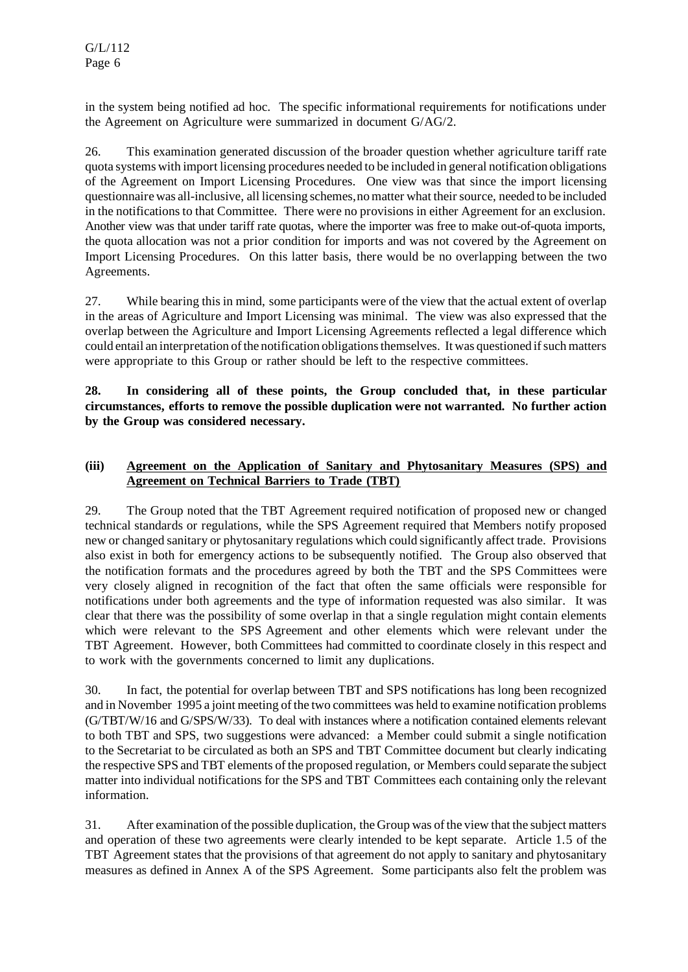in the system being notified ad hoc. The specific informational requirements for notifications under the Agreement on Agriculture were summarized in document G/AG/2.

26. This examination generated discussion of the broader question whether agriculture tariff rate quota systems with import licensing procedures needed to be included in general notification obligations of the Agreement on Import Licensing Procedures. One view was that since the import licensing questionnaire was all-inclusive, all licensing schemes, no matter what their source, needed to be included in the notifications to that Committee. There were no provisions in either Agreement for an exclusion. Another view was that under tariff rate quotas, where the importer was free to make out-of-quota imports, the quota allocation was not a prior condition for imports and was not covered by the Agreement on Import Licensing Procedures. On this latter basis, there would be no overlapping between the two Agreements.

27. While bearing thisin mind, some participants were of the view that the actual extent of overlap in the areas of Agriculture and Import Licensing was minimal. The view was also expressed that the overlap between the Agriculture and Import Licensing Agreements reflected a legal difference which could entail an interpretation of the notification obligations themselves. It was questioned if such matters were appropriate to this Group or rather should be left to the respective committees.

**28. In considering all of these points, the Group concluded that, in these particular circumstances, efforts to remove the possible duplication were not warranted. No further action by the Group was considered necessary.**

## **(iii) Agreement on the Application of Sanitary and Phytosanitary Measures (SPS) and Agreement on Technical Barriers to Trade (TBT)**

29. The Group noted that the TBT Agreement required notification of proposed new or changed technical standards or regulations, while the SPS Agreement required that Members notify proposed new or changed sanitary or phytosanitary regulations which could significantly affect trade. Provisions also exist in both for emergency actions to be subsequently notified. The Group also observed that the notification formats and the procedures agreed by both the TBT and the SPS Committees were very closely aligned in recognition of the fact that often the same officials were responsible for notifications under both agreements and the type of information requested was also similar. It was clear that there was the possibility of some overlap in that a single regulation might contain elements which were relevant to the SPS Agreement and other elements which were relevant under the TBT Agreement. However, both Committees had committed to coordinate closely in this respect and to work with the governments concerned to limit any duplications.

30. In fact, the potential for overlap between TBT and SPS notifications has long been recognized and in November 1995 a joint meeting of the two committees was held to examine notification problems (G/TBT/W/16 and G/SPS/W/33). To deal with instances where a notification contained elements relevant to both TBT and SPS, two suggestions were advanced: a Member could submit a single notification to the Secretariat to be circulated as both an SPS and TBT Committee document but clearly indicating the respective SPS and TBT elements of the proposed regulation, or Members could separate the subject matter into individual notifications for the SPS and TBT Committees each containing only the relevant information.

31. After examination of the possible duplication, the Group was ofthe view that the subject matters and operation of these two agreements were clearly intended to be kept separate. Article 1.5 of the TBT Agreement states that the provisions of that agreement do not apply to sanitary and phytosanitary measures as defined in Annex A of the SPS Agreement. Some participants also felt the problem was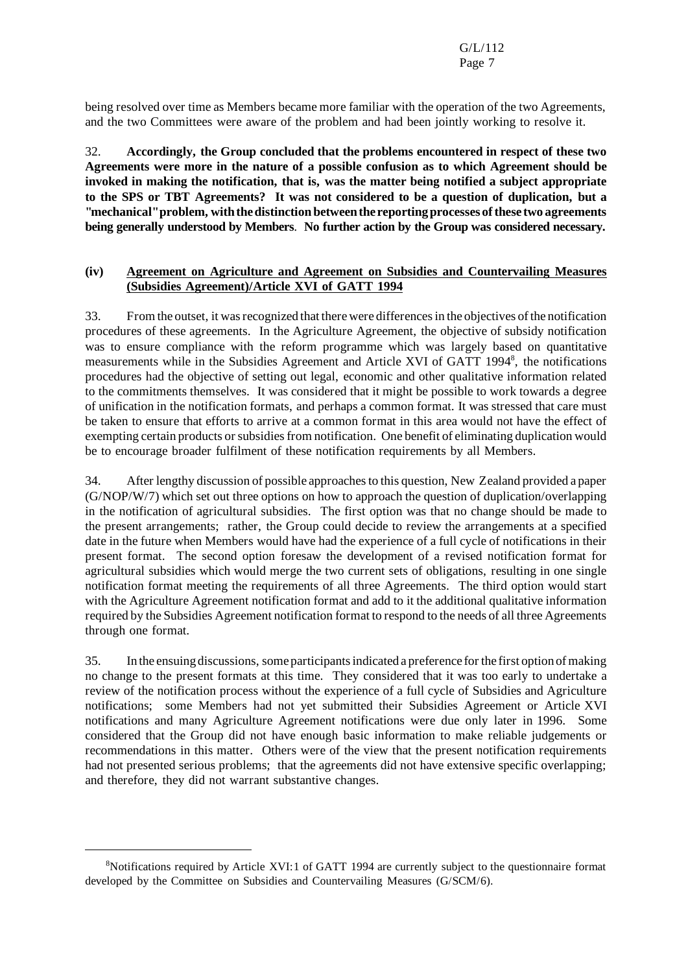being resolved over time as Members became more familiar with the operation of the two Agreements, and the two Committees were aware of the problem and had been jointly working to resolve it.

32. **Accordingly, the Group concluded that the problems encountered in respect of these two Agreements were more in the nature of a possible confusion as to which Agreement should be invoked in making the notification, that is, was the matter being notified a subject appropriate to the SPS or TBT Agreements? It was not considered to be a question of duplication, but a "mechanical"problem,withthedistinction betweenthe reportingprocesses ofthese two agreements being generally understood by Members**. **No further action by the Group was considered necessary.**

#### **(iv) Agreement on Agriculture and Agreement on Subsidies and Countervailing Measures (Subsidies Agreement)/Article XVI of GATT 1994**

33. Fromthe outset,it wasrecognized that there were differencesin the objectives ofthe notification procedures of these agreements. In the Agriculture Agreement, the objective of subsidy notification was to ensure compliance with the reform programme which was largely based on quantitative measurements while in the Subsidies Agreement and Article XVI of GATT 1994<sup>8</sup>, the notifications procedures had the objective of setting out legal, economic and other qualitative information related to the commitments themselves. It was considered that it might be possible to work towards a degree of unification in the notification formats, and perhaps a common format. It was stressed that care must be taken to ensure that efforts to arrive at a common format in this area would not have the effect of exempting certain products or subsidies from notification. One benefit of eliminating duplication would be to encourage broader fulfilment of these notification requirements by all Members.

34. Afterlengthy discussion of possible approachesto this question, New Zealand provided a paper (G/NOP/W/7) which set out three options on how to approach the question of duplication/overlapping in the notification of agricultural subsidies. The first option was that no change should be made to the present arrangements; rather, the Group could decide to review the arrangements at a specified date in the future when Members would have had the experience of a full cycle of notifications in their present format. The second option foresaw the development of a revised notification format for agricultural subsidies which would merge the two current sets of obligations, resulting in one single notification format meeting the requirements of all three Agreements. The third option would start with the Agriculture Agreement notification format and add to it the additional qualitative information required by the Subsidies Agreement notification format to respond to the needs of all three Agreements through one format.

35. In the ensuing discussions, some participants indicated a preference for the first option of making no change to the present formats at this time. They considered that it was too early to undertake a review of the notification process without the experience of a full cycle of Subsidies and Agriculture notifications; some Members had not yet submitted their Subsidies Agreement or Article XVI notifications and many Agriculture Agreement notifications were due only later in 1996. Some considered that the Group did not have enough basic information to make reliable judgements or recommendations in this matter. Others were of the view that the present notification requirements had not presented serious problems; that the agreements did not have extensive specific overlapping; and therefore, they did not warrant substantive changes.

<sup>8</sup>Notifications required by Article XVI:1 of GATT 1994 are currently subject to the questionnaire format developed by the Committee on Subsidies and Countervailing Measures (G/SCM/6).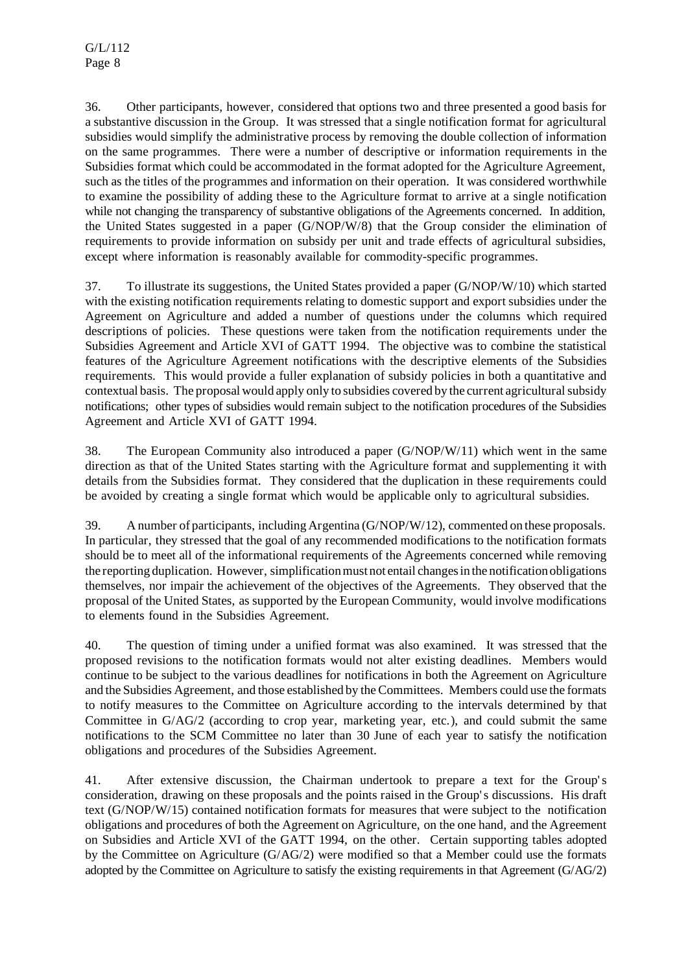36. Other participants, however, considered that options two and three presented a good basis for a substantive discussion in the Group. It was stressed that a single notification format for agricultural subsidies would simplify the administrative process by removing the double collection of information on the same programmes. There were a number of descriptive or information requirements in the Subsidies format which could be accommodated in the format adopted for the Agriculture Agreement, such as the titles of the programmes and information on their operation. It was considered worthwhile to examine the possibility of adding these to the Agriculture format to arrive at a single notification while not changing the transparency of substantive obligations of the Agreements concerned. In addition, the United States suggested in a paper (G/NOP/W/8) that the Group consider the elimination of requirements to provide information on subsidy per unit and trade effects of agricultural subsidies, except where information is reasonably available for commodity-specific programmes.

37. To illustrate its suggestions, the United States provided a paper (G/NOP/W/10) which started with the existing notification requirements relating to domestic support and export subsidies under the Agreement on Agriculture and added a number of questions under the columns which required descriptions of policies. These questions were taken from the notification requirements under the Subsidies Agreement and Article XVI of GATT 1994. The objective was to combine the statistical features of the Agriculture Agreement notifications with the descriptive elements of the Subsidies requirements. This would provide a fuller explanation of subsidy policies in both a quantitative and contextual basis. The proposal would apply only to subsidies covered by the current agriculturalsubsidy notifications; other types of subsidies would remain subject to the notification procedures of the Subsidies Agreement and Article XVI of GATT 1994.

38. The European Community also introduced a paper (G/NOP/W/11) which went in the same direction as that of the United States starting with the Agriculture format and supplementing it with details from the Subsidies format. They considered that the duplication in these requirements could be avoided by creating a single format which would be applicable only to agricultural subsidies.

39. A number of participants, including Argentina (G/NOP/W/12), commented on these proposals. In particular, they stressed that the goal of any recommended modifications to the notification formats should be to meet all of the informational requirements of the Agreements concerned while removing the reporting duplication. However, simplification must not entail changes in the notification obligations themselves, nor impair the achievement of the objectives of the Agreements. They observed that the proposal of the United States, as supported by the European Community, would involve modifications to elements found in the Subsidies Agreement.

40. The question of timing under a unified format was also examined. It was stressed that the proposed revisions to the notification formats would not alter existing deadlines. Members would continue to be subject to the various deadlines for notifications in both the Agreement on Agriculture and the Subsidies Agreement, and those established by the Committees. Members could use the formats to notify measures to the Committee on Agriculture according to the intervals determined by that Committee in G/AG/2 (according to crop year, marketing year, etc.), and could submit the same notifications to the SCM Committee no later than 30 June of each year to satisfy the notification obligations and procedures of the Subsidies Agreement.

41. After extensive discussion, the Chairman undertook to prepare a text for the Group's consideration, drawing on these proposals and the points raised in the Group's discussions. His draft text (G/NOP/W/15) contained notification formats for measures that were subject to the notification obligations and procedures of both the Agreement on Agriculture, on the one hand, and the Agreement on Subsidies and Article XVI of the GATT 1994, on the other. Certain supporting tables adopted by the Committee on Agriculture (G/AG/2) were modified so that a Member could use the formats adopted by the Committee on Agriculture to satisfy the existing requirements in that Agreement (G/AG/2)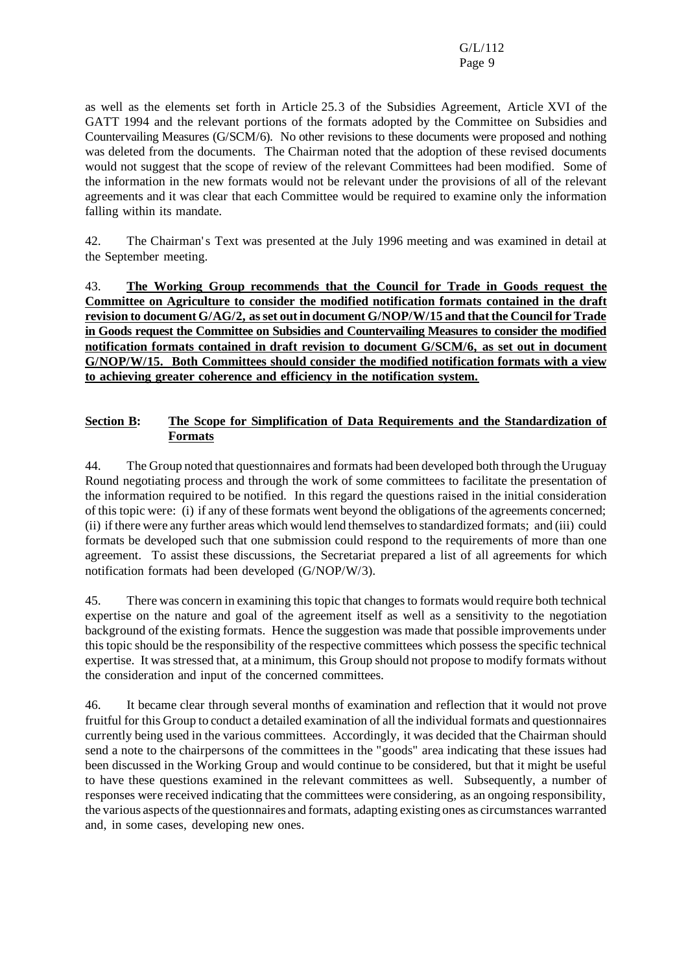as well as the elements set forth in Article 25.3 of the Subsidies Agreement, Article XVI of the GATT 1994 and the relevant portions of the formats adopted by the Committee on Subsidies and Countervailing Measures (G/SCM/6). No other revisions to these documents were proposed and nothing was deleted from the documents. The Chairman noted that the adoption of these revised documents would not suggest that the scope of review of the relevant Committees had been modified. Some of the information in the new formats would not be relevant under the provisions of all of the relevant agreements and it was clear that each Committee would be required to examine only the information falling within its mandate.

42. The Chairman's Text was presented at the July 1996 meeting and was examined in detail at the September meeting.

43. **The Working Group recommends that the Council for Trade in Goods request the Committee on Agriculture to consider the modified notification formats contained in the draft revision to document G/AG/2, asset out in document G/NOP/W/15 and that the Council for Trade in Goods request the Committee on Subsidies and Countervailing Measures to consider the modified notification formats contained in draft revision to document G/SCM/6, as set out in document G/NOP/W/15. Both Committees should consider the modified notification formats with a view to achieving greater coherence and efficiency in the notification system.**

#### **Section B: The Scope for Simplification of Data Requirements and the Standardization of Formats**

44. The Group noted that questionnaires and formats had been developed both through the Uruguay Round negotiating process and through the work of some committees to facilitate the presentation of the information required to be notified. In this regard the questions raised in the initial consideration of this topic were: (i) if any of these formats went beyond the obligations of the agreements concerned; (ii) if there were any further areas which would lend themselvesto standardized formats; and (iii) could formats be developed such that one submission could respond to the requirements of more than one agreement. To assist these discussions, the Secretariat prepared a list of all agreements for which notification formats had been developed (G/NOP/W/3).

45. There was concern in examining thistopic that changes to formats would require both technical expertise on the nature and goal of the agreement itself as well as a sensitivity to the negotiation background of the existing formats. Hence the suggestion was made that possible improvements under this topic should be the responsibility of the respective committees which possess the specific technical expertise. It wasstressed that, at a minimum, this Group should not propose to modify formats without the consideration and input of the concerned committees.

46. It became clear through several months of examination and reflection that it would not prove fruitful for this Group to conduct a detailed examination of all the individual formats and questionnaires currently being used in the various committees. Accordingly, it was decided that the Chairman should send a note to the chairpersons of the committees in the "goods" area indicating that these issues had been discussed in the Working Group and would continue to be considered, but that it might be useful to have these questions examined in the relevant committees as well. Subsequently, a number of responses were received indicating that the committees were considering, as an ongoing responsibility, the various aspects ofthe questionnaires and formats, adapting existing ones as circumstances warranted and, in some cases, developing new ones.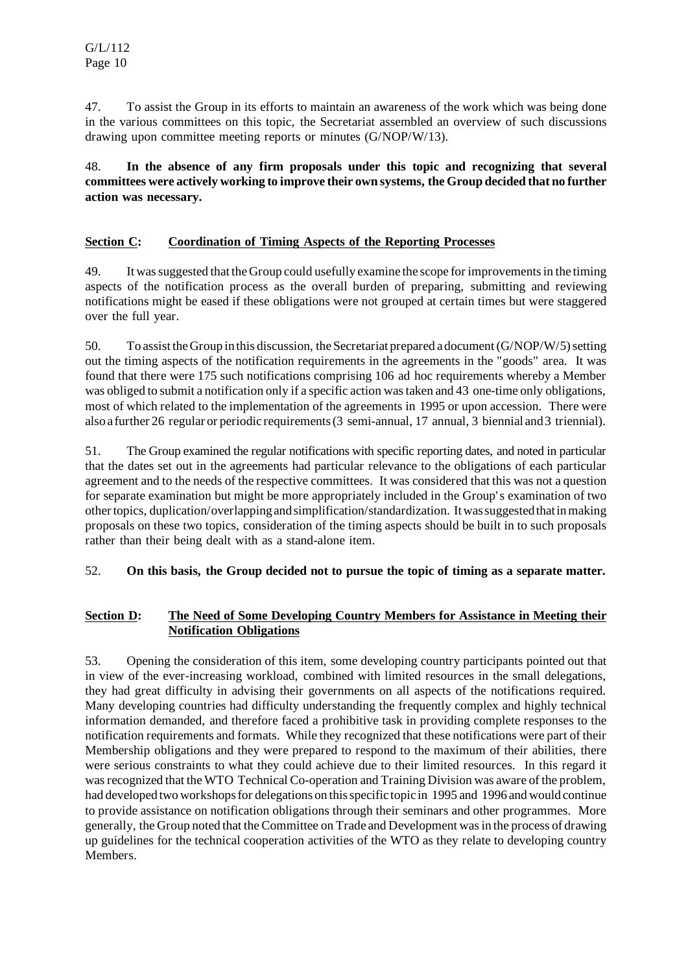47. To assist the Group in its efforts to maintain an awareness of the work which was being done in the various committees on this topic, the Secretariat assembled an overview of such discussions drawing upon committee meeting reports or minutes (G/NOP/W/13).

48. **In the absence of any firm proposals under this topic and recognizing that several committees were actively working to improve their own systems, the Group decided that no further action was necessary.**

## **Section C: Coordination of Timing Aspects of the Reporting Processes**

49. It wassuggested that the Group could usefully examine the scope forimprovementsin the timing aspects of the notification process as the overall burden of preparing, submitting and reviewing notifications might be eased if these obligations were not grouped at certain times but were staggered over the full year.

50. To assist the Group in this discussion, the Secretariat prepared a document  $(G/NOP/W/5)$  setting out the timing aspects of the notification requirements in the agreements in the "goods" area. It was found that there were 175 such notifications comprising 106 ad hoc requirements whereby a Member was obliged to submit a notification only if a specific action wastaken and 43 one-time only obligations, most of which related to the implementation of the agreements in 1995 or upon accession. There were also a further 26 regularor periodic requirements(3 semi-annual, 17 annual, 3 biennial and3 triennial).

51. The Group examined the regular notifications with specific reporting dates, and noted in particular that the dates set out in the agreements had particular relevance to the obligations of each particular agreement and to the needs of the respective committees. It was considered that this was not a question for separate examination but might be more appropriately included in the Group's examination of two othertopics, duplication/overlappingandsimplification/standardization. Itwassuggestedthatinmaking proposals on these two topics, consideration of the timing aspects should be built in to such proposals rather than their being dealt with as a stand-alone item.

## 52. **On this basis, the Group decided not to pursue the topic of timing as a separate matter.**

## **Section D: The Need of Some Developing Country Members for Assistance in Meeting their Notification Obligations**

53. Opening the consideration of this item, some developing country participants pointed out that in view of the ever-increasing workload, combined with limited resources in the small delegations, they had great difficulty in advising their governments on all aspects of the notifications required. Many developing countries had difficulty understanding the frequently complex and highly technical information demanded, and therefore faced a prohibitive task in providing complete responses to the notification requirements and formats. While they recognized that these notifications were part of their Membership obligations and they were prepared to respond to the maximum of their abilities, there were serious constraints to what they could achieve due to their limited resources. In this regard it was recognized that the WTO Technical Co-operation and Training Division was aware of the problem, had developed two workshops for delegations on this specific topic in 1995 and 1996 and would continue to provide assistance on notification obligations through their seminars and other programmes. More generally, the Group noted that the Committee on Trade and Development wasin the process of drawing up guidelines for the technical cooperation activities of the WTO as they relate to developing country Members.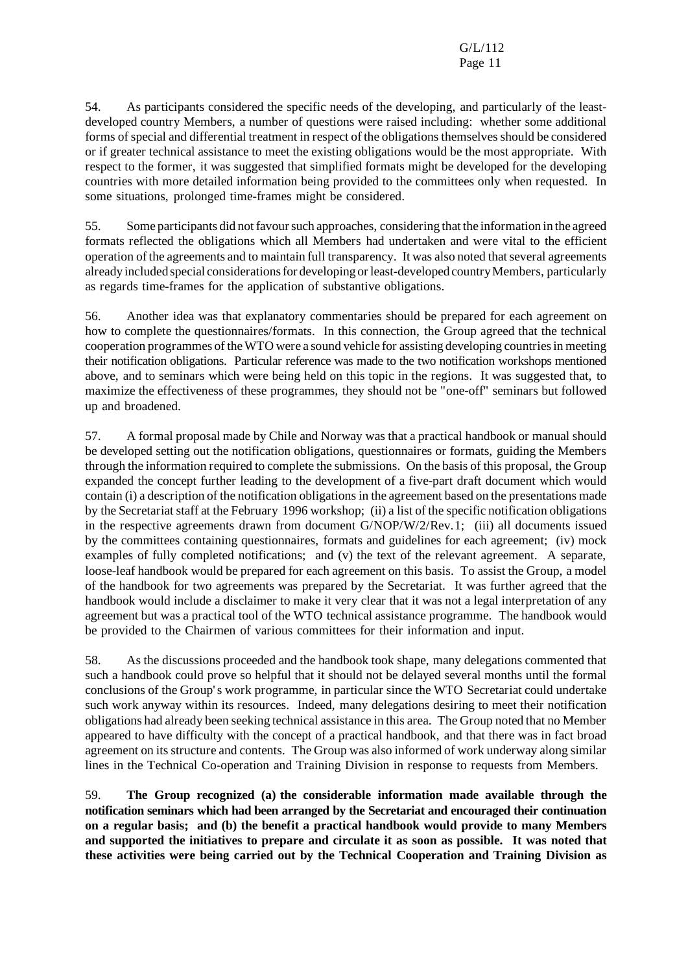54. As participants considered the specific needs of the developing, and particularly of the leastdeveloped country Members, a number of questions were raised including: whether some additional forms of special and differential treatment in respect of the obligations themselves should be considered or if greater technical assistance to meet the existing obligations would be the most appropriate. With respect to the former, it was suggested that simplified formats might be developed for the developing countries with more detailed information being provided to the committees only when requested. In some situations, prolonged time-frames might be considered.

55. Some participants did not favour such approaches, considering that the information in the agreed formats reflected the obligations which all Members had undertaken and were vital to the efficient operation of the agreements and to maintain full transparency. It was also noted thatseveral agreements already included special considerations for developing or least-developed country Members, particularly as regards time-frames for the application of substantive obligations.

56. Another idea was that explanatory commentaries should be prepared for each agreement on how to complete the questionnaires/formats. In this connection, the Group agreed that the technical cooperation programmes of theWTO were a sound vehicle for assisting developing countriesin meeting their notification obligations. Particular reference was made to the two notification workshops mentioned above, and to seminars which were being held on this topic in the regions. It was suggested that, to maximize the effectiveness of these programmes, they should not be "one-off" seminars but followed up and broadened.

57. A formal proposal made by Chile and Norway was that a practical handbook or manual should be developed setting out the notification obligations, questionnaires or formats, guiding the Members through the information required to complete the submissions. On the basis of this proposal, the Group expanded the concept further leading to the development of a five-part draft document which would contain (i) a description of the notification obligations in the agreement based on the presentations made by the Secretariat staff at the February 1996 workshop; (ii) a list of the specific notification obligations in the respective agreements drawn from document G/NOP/W/2/Rev.1; (iii) all documents issued by the committees containing questionnaires, formats and guidelines for each agreement; (iv) mock examples of fully completed notifications; and (v) the text of the relevant agreement. A separate, loose-leaf handbook would be prepared for each agreement on this basis. To assist the Group, a model of the handbook for two agreements was prepared by the Secretariat. It was further agreed that the handbook would include a disclaimer to make it very clear that it was not a legal interpretation of any agreement but was a practical tool of the WTO technical assistance programme. The handbook would be provided to the Chairmen of various committees for their information and input.

58. As the discussions proceeded and the handbook took shape, many delegations commented that such a handbook could prove so helpful that it should not be delayed several months until the formal conclusions of the Group's work programme, in particular since the WTO Secretariat could undertake such work anyway within its resources. Indeed, many delegations desiring to meet their notification obligations had already been seeking technical assistance in this area. The Group noted that no Member appeared to have difficulty with the concept of a practical handbook, and that there was in fact broad agreement on its structure and contents. The Group was also informed of work underway along similar lines in the Technical Co-operation and Training Division in response to requests from Members.

59. **The Group recognized (a) the considerable information made available through the notification seminars which had been arranged by the Secretariat and encouraged their continuation on a regular basis; and (b) the benefit a practical handbook would provide to many Members and supported the initiatives to prepare and circulate it as soon as possible. It was noted that these activities were being carried out by the Technical Cooperation and Training Division as**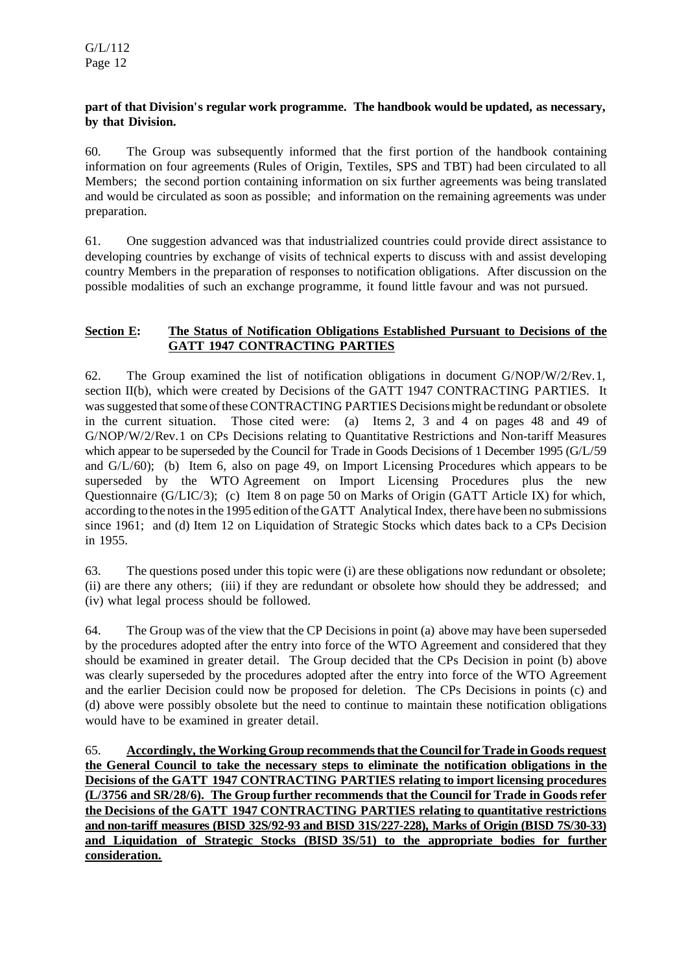## **part of that Division's regular work programme. The handbook would be updated, as necessary, by that Division.**

60. The Group was subsequently informed that the first portion of the handbook containing information on four agreements (Rules of Origin, Textiles, SPS and TBT) had been circulated to all Members; the second portion containing information on six further agreements was being translated and would be circulated as soon as possible; and information on the remaining agreements was under preparation.

61. One suggestion advanced was that industrialized countries could provide direct assistance to developing countries by exchange of visits of technical experts to discuss with and assist developing country Members in the preparation of responses to notification obligations. After discussion on the possible modalities of such an exchange programme, it found little favour and was not pursued.

## **Section E: The Status of Notification Obligations Established Pursuant to Decisions of the GATT 1947 CONTRACTING PARTIES**

62. The Group examined the list of notification obligations in document  $G/NOP/W/2/Rev.1$ , section II(b), which were created by Decisions of the GATT 1947 CONTRACTING PARTIES. It was suggested that some of these CONTRACTING PARTIES Decisions might be redundant or obsolete in the current situation. Those cited were: (a) Items 2, 3 and 4 on pages 48 and 49 of G/NOP/W/2/Rev.1 on CPs Decisions relating to Quantitative Restrictions and Non-tariff Measures which appear to be superseded by the Council for Trade in Goods Decisions of 1 December 1995 (G/L/59) and  $G/L/60$ ; (b) Item 6, also on page 49, on Import Licensing Procedures which appears to be superseded by the WTO Agreement on Import Licensing Procedures plus the new Questionnaire (G/LIC/3); (c) Item 8 on page 50 on Marks of Origin (GATT Article IX) for which, according to the notes in the 1995 edition of the GATT Analytical Index, there have been no submissions since 1961; and (d) Item 12 on Liquidation of Strategic Stocks which dates back to a CPs Decision in 1955.

63. The questions posed under this topic were (i) are these obligations now redundant or obsolete; (ii) are there any others; (iii) if they are redundant or obsolete how should they be addressed; and (iv) what legal process should be followed.

64. The Group was of the view that the CP Decisions in point (a) above may have been superseded by the procedures adopted after the entry into force of the WTO Agreement and considered that they should be examined in greater detail. The Group decided that the CPs Decision in point (b) above was clearly superseded by the procedures adopted after the entry into force of the WTO Agreement and the earlier Decision could now be proposed for deletion. The CPs Decisions in points (c) and (d) above were possibly obsolete but the need to continue to maintain these notification obligations would have to be examined in greater detail.

65. **Accordingly, theWorking Group recommendsthat the Councilfor Trade in Goods request the General Council to take the necessary steps to eliminate the notification obligations in the Decisions of the GATT 1947 CONTRACTING PARTIES relating to import licensing procedures (L/3756 and SR/28/6). The Group further recommends that the Council for Trade in Goods refer the Decisions of the GATT 1947 CONTRACTING PARTIES relating to quantitative restrictions and non-tariff measures (BISD 32S/92-93 and BISD 31S/227-228), Marks of Origin (BISD 7S/30-33) and Liquidation of Strategic Stocks (BISD 3S/51) to the appropriate bodies for further consideration.**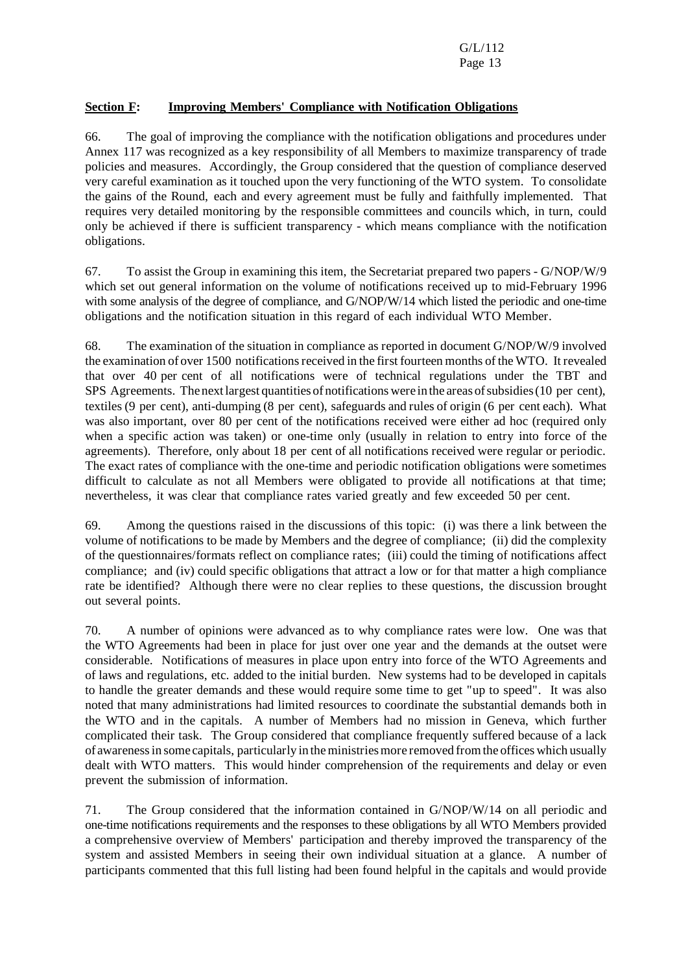## **Section F: Improving Members' Compliance with Notification Obligations**

66. The goal of improving the compliance with the notification obligations and procedures under Annex 117 was recognized as a key responsibility of all Members to maximize transparency of trade policies and measures. Accordingly, the Group considered that the question of compliance deserved very careful examination as it touched upon the very functioning of the WTO system. To consolidate the gains of the Round, each and every agreement must be fully and faithfully implemented. That requires very detailed monitoring by the responsible committees and councils which, in turn, could only be achieved if there is sufficient transparency - which means compliance with the notification obligations.

67. To assist the Group in examining this item, the Secretariat prepared two papers - G/NOP/W/9 which set out general information on the volume of notifications received up to mid-February 1996 with some analysis of the degree of compliance, and G/NOP/W/14 which listed the periodic and one-time obligations and the notification situation in this regard of each individual WTO Member.

68. The examination of the situation in compliance as reported in document G/NOP/W/9 involved the examination of over 1500 notifications received in the first fourteen months of the WTO. It revealed that over 40 per cent of all notifications were of technical regulations under the TBT and SPS Agreements. The nextlargest quantities of notifications were in the areas ofsubsidies(10 per cent), textiles (9 per cent), anti-dumping (8 per cent), safeguards and rules of origin (6 per cent each). What was also important, over 80 per cent of the notifications received were either ad hoc (required only when a specific action was taken) or one-time only (usually in relation to entry into force of the agreements). Therefore, only about 18 per cent of all notifications received were regular or periodic. The exact rates of compliance with the one-time and periodic notification obligations were sometimes difficult to calculate as not all Members were obligated to provide all notifications at that time; nevertheless, it was clear that compliance rates varied greatly and few exceeded 50 per cent.

69. Among the questions raised in the discussions of this topic: (i) was there a link between the volume of notifications to be made by Members and the degree of compliance; (ii) did the complexity of the questionnaires/formats reflect on compliance rates; (iii) could the timing of notifications affect compliance; and (iv) could specific obligations that attract a low or for that matter a high compliance rate be identified? Although there were no clear replies to these questions, the discussion brought out several points.

70. A number of opinions were advanced as to why compliance rates were low. One was that the WTO Agreements had been in place for just over one year and the demands at the outset were considerable. Notifications of measures in place upon entry into force of the WTO Agreements and of laws and regulations, etc. added to the initial burden. New systems had to be developed in capitals to handle the greater demands and these would require some time to get "up to speed". It was also noted that many administrations had limited resources to coordinate the substantial demands both in the WTO and in the capitals. A number of Members had no mission in Geneva, which further complicated their task. The Group considered that compliance frequently suffered because of a lack of awareness in some capitals, particularly in the ministries more removed from the offices which usually dealt with WTO matters. This would hinder comprehension of the requirements and delay or even prevent the submission of information.

71. The Group considered that the information contained in G/NOP/W/14 on all periodic and one-time notifications requirements and the responses to these obligations by all WTO Members provided a comprehensive overview of Members' participation and thereby improved the transparency of the system and assisted Members in seeing their own individual situation at a glance. A number of participants commented that this full listing had been found helpful in the capitals and would provide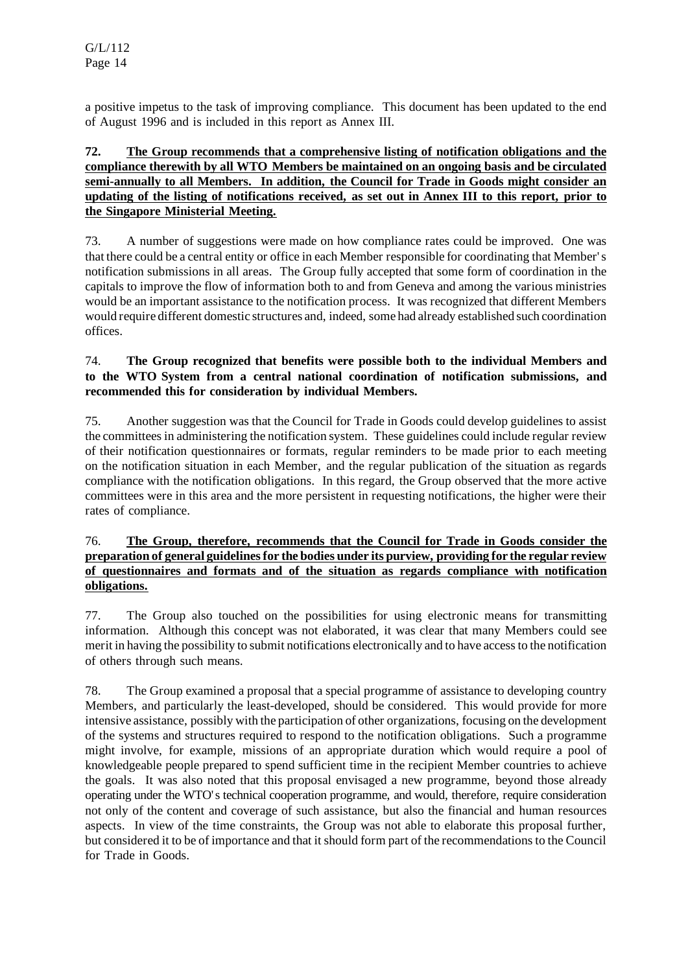a positive impetus to the task of improving compliance. This document has been updated to the end of August 1996 and is included in this report as Annex III.

## **72. The Group recommends that a comprehensive listing of notification obligations and the compliance therewith by all WTO Members be maintained on an ongoing basis and be circulated semi-annually to all Members. In addition, the Council for Trade in Goods might consider an** updating of the listing of notifications received, as set out in Annex III to this report, prior to **the Singapore Ministerial Meeting.**

73. A number of suggestions were made on how compliance rates could be improved. One was that there could be a central entity or office in each Member responsible for coordinating that Member's notification submissions in all areas. The Group fully accepted that some form of coordination in the capitals to improve the flow of information both to and from Geneva and among the various ministries would be an important assistance to the notification process. It was recognized that different Members would require different domestic structures and, indeed, some had already established such coordination offices.

# 74. **The Group recognized that benefits were possible both to the individual Members and to the WTO System from a central national coordination of notification submissions, and recommended this for consideration by individual Members.**

75. Another suggestion was that the Council for Trade in Goods could develop guidelines to assist the committees in administering the notification system. These guidelines could include regular review of their notification questionnaires or formats, regular reminders to be made prior to each meeting on the notification situation in each Member, and the regular publication of the situation as regards compliance with the notification obligations. In this regard, the Group observed that the more active committees were in this area and the more persistent in requesting notifications, the higher were their rates of compliance.

## 76. **The Group, therefore, recommends that the Council for Trade in Goods consider the preparation of general guidelinesfor the bodies under its purview, providing for the regular review of questionnaires and formats and of the situation as regards compliance with notification obligations.**

77. The Group also touched on the possibilities for using electronic means for transmitting information. Although this concept was not elaborated, it was clear that many Members could see merit in having the possibility to submit notifications electronically and to have accessto the notification of others through such means.

78. The Group examined a proposal that a special programme of assistance to developing country Members, and particularly the least-developed, should be considered. This would provide for more intensive assistance, possibly with the participation of other organizations, focusing on the development of the systems and structures required to respond to the notification obligations. Such a programme might involve, for example, missions of an appropriate duration which would require a pool of knowledgeable people prepared to spend sufficient time in the recipient Member countries to achieve the goals. It was also noted that this proposal envisaged a new programme, beyond those already operating under the WTO's technical cooperation programme, and would, therefore, require consideration not only of the content and coverage of such assistance, but also the financial and human resources aspects. In view of the time constraints, the Group was not able to elaborate this proposal further, but considered it to be of importance and that it should form part of the recommendations to the Council for Trade in Goods.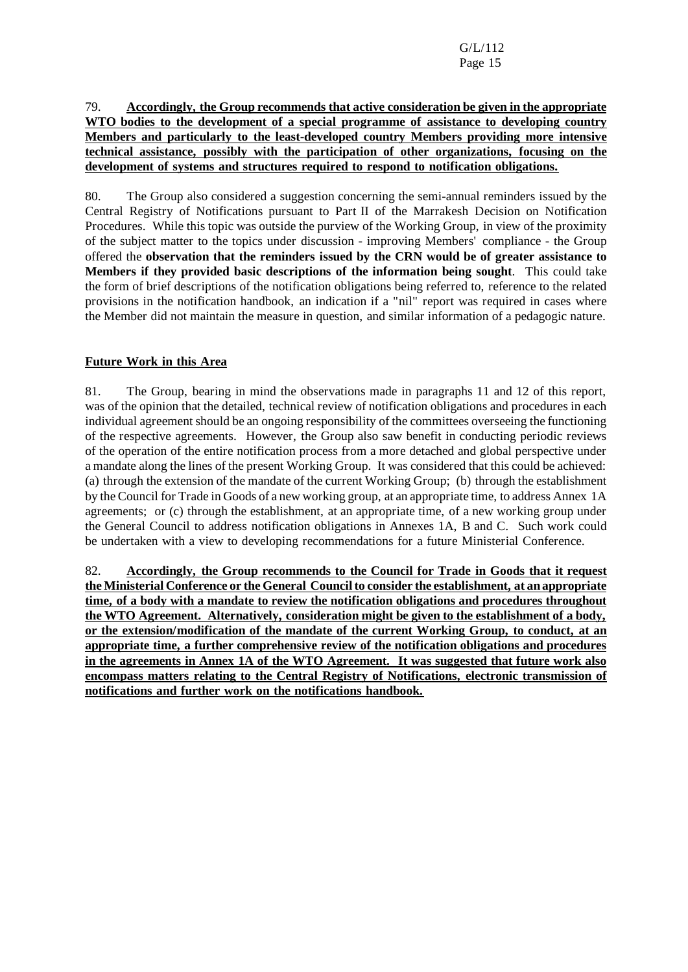## 79. **Accordingly, the Group recommends that active consideration be given in the appropriate WTO bodies to the development of a special programme of assistance to developing country Members and particularly to the least-developed country Members providing more intensive technical assistance, possibly with the participation of other organizations, focusing on the development of systems and structures required to respond to notification obligations.**

80. The Group also considered a suggestion concerning the semi-annual reminders issued by the Central Registry of Notifications pursuant to Part II of the Marrakesh Decision on Notification Procedures. While this topic was outside the purview of the Working Group, in view of the proximity of the subject matter to the topics under discussion - improving Members' compliance - the Group offered the **observation that the reminders issued by the CRN would be of greater assistance to Members if they provided basic descriptions of the information being sought**. This could take the form of brief descriptions of the notification obligations being referred to, reference to the related provisions in the notification handbook, an indication if a "nil" report was required in cases where the Member did not maintain the measure in question, and similar information of a pedagogic nature.

# **Future Work in this Area**

81. The Group, bearing in mind the observations made in paragraphs 11 and 12 of this report, was of the opinion that the detailed, technical review of notification obligations and procedures in each individual agreement should be an ongoing responsibility of the committees overseeing the functioning of the respective agreements. However, the Group also saw benefit in conducting periodic reviews of the operation of the entire notification process from a more detached and global perspective under a mandate along the lines of the present Working Group. It was considered that this could be achieved: (a) through the extension of the mandate of the current Working Group; (b) through the establishment by the Council for Trade in Goods of a new working group, at an appropriate time, to address Annex 1A agreements; or (c) through the establishment, at an appropriate time, of a new working group under the General Council to address notification obligations in Annexes 1A, B and C. Such work could be undertaken with a view to developing recommendations for a future Ministerial Conference.

82. **Accordingly, the Group recommends to the Council for Trade in Goods that it request the Ministerial Conference or the General Councilto consider the establishment, at an appropriate time, of a body with a mandate to review the notification obligations and procedures throughout the WTO Agreement. Alternatively, consideration might be given to the establishment of a body, or the extension/modification of the mandate of the current Working Group, to conduct, at an appropriate time, a further comprehensive review of the notification obligations and procedures in the agreements in Annex 1A of the WTO Agreement. It was suggested that future work also encompass matters relating to the Central Registry of Notifications, electronic transmission of notifications and further work on the notifications handbook.**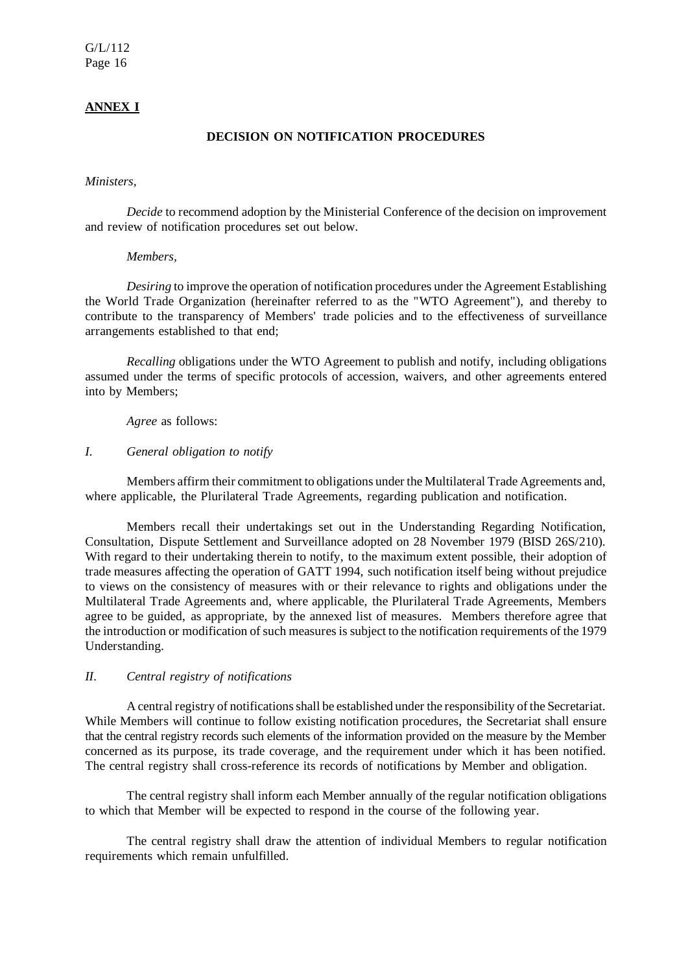#### **ANNEX I**

#### **DECISION ON NOTIFICATION PROCEDURES**

#### *Ministers,*

*Decide* to recommend adoption by the Ministerial Conference of the decision on improvement and review of notification procedures set out below.

#### *Members,*

*Desiring* to improve the operation of notification procedures under the Agreement Establishing the World Trade Organization (hereinafter referred to as the "WTO Agreement"), and thereby to contribute to the transparency of Members' trade policies and to the effectiveness of surveillance arrangements established to that end;

*Recalling* obligations under the WTO Agreement to publish and notify, including obligations assumed under the terms of specific protocols of accession, waivers, and other agreements entered into by Members;

*Agree* as follows:

#### *I*. *General obligation to notify*

Members affirm their commitment to obligations under the Multilateral Trade Agreements and, where applicable, the Plurilateral Trade Agreements, regarding publication and notification.

Members recall their undertakings set out in the Understanding Regarding Notification, Consultation, Dispute Settlement and Surveillance adopted on 28 November 1979 (BISD 26S/210). With regard to their undertaking therein to notify, to the maximum extent possible, their adoption of trade measures affecting the operation of GATT 1994, such notification itself being without prejudice to views on the consistency of measures with or their relevance to rights and obligations under the Multilateral Trade Agreements and, where applicable, the Plurilateral Trade Agreements, Members agree to be guided, as appropriate, by the annexed list of measures. Members therefore agree that the introduction or modification of such measures is subject to the notification requirements of the 1979 Understanding.

#### *II*. *Central registry of notifications*

A central registry of notifications shall be established under the responsibility of the Secretariat. While Members will continue to follow existing notification procedures, the Secretariat shall ensure that the central registry records such elements of the information provided on the measure by the Member concerned as its purpose, its trade coverage, and the requirement under which it has been notified. The central registry shall cross-reference its records of notifications by Member and obligation.

The central registry shall inform each Member annually of the regular notification obligations to which that Member will be expected to respond in the course of the following year.

The central registry shall draw the attention of individual Members to regular notification requirements which remain unfulfilled.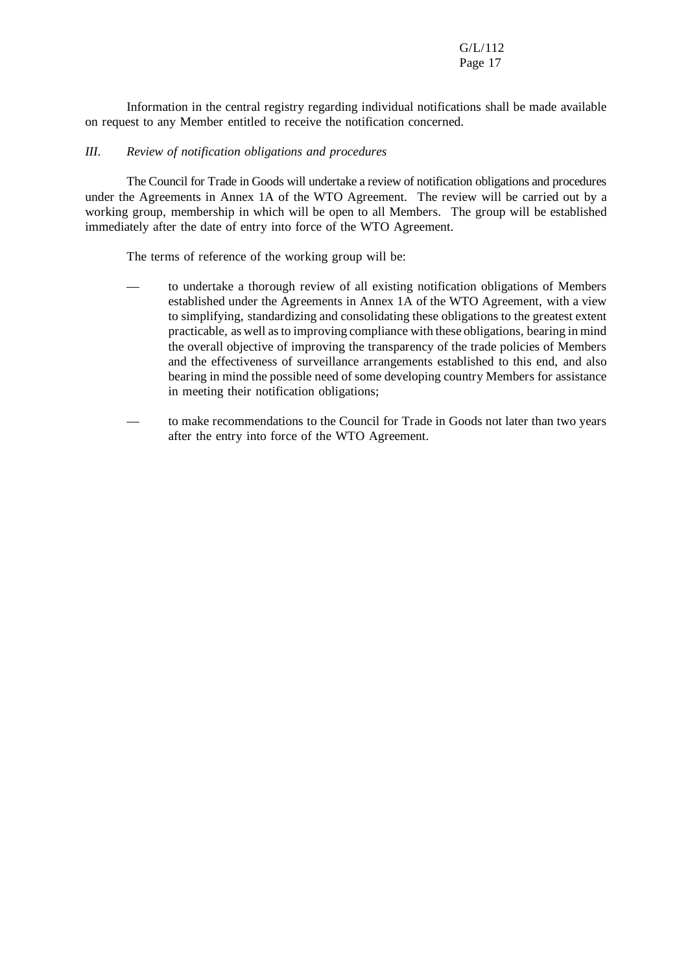Information in the central registry regarding individual notifications shall be made available on request to any Member entitled to receive the notification concerned.

#### *III*. *Review of notification obligations and procedures*

The Council for Trade in Goods will undertake a review of notification obligations and procedures under the Agreements in Annex 1A of the WTO Agreement. The review will be carried out by a working group, membership in which will be open to all Members. The group will be established immediately after the date of entry into force of the WTO Agreement.

The terms of reference of the working group will be:

- to undertake a thorough review of all existing notification obligations of Members established under the Agreements in Annex 1A of the WTO Agreement, with a view to simplifying, standardizing and consolidating these obligations to the greatest extent practicable, as well asto improving compliance with these obligations, bearing in mind the overall objective of improving the transparency of the trade policies of Members and the effectiveness of surveillance arrangements established to this end, and also bearing in mind the possible need of some developing country Members for assistance in meeting their notification obligations;
- to make recommendations to the Council for Trade in Goods not later than two years after the entry into force of the WTO Agreement.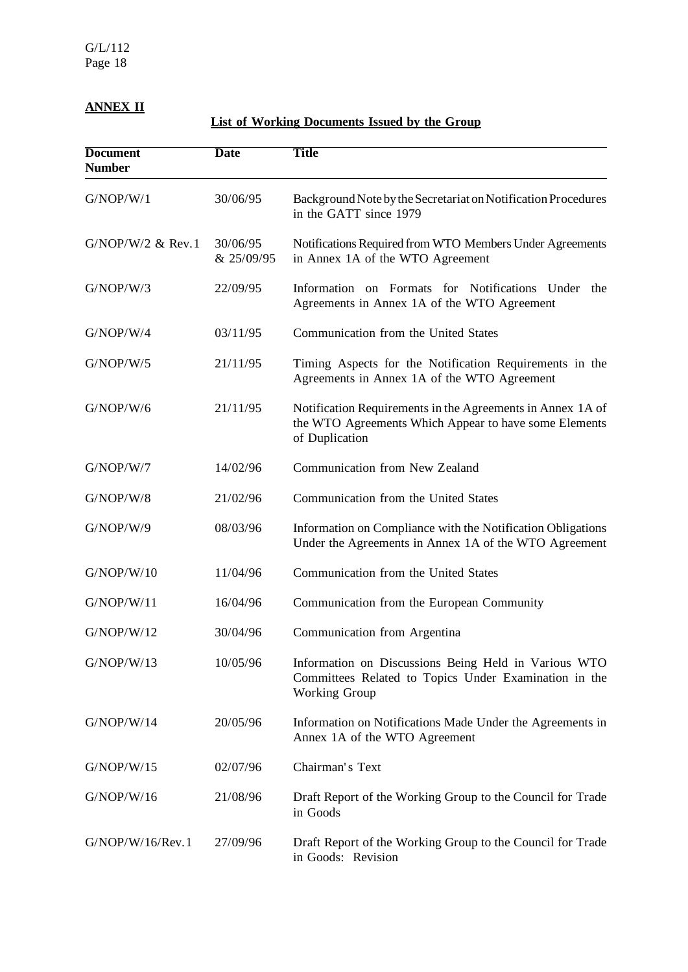# **ANNEX II**

**List of Working Documents Issued by the Group**

| <b>Document</b><br><b>Number</b> | <b>Date</b>            | <b>Title</b>                                                                                                                          |
|----------------------------------|------------------------|---------------------------------------------------------------------------------------------------------------------------------------|
| G/NOP/W/1                        | 30/06/95               | Background Note by the Secretariat on Notification Procedures<br>in the GATT since 1979                                               |
| $G/NOP/W/2$ & Rev. 1             | 30/06/95<br>& 25/09/95 | Notifications Required from WTO Members Under Agreements<br>in Annex 1A of the WTO Agreement                                          |
| G/NOP/W/3                        | 22/09/95               | Information on Formats for Notifications Under<br>the<br>Agreements in Annex 1A of the WTO Agreement                                  |
| G/NOP/W/4                        | 03/11/95               | Communication from the United States                                                                                                  |
| G/NOP/W/5                        | 21/11/95               | Timing Aspects for the Notification Requirements in the<br>Agreements in Annex 1A of the WTO Agreement                                |
| G/NOP/W/6                        | 21/11/95               | Notification Requirements in the Agreements in Annex 1A of<br>the WTO Agreements Which Appear to have some Elements<br>of Duplication |
| G/NOP/W/7                        | 14/02/96               | Communication from New Zealand                                                                                                        |
| G/NOP/W/8                        | 21/02/96               | Communication from the United States                                                                                                  |
| G/NOP/W/9                        | 08/03/96               | Information on Compliance with the Notification Obligations<br>Under the Agreements in Annex 1A of the WTO Agreement                  |
| G/NOP/W/10                       | 11/04/96               | Communication from the United States                                                                                                  |
| G/NOP/W/11                       | 16/04/96               | Communication from the European Community                                                                                             |
| G/NOP/W/12                       | 30/04/96               | Communication from Argentina                                                                                                          |
| G/NOP/W/13                       | 10/05/96               | Information on Discussions Being Held in Various WTO<br>Committees Related to Topics Under Examination in the<br>Working Group        |
| G/NOP/W/14                       | 20/05/96               | Information on Notifications Made Under the Agreements in<br>Annex 1A of the WTO Agreement                                            |
| G/NOP/W/15                       | 02/07/96               | Chairman's Text                                                                                                                       |
| G/NOP/W/16                       | 21/08/96               | Draft Report of the Working Group to the Council for Trade<br>in Goods                                                                |
| G/NOP/W/16/Rev.1                 | 27/09/96               | Draft Report of the Working Group to the Council for Trade<br>in Goods: Revision                                                      |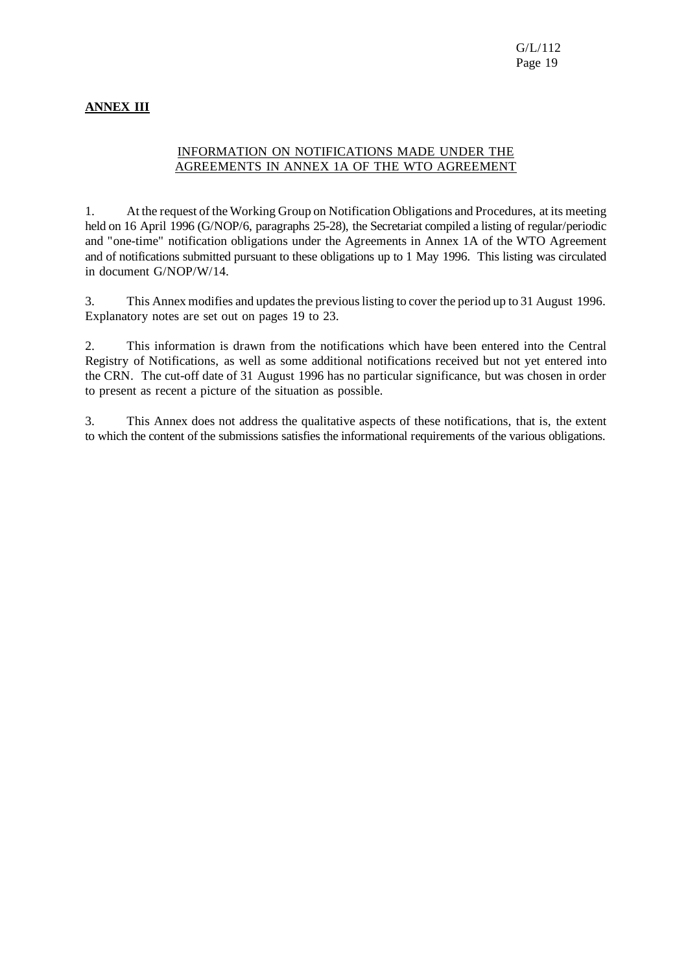# **ANNEX III**

## INFORMATION ON NOTIFICATIONS MADE UNDER THE AGREEMENTS IN ANNEX 1A OF THE WTO AGREEMENT

1. At the request of the Working Group on Notification Obligations and Procedures, at its meeting held on 16 April 1996 (G/NOP/6, paragraphs 25-28), the Secretariat compiled a listing of regular/periodic and "one-time" notification obligations under the Agreements in Annex 1A of the WTO Agreement and of notifications submitted pursuant to these obligations up to 1 May 1996. This listing was circulated in document G/NOP/W/14.

3. This Annex modifies and updates the previous listing to cover the period up to 31 August 1996. Explanatory notes are set out on pages 19 to 23.

2. This information is drawn from the notifications which have been entered into the Central Registry of Notifications, as well as some additional notifications received but not yet entered into the CRN. The cut-off date of 31 August 1996 has no particular significance, but was chosen in order to present as recent a picture of the situation as possible.

3. This Annex does not address the qualitative aspects of these notifications, that is, the extent to which the content of the submissions satisfies the informational requirements of the various obligations.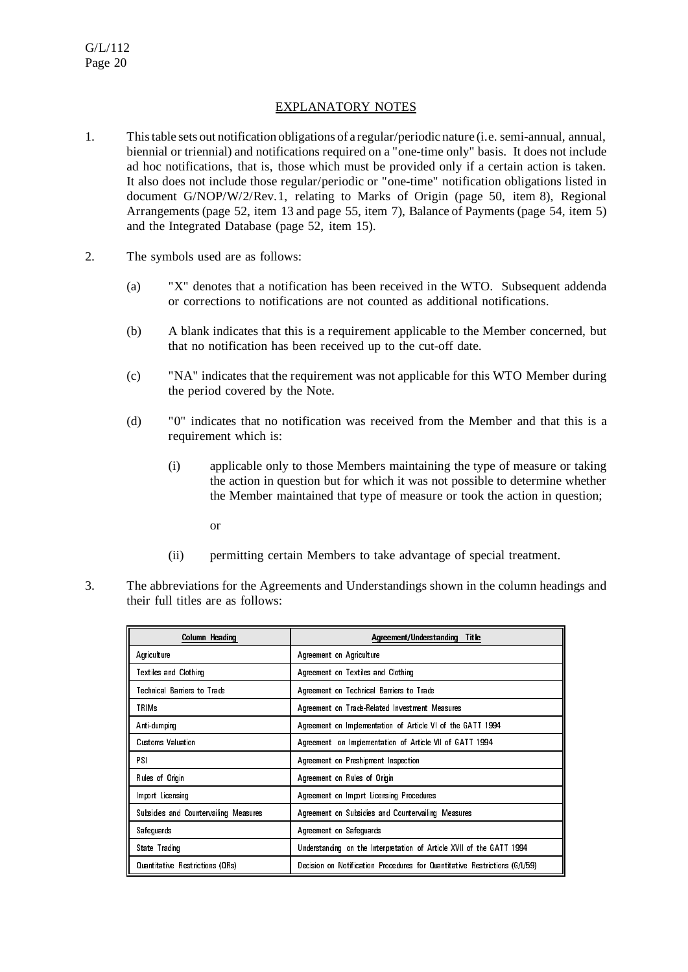## EXPLANATORY NOTES

- 1. This table sets out notification obligations of a regular/periodic nature (i.e. semi-annual, annual, biennial or triennial) and notifications required on a "one-time only" basis. It does not include ad hoc notifications, that is, those which must be provided only if a certain action is taken. It also does not include those regular/periodic or "one-time" notification obligations listed in document G/NOP/W/2/Rev.1, relating to Marks of Origin (page 50, item 8), Regional Arrangements (page 52, item 13 and page 55, item 7), Balance of Payments (page 54, item 5) and the Integrated Database (page 52, item 15).
- 2. The symbols used are as follows:
	- (a) "X" denotes that a notification has been received in the WTO. Subsequent addenda or corrections to notifications are not counted as additional notifications.
	- (b) A blank indicates that this is a requirement applicable to the Member concerned, but that no notification has been received up to the cut-off date.
	- (c) "NA" indicates that the requirement was not applicable for this WTO Member during the period covered by the Note.
	- (d) "0" indicates that no notification was received from the Member and that this is a requirement which is:
		- (i) applicable only to those Members maintaining the type of measure or taking the action in question but for which it was not possible to determine whether the Member maintained that type of measure or took the action in question;
			- or
		- (ii) permitting certain Members to take advantage of special treatment.
- 3. The abbreviations for the Agreements and Understandings shown in the column headings and their full titles are as follows:

| Column Heading                        | Agreement/Understanding Title                                              |
|---------------------------------------|----------------------------------------------------------------------------|
| Agriculture                           | Agreement on Agriculture                                                   |
| Textiles and Clothing                 | Agreement on Textiles and Clothing                                         |
| Technical Barriers to Trade           | Agreement on Technical Barriers to Trade                                   |
| TRIMs                                 | Agreement on Trade-Related Investment Measures                             |
| Anti-dumping                          | Agreement on Implementation of Article VI of the GATT 1994                 |
| Customs Valuation                     | Agreement on Implementation of Article VII of GATT 1994                    |
| PSI                                   | Agreement on Preshipment Inspection                                        |
| Rules of Origin                       | Agreement on Rules of Origin                                               |
| Import Licensing                      | Agreement on Import Licensing Procedures                                   |
| Subsidies and Countervalling Measures | Agreement on Subsidies and Countervalling Measures                         |
| Safequards                            | Agreement on Safeguards                                                    |
| State Trading                         | Understanding on the Interpretation of Article XVII of the GATT 1994       |
| Quantitative Restrictions (QRs)       | Decision on Notification Procedures for Quantitative Restrictions (G/L/59) |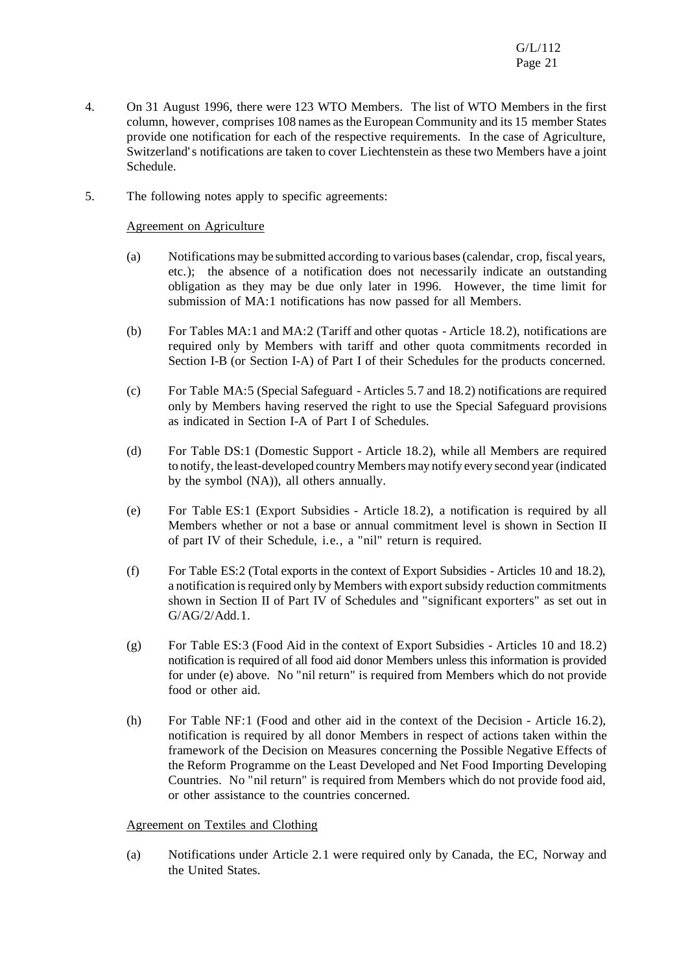- 4. On 31 August 1996, there were 123 WTO Members. The list of WTO Members in the first column, however, comprises 108 names asthe European Community and its 15 member States provide one notification for each of the respective requirements. In the case of Agriculture, Switzerland's notifications are taken to cover Liechtenstein as these two Members have a joint Schedule.
- 5. The following notes apply to specific agreements:

#### Agreement on Agriculture

- (a) Notifications may be submitted according to various bases(calendar, crop, fiscal years, etc.); the absence of a notification does not necessarily indicate an outstanding obligation as they may be due only later in 1996. However, the time limit for submission of MA:1 notifications has now passed for all Members.
- (b) For Tables MA:1 and MA:2 (Tariff and other quotas Article 18.2), notifications are required only by Members with tariff and other quota commitments recorded in Section I-B (or Section I-A) of Part I of their Schedules for the products concerned.
- (c) For Table MA:5 (Special Safeguard Articles 5.7 and 18.2) notifications are required only by Members having reserved the right to use the Special Safeguard provisions as indicated in Section I-A of Part I of Schedules.
- (d) For Table DS:1 (Domestic Support Article 18.2), while all Members are required to notify, the least-developed country Members may notify every second year (indicated by the symbol (NA)), all others annually.
- (e) For Table ES:1 (Export Subsidies Article 18.2), a notification is required by all Members whether or not a base or annual commitment level is shown in Section II of part IV of their Schedule, i.e., a "nil" return is required.
- (f) For Table ES:2 (Total exports in the context of Export Subsidies Articles 10 and 18.2), a notification is required only by Members with export subsidy reduction commitments shown in Section II of Part IV of Schedules and "significant exporters" as set out in G/AG/2/Add.1.
- (g) For Table ES:3 (Food Aid in the context of Export Subsidies Articles 10 and 18.2) notification is required of all food aid donor Members unless this information is provided for under (e) above. No "nil return" is required from Members which do not provide food or other aid.
- (h) For Table NF:1 (Food and other aid in the context of the Decision Article 16.2), notification is required by all donor Members in respect of actions taken within the framework of the Decision on Measures concerning the Possible Negative Effects of the Reform Programme on the Least Developed and Net Food Importing Developing Countries. No "nil return" is required from Members which do not provide food aid, or other assistance to the countries concerned.

#### Agreement on Textiles and Clothing

(a) Notifications under Article 2.1 were required only by Canada, the EC, Norway and the United States.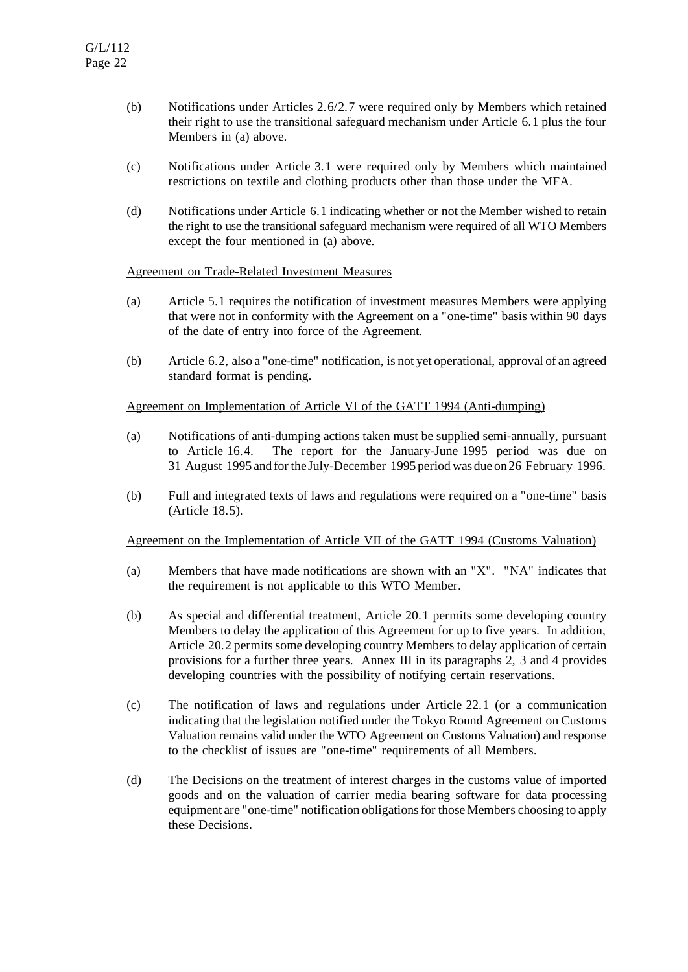- (b) Notifications under Articles 2.6/2.7 were required only by Members which retained their right to use the transitional safeguard mechanism under Article 6.1 plus the four Members in (a) above.
- (c) Notifications under Article 3.1 were required only by Members which maintained restrictions on textile and clothing products other than those under the MFA.
- (d) Notifications under Article 6.1 indicating whether or not the Member wished to retain the right to use the transitional safeguard mechanism were required of all WTO Members except the four mentioned in (a) above.

#### Agreement on Trade-Related Investment Measures

- (a) Article 5.1 requires the notification of investment measures Members were applying that were not in conformity with the Agreement on a "one-time" basis within 90 days of the date of entry into force of the Agreement.
- (b) Article 6.2, also a "one-time" notification, is not yet operational, approval of an agreed standard format is pending.

#### Agreement on Implementation of Article VI of the GATT 1994 (Anti-dumping)

- (a) Notifications of anti-dumping actions taken must be supplied semi-annually, pursuant to Article 16.4. The report for the January-June 1995 period was due on 31 August 1995 and forthe July-December 1995 period was due on 26 February 1996.
- (b) Full and integrated texts of laws and regulations were required on a "one-time" basis (Article 18.5).

#### Agreement on the Implementation of Article VII of the GATT 1994 (Customs Valuation)

- (a) Members that have made notifications are shown with an "X". "NA" indicates that the requirement is not applicable to this WTO Member.
- (b) As special and differential treatment, Article 20.1 permits some developing country Members to delay the application of this Agreement for up to five years. In addition, Article 20.2 permits some developing country Members to delay application of certain provisions for a further three years. Annex III in its paragraphs 2, 3 and 4 provides developing countries with the possibility of notifying certain reservations.
- (c) The notification of laws and regulations under Article 22.1 (or a communication indicating that the legislation notified under the Tokyo Round Agreement on Customs Valuation remains valid under the WTO Agreement on Customs Valuation) and response to the checklist of issues are "one-time" requirements of all Members.
- (d) The Decisions on the treatment of interest charges in the customs value of imported goods and on the valuation of carrier media bearing software for data processing equipment are "one-time" notification obligationsforthose Members choosing to apply these Decisions.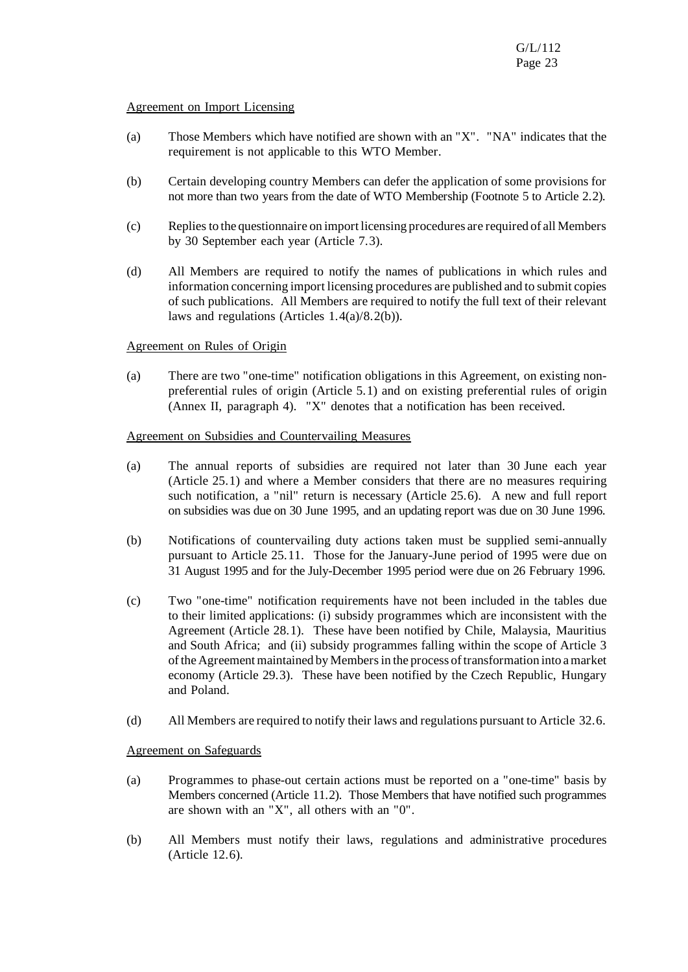#### Agreement on Import Licensing

- (a) Those Members which have notified are shown with an "X". "NA" indicates that the requirement is not applicable to this WTO Member.
- (b) Certain developing country Members can defer the application of some provisions for not more than two years from the date of WTO Membership (Footnote 5 to Article 2.2).
- (c) Repliesto the questionnaire on import licensing procedures are required of all Members by 30 September each year (Article 7.3).
- (d) All Members are required to notify the names of publications in which rules and information concerning import licensing procedures are published and to submit copies of such publications. All Members are required to notify the full text of their relevant laws and regulations (Articles 1.4(a)/8.2(b)).

#### Agreement on Rules of Origin

(a) There are two "one-time" notification obligations in this Agreement, on existing nonpreferential rules of origin (Article 5.1) and on existing preferential rules of origin (Annex II, paragraph 4). "X" denotes that a notification has been received.

#### Agreement on Subsidies and Countervailing Measures

- (a) The annual reports of subsidies are required not later than 30 June each year (Article 25.1) and where a Member considers that there are no measures requiring such notification, a "nil" return is necessary (Article 25.6). A new and full report on subsidies was due on 30 June 1995, and an updating report was due on 30 June 1996.
- (b) Notifications of countervailing duty actions taken must be supplied semi-annually pursuant to Article 25.11. Those for the January-June period of 1995 were due on 31 August 1995 and for the July-December 1995 period were due on 26 February 1996.
- (c) Two "one-time" notification requirements have not been included in the tables due to their limited applications: (i) subsidy programmes which are inconsistent with the Agreement (Article 28.1). These have been notified by Chile, Malaysia, Mauritius and South Africa; and (ii) subsidy programmes falling within the scope of Article 3 ofthe Agreementmaintained by Membersin the process oftransformation into amarket economy (Article 29.3). These have been notified by the Czech Republic, Hungary and Poland.
- (d) All Members are required to notify theirlaws and regulations pursuant to Article 32.6.

#### Agreement on Safeguards

- (a) Programmes to phase-out certain actions must be reported on a "one-time" basis by Members concerned (Article 11.2). Those Members that have notified such programmes are shown with an "X", all others with an "0".
- (b) All Members must notify their laws, regulations and administrative procedures (Article 12.6).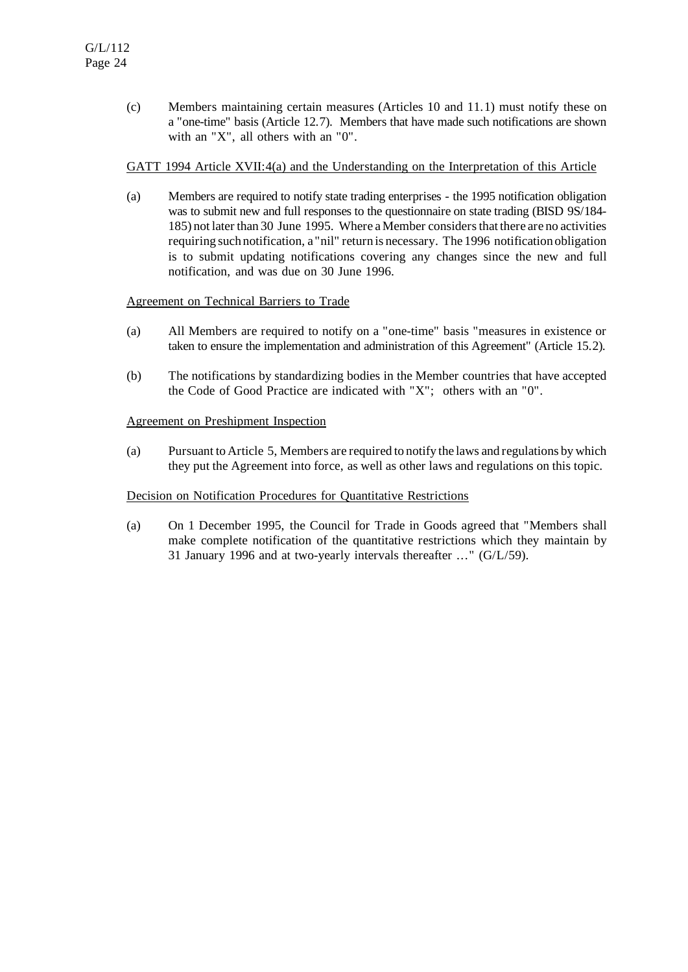(c) Members maintaining certain measures (Articles 10 and 11.1) must notify these on a "one-time" basis (Article 12.7). Members that have made such notifications are shown with an "X", all others with an "0".

#### GATT 1994 Article XVII:4(a) and the Understanding on the Interpretation of this Article

(a) Members are required to notify state trading enterprises - the 1995 notification obligation was to submit new and full responses to the questionnaire on state trading (BISD 9S/184- 185) not laterthan 30 June 1995. Where a Member considersthat there are no activities requiring such notification, a "nil" return is necessary. The 1996 notification obligation is to submit updating notifications covering any changes since the new and full notification, and was due on 30 June 1996.

# Agreement on Technical Barriers to Trade

- (a) All Members are required to notify on a "one-time" basis "measures in existence or taken to ensure the implementation and administration of this Agreement" (Article 15.2).
- (b) The notifications by standardizing bodies in the Member countries that have accepted the Code of Good Practice are indicated with "X"; others with an "0".

#### Agreement on Preshipment Inspection

(a) Pursuant to Article 5, Members are required to notify the laws and regulations by which they put the Agreement into force, as well as other laws and regulations on this topic.

#### Decision on Notification Procedures for Quantitative Restrictions

(a) On 1 December 1995, the Council for Trade in Goods agreed that "Members shall make complete notification of the quantitative restrictions which they maintain by 31 January 1996 and at two-yearly intervals thereafter ..." (G/L/59).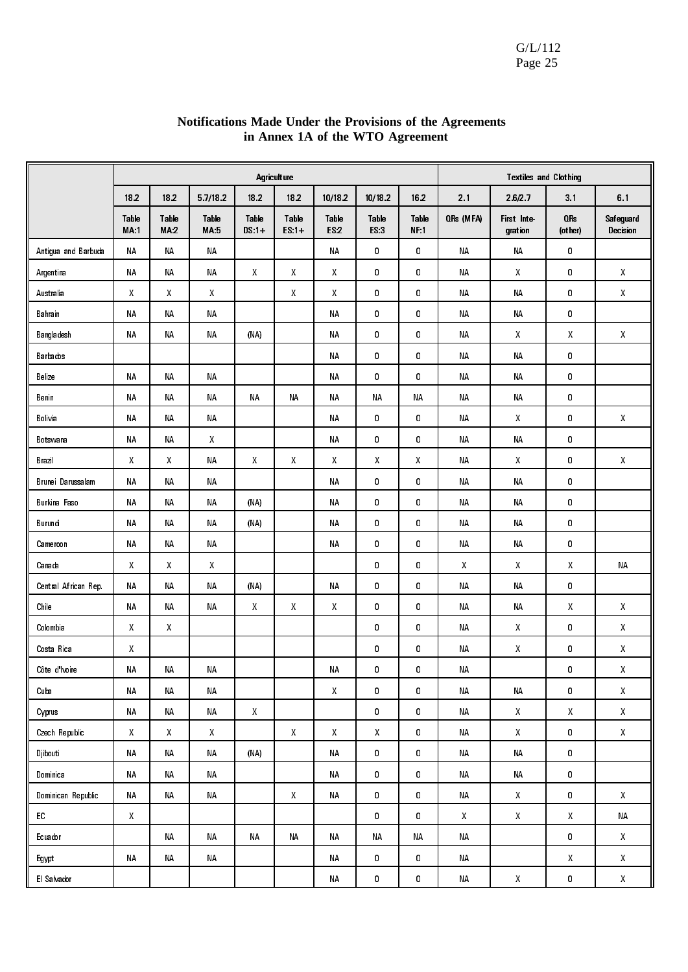|                      |                                                     |               |                    |                    | Agriculture      |                      |               |               |                                                     | <b>Textiles and Clothing</b>                        |                            |                                                     |
|----------------------|-----------------------------------------------------|---------------|--------------------|--------------------|------------------|----------------------|---------------|---------------|-----------------------------------------------------|-----------------------------------------------------|----------------------------|-----------------------------------------------------|
|                      | 182                                                 | 182           | 5 7/18 2           | 182                | 182              | 10/18.2              | 10/18.2       | 162           | 21                                                  | 26/27                                               | 3.1                        | 61                                                  |
|                      | Table<br><b>MA:1</b>                                | Table<br>MA:2 | Table<br>MA:5      | Table<br>$DS:1+$   | Table<br>$ES:1+$ | Table<br><b>ES.2</b> | Table<br>FS.3 | Table<br>NF:1 | QRs (MFA)                                           | First Inte-<br>gration                              | OR <sub>s</sub><br>(other) | Safeguard<br>Decision                               |
| Antigua and Barbuda  | <b>NA</b>                                           | <b>NA</b>     | NΑ                 |                    |                  | <b>NA</b>            | 0             | 0             | <b>NA</b>                                           | ΝA                                                  | 0                          |                                                     |
| Argentina            | <b>NA</b>                                           | <b>NA</b>     | ΝA                 | X                  | Χ                | X                    | 0             | 0             | <b>NA</b>                                           | Χ                                                   | 0                          | X                                                   |
| Australia            | Χ                                                   | X             | X                  |                    | Χ                | X                    | 0             | 0             | ΝA                                                  | ΝA                                                  | 0                          | $\mathsf{X}$                                        |
| Bahrain              | <b>NA</b>                                           | <b>NA</b>     | ΝA                 |                    |                  | <b>ΝΑ</b>            | 0             | 0             | NΑ                                                  | ΝA                                                  | 0                          |                                                     |
| Bangladesh           | <b>NA</b>                                           | <b>NA</b>     | ΝA                 | (NA)               |                  | <b>ΝΑ</b>            | 0             | 0             | <b>NA</b>                                           | Χ                                                   | Χ                          | X                                                   |
| Barbados             |                                                     |               |                    |                    |                  | <b>ΝΑ</b>            | 0             | 0             | ΝA                                                  | ΝA                                                  | 0                          |                                                     |
| Belize               | <b>NA</b>                                           | <b>NA</b>     | <b>NA</b>          |                    |                  | <b>ΝΑ</b>            | 0             | 0             | <b>NA</b>                                           | ΝA                                                  | $\pmb{0}$                  |                                                     |
| Benin                | NΑ                                                  | <b>NA</b>     | ΝA                 | ΝA                 | ΝA               | NΑ                   | ΝA            | NA            | ΝA                                                  | ΝA                                                  | $\pmb{0}$                  |                                                     |
| Bolivia              | NΑ                                                  | <b>NA</b>     | ΝA                 |                    |                  | NΑ                   | 0             | 0             | <b>NA</b>                                           | Χ                                                   | 0                          | Χ                                                   |
| Botswana             | NΑ                                                  | ΝA            | X                  |                    |                  | ΝA                   | 0             | 0             | ΝA                                                  | ΝA                                                  | 0                          |                                                     |
| Brazil               | Χ                                                   | X             | ΝA                 | X.                 | Χ                | X                    | Χ             | X             | ΝA                                                  | Χ                                                   | 0                          | X                                                   |
| Brunei Darussalam    | <b>NA</b>                                           | ΝA            | ΝA                 |                    |                  | ΝA                   | 0             | 0             | ΝA                                                  | ΝA                                                  | 0                          |                                                     |
| Burkina Faso         | NΑ                                                  | <b>NA</b>     | ΝA                 | (NA)               |                  | ΝA                   | 0             | 0             | <b>NA</b>                                           | <b>NA</b>                                           | $\pmb{0}$                  |                                                     |
| Burundi              | NΑ                                                  | <b>NA</b>     | ΝA                 | (NA)               |                  | ΝA                   | 0             | 0             | <b>NA</b>                                           | ΝA                                                  | 0                          |                                                     |
| Cameroon             | NΑ                                                  | <b>NA</b>     | <b>NA</b>          |                    |                  | ΝA                   | 0             | 0             | <b>NA</b>                                           | ΝA                                                  | 0                          |                                                     |
| Canada               | X                                                   | X             | X                  |                    |                  |                      | 0             | 0             | X.                                                  | X                                                   | Χ                          | <b>NA</b>                                           |
| Central African Rep. | NΑ                                                  | <b>NA</b>     | ΝA                 | (NA)               |                  | ΝA                   | 0             | 0             | ΝA                                                  | <b>NA</b>                                           | 0                          |                                                     |
| Chile                | NΑ                                                  | <b>NA</b>     | ΝA                 | X.                 | X                | $\boldsymbol{X}$     | 0             | 0             | <b>NA</b>                                           | ΝA                                                  | Χ                          | Χ                                                   |
| Colombia             | X                                                   | X             |                    |                    |                  |                      | 0             | 0             | <b>NA</b>                                           | X                                                   | 0                          | $\mathsf{X}% _{0}^{\prime}=\mathsf{X}_{0}^{\prime}$ |
| Costa Rica           | Χ                                                   |               |                    |                    |                  |                      | 0             | 0             | ΝA                                                  | Χ                                                   | $\pmb{0}$                  | Χ                                                   |
| Côte d'Ivoire        | NΑ                                                  | <b>NA</b>     | ΝA                 |                    |                  | <b>ΝΑ</b>            | 0             | 0             | ΝA                                                  |                                                     | 0                          | Χ                                                   |
| Cuba                 | <b>NA</b>                                           | NA            | ΝA                 |                    |                  | $\mathsf{X}$         | 0             | 0             | ΝA                                                  | ΝA                                                  | $\pmb{0}$                  | $\mathsf{X}% _{0}^{\prime}=\mathsf{X}_{0}^{\prime}$ |
| Cyprus               | NΑ                                                  | NA            | NA                 | $\mathsf{X}% _{0}$ |                  |                      | 0             | 0             | NA                                                  | $\mathsf{X}% _{0}^{\prime}=\mathsf{X}_{0}^{\prime}$ | X                          | $\pmb{\mathsf{X}}$                                  |
| Czech Republic       | X                                                   | $\mathsf{X}$  | $\mathsf{X}% _{0}$ |                    | $\mathsf X$      | $\boldsymbol{X}$     | Χ             | 0             | ΝA                                                  | X                                                   | 0                          | $\pmb{\mathsf{X}}$                                  |
| <b>Djibouti</b>      | <b>NA</b>                                           | NA            | <b>NA</b>          | (NA)               |                  | <b>NA</b>            | $\pmb{0}$     | 0             | <b>NA</b>                                           | <b>NA</b>                                           | $\mathbf 0$                |                                                     |
| Dominica             | <b>NA</b>                                           | NA            | NA                 |                    |                  | ΝA                   | $\pmb{0}$     | 0             | ΝA                                                  | <b>NA</b>                                           | 0                          |                                                     |
| Dominican Republic   | <b>NA</b>                                           | NA            | <b>NA</b>          |                    | $\boldsymbol{X}$ | <b>NA</b>            | 0             | 0             | <b>NA</b>                                           | $\mathsf{X}% _{0}^{\prime}=\mathsf{X}_{0}^{\prime}$ | 0                          | $\pmb{\chi}$                                        |
| ${\sf EC}$           | $\mathsf{X}% _{0}^{\prime}=\mathsf{X}_{0}^{\prime}$ |               |                    |                    |                  |                      | 0             | 0             | $\mathsf{X}% _{0}^{\prime}=\mathsf{X}_{0}^{\prime}$ | $\mathsf{X}% _{0}^{\prime}=\mathsf{X}_{0}^{\prime}$ | Χ                          | NΑ                                                  |
| Ecuador              |                                                     | <b>NA</b>     | NA                 | <b>NA</b>          | <b>NA</b>        | NA                   | <b>NA</b>     | <b>NA</b>     | ΝA                                                  |                                                     | $\pmb{0}$                  | $\mathsf{X}^-$                                      |
| Egypt                | <b>NA</b>                                           | ΝA            | NA                 |                    |                  | ΝA                   | 0             | 0             | NA                                                  |                                                     | X                          | $\mathsf{X}% _{0}^{\prime}=\mathsf{X}_{0}^{\prime}$ |
| El Salvador          |                                                     |               |                    |                    |                  | ΝA                   | 0             | 0             | NΑ                                                  | $\mathsf{X}% _{0}^{\prime}=\mathsf{X}_{0}^{\prime}$ | 0                          | $\mathsf{X}% _{0}^{\prime}=\mathsf{X}_{0}^{\prime}$ |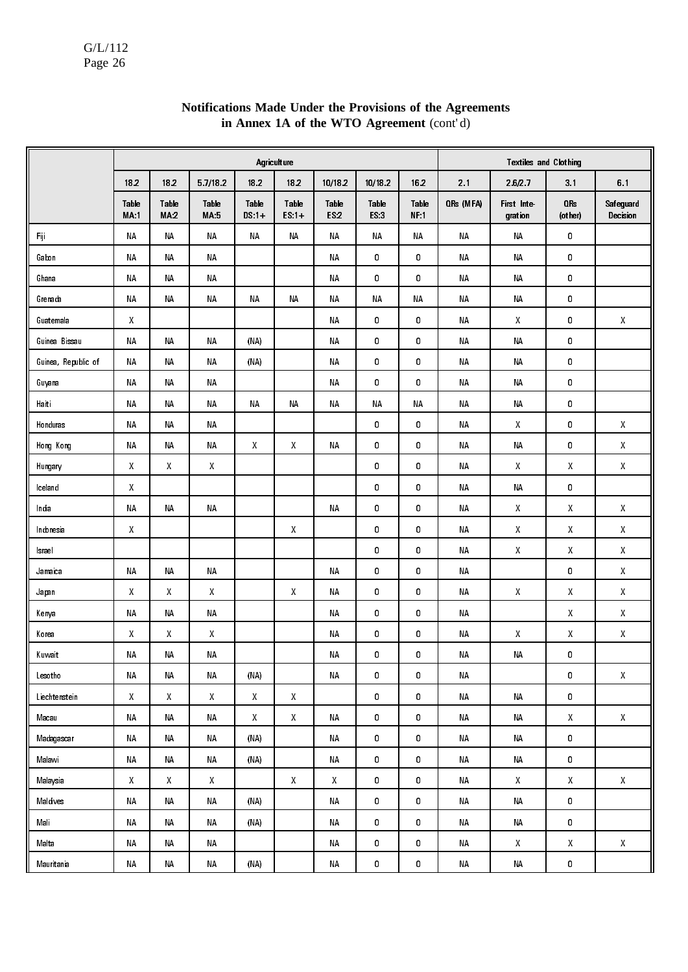|                     |                                                     |                    |                                                     |                    | Agriculture        |                      |               |               |           | <b>Textiles and Clothing</b> |                                                     |                                                     |
|---------------------|-----------------------------------------------------|--------------------|-----------------------------------------------------|--------------------|--------------------|----------------------|---------------|---------------|-----------|------------------------------|-----------------------------------------------------|-----------------------------------------------------|
|                     | 182                                                 | 182                | 5 7/18 2                                            | 182                | 182                | 10/18 2              | 10/18 2       | 162           | 2.1       | 26/27                        | 31                                                  | 61                                                  |
|                     | Table<br>MA:1                                       | Table<br>MA.2      | Table<br>MA.5                                       | Table<br>$DS:1+$   | Table<br>$ES:1+$   | Table<br><b>ES:2</b> | Table<br>ES:3 | Table<br>NF:1 | ORs (MFA) | First Inte<br>gration        | OR <sub>s</sub><br>(other)                          | Safeguard<br>Decision                               |
| Fiji                | NΑ                                                  | <b>NA</b>          | <b>NA</b>                                           | <b>NA</b>          | NΑ                 | NΑ                   | NΑ            | ΝA            | <b>NA</b> | ΝA                           | 0                                                   |                                                     |
| Gabon               | NΑ                                                  | <b>NA</b>          | <b>NA</b>                                           |                    |                    | NΑ                   | 0             | 0             | NΑ        | NΑ                           | 0                                                   |                                                     |
| Ghana               | NΑ                                                  | NΑ                 | ΝA                                                  |                    |                    | ΝA                   | 0             | 0             | NΑ        | NΑ                           | 0                                                   |                                                     |
| Grenada             | NΑ                                                  | <b>NA</b>          | ΝA                                                  | <b>NA</b>          | <b>NA</b>          | NΑ                   | ΝA            | <b>NA</b>     | NΑ        | ΝA                           | 0                                                   |                                                     |
| Guatemala           | $\pmb{\mathsf{X}}$                                  |                    |                                                     |                    |                    | ΝA                   | 0             | 0             | NΑ        | Χ                            | 0                                                   | $\mathsf{X}% _{0}^{\prime}=\mathsf{X}_{0}^{\prime}$ |
| Guinea Bissau       | NΑ                                                  | NΑ                 | NΑ                                                  | (NA)               |                    | ΝA                   | 0             | 0             | NΑ        | NΑ                           | 0                                                   |                                                     |
| Guinea, Republic of | ΝA                                                  | ΝA                 | ΝA                                                  | (NA)               |                    | ΝA                   | 0             | 0             | NΑ        | NΑ                           | 0                                                   |                                                     |
| Guyana              | NΑ                                                  | ΝA                 | ΝA                                                  |                    |                    | ΝA                   | 0             | 0             | NΑ        | NΑ                           | 0                                                   |                                                     |
| Haiti               | ΝA                                                  | ΝA                 | ΝA                                                  | ΝA                 | ΝA                 | ΝA                   | NΑ            | ΝA            | NΑ        | NΑ                           | 0                                                   |                                                     |
| Honduras            | NΑ                                                  | <b>NA</b>          | ΝA                                                  |                    |                    |                      | 0             | 0             | NΑ        | X                            | 0                                                   | Χ                                                   |
| Hong Kong           | ΝA                                                  | NΑ                 | ΝA                                                  | Х                  | X                  | NΑ                   | 0             | 0             | ΝA        | NΑ                           | 0                                                   | X                                                   |
| Hungary             | Χ                                                   | X                  | X                                                   |                    |                    |                      | 0             | 0             | ΝA        | X                            | Χ                                                   | Χ                                                   |
| Iceland             | Χ                                                   |                    |                                                     |                    |                    |                      | 0             | 0             | NΑ        | NΑ                           | 0                                                   |                                                     |
| India               | NΑ                                                  | <b>NA</b>          | <b>NA</b>                                           |                    |                    | ΝA                   | 0             | 0             | ΝA        | Χ                            | χ                                                   | X                                                   |
| Indonesia           | X                                                   |                    |                                                     |                    | X                  |                      | 0             | 0             | ΝA        | Χ                            | X                                                   | X                                                   |
| Israel              |                                                     |                    |                                                     |                    |                    |                      | 0             | 0             | NΑ        | Χ                            | χ                                                   | X                                                   |
| Jamaica             | NΑ                                                  | <b>NA</b>          | <b>NA</b>                                           |                    |                    | <b>NA</b>            | 0             | 0             | <b>NA</b> |                              | 0                                                   | X                                                   |
| Japan               | Χ                                                   | X                  | X                                                   |                    | X                  | ΝA                   | 0             | 0             | NΑ        | Χ                            | Χ                                                   | Χ                                                   |
| Kenya               | NΑ                                                  | NΑ                 | NΑ                                                  |                    |                    | ΝA                   | 0             | 0             | NΑ        |                              | X                                                   | X                                                   |
| Korea               | $\boldsymbol{X}$                                    | X                  | $\mathsf{X}% _{0}^{\prime}=\mathsf{X}_{0}^{\prime}$ |                    |                    | ΝA                   | 0             | 0             | NΑ        | Χ                            | χ                                                   | Χ                                                   |
| Kuwait              | NΑ                                                  | ΝA                 | NΑ                                                  |                    |                    | ΝA                   | 0             | 0             | NΑ        | NΑ                           | 0                                                   |                                                     |
| Lesotho             | <b>NA</b>                                           | NA                 | NΑ                                                  | (NA)               |                    | $\sf NA$             | 0             | 0             | ΝA        |                              | 0                                                   | $\mathsf{X}% _{0}^{\prime}=\mathsf{X}_{0}^{\prime}$ |
| Liechtenstein       | $\mathsf{X}% _{0}^{\prime}=\mathsf{X}_{0}^{\prime}$ | $\mathsf{X}% _{0}$ | $\mathsf{X}% _{0}^{\prime}=\mathsf{X}_{0}^{\prime}$ | $\mathsf{X}% _{0}$ | $\mathsf{X}% _{0}$ |                      | 0             | 0             | ΝA        | ΝA                           | 0                                                   |                                                     |
| Macau               | ΝA                                                  | NA                 | ΝA                                                  | $\mathsf{X}% _{0}$ | $\mathsf{X}% _{0}$ | ΝA                   | 0             | 0             | NΑ        | NΑ                           | $\mathsf{X}% _{0}^{\prime}=\mathsf{X}_{0}^{\prime}$ | $\mathsf X$                                         |
| Madagascar          | $\sf NA$                                            | NA                 | NA                                                  | (NA)               |                    | ΝA                   | 0             | 0             | NA        | $\sf NA$                     | $\mathbf 0$                                         |                                                     |
| Malawi              | NΑ                                                  | NA                 | NΑ                                                  | (NA)               |                    | NΑ                   | 0             | 0             | NΑ        | $\sf{NA}$                    | 0                                                   |                                                     |
| Malaysia            | X                                                   | X                  | $\mathsf{X}% _{0}$                                  |                    | $\mathsf{X}$       | X                    | 0             | 0             | NA        | X                            | $\mathsf{X}^-$                                      | $\mathsf X$                                         |
| Maldives            | NΑ                                                  | NA                 | NΑ                                                  | (NA)               |                    | ΝA                   | 0             | 0             | ΝA        | $\sf NA$                     | 0                                                   |                                                     |
| Mali                | ΝA                                                  | NA                 | NΑ                                                  | (NA)               |                    | ΝA                   | 0             | 0             | ΝA        | $\sf NA$                     | 0                                                   |                                                     |
| Malta               | ΝA                                                  | NA                 | $\sf NA$                                            |                    |                    | NA                   | 0             | 0             | ΝA        | $\pmb{\mathsf{X}}$           | $\mathsf{X}% _{0}^{\prime}=\mathsf{X}_{0}^{\prime}$ | $\mathsf{X}% _{0}^{\prime}=\mathsf{X}_{0}^{\prime}$ |
| Mauritania          | NΑ                                                  | NA                 | NΑ                                                  | (NA)               |                    | ΝA                   | 0             | 0             | NΑ        | $\sf{NA}$                    | 0                                                   |                                                     |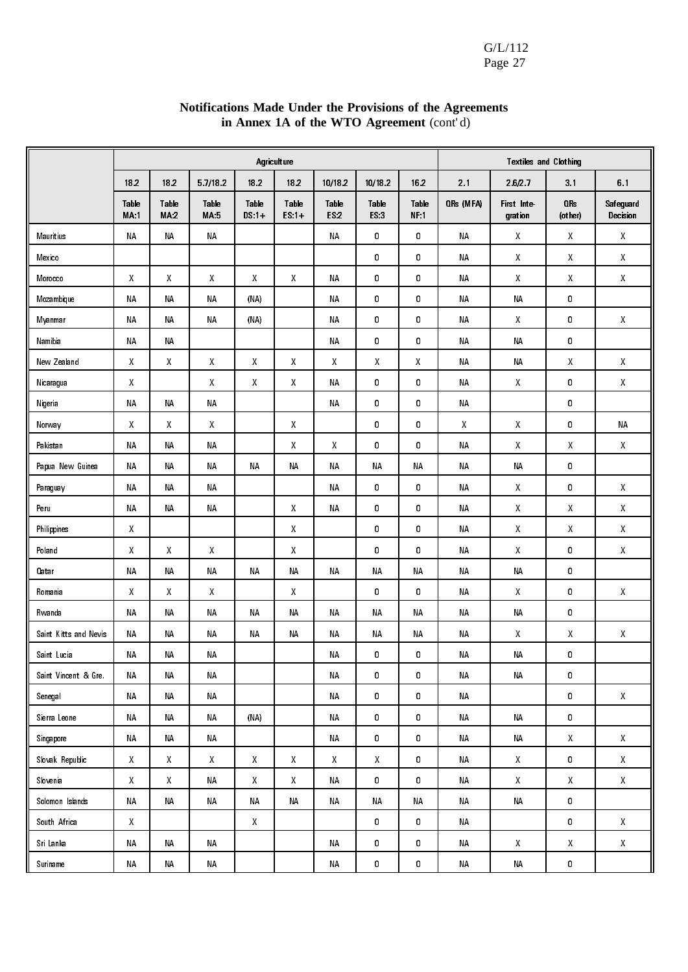#### Agriculture Textiles and Clothing 18.2 | 18.2 | 5.7/18.2 | 18.2 | 18.2 | 10/18.2 | 10/18.2 | 16.2 | 2.1 | 2.6/2.7 | 3.1 | 6.1 Table MA:1 Table MA:2 Table MA:5 Table DS:1+ Table ES:1+ Table ES:2 Table ES:3 Table NF:1 QRs (MFA) First Integration QRs (other) Safeguard Decision Mauritius | NA | NA | NA | NA | O | NA | X | X | X Mexico | | | | | | | | 0 | 0 | NA | X | X | X Morocco | X | X | X | X | X | NA | 0 | 0 | NA | X | X | X Mozambique | NA | NA | (NA) | | NA | O | O | NA | NA | C Myanmar | NA | NA | (NA) | | NA | 0 | 0 | NA | X | 0 | X Namibia NA NA NA 0 0 NA NA 0 New Zealand X X X X X X X X NA NA X X Nicaragua | X | X | X | X | NA | 0 | 0 | NA | X | 0 | X Nigeria | NA | NA | NA | NA | O | O | NA | O | C Norway | X | X | X | X | 0 | 0 | 0 | X | X | 0 | NA Pakistan | NA | NA | NA | X | X | O | O | NA | X | X | X Papua New Guinea NA NA NA NA NA NA NA NA NA NA 0 Paraguay | NA | NA | NA | NA | O | NA | X | O | X Peru | NA | NA | NA | X | NA | 0 | 0 | NA | X | X | X Philippines | X | | | | X | | 0 | 0 | NA | X | X | X Poland | X | X | X | X | X | 0 | 0 | NA | X | 0 | X Qatar NA NA NA NA NA NA NA NA NA NA 0 Romania | X | X | X | X | X | 0 | 0 | NA | X | 0 | X Rwanda NA NA NA NA NA NA NA NA NA NA 0 Saint Kitts and Nevis NA NA NA NA NA NA NA NA NA X X X Saint Lucia | NA | NA | NA | NA | NA | NA | NA | C Saint Vincent & Gre. | NA | NA | NA | NA | NA | NA | NA | O Senegal | NA | NA | NA | NA | O | NA | O | O | X Sierra Leone | NA | NA | NA | (NA) | | | NA | 0 | 0 | NA | NA | C Singapore | NA | NA | NA | NA | O | NA | NA | X | X Slovak Republic | X | X | X | X | X | X | X | 0 | NA | X | 0 | X Slovenia | X | X | NA | X | X | NA | 0 | 0 | NA | X | X | X Solomon Islands NA NA NA NA NA NA NA NA NA NA 0 South Africa | X | | | X | | | | | | 0 | | NA | | | | 0 | X Sri Lanka | NA | NA | I | NA | O | O | NA | X | X | X Suriname | NA | NA | NA | NA | NA | NA | C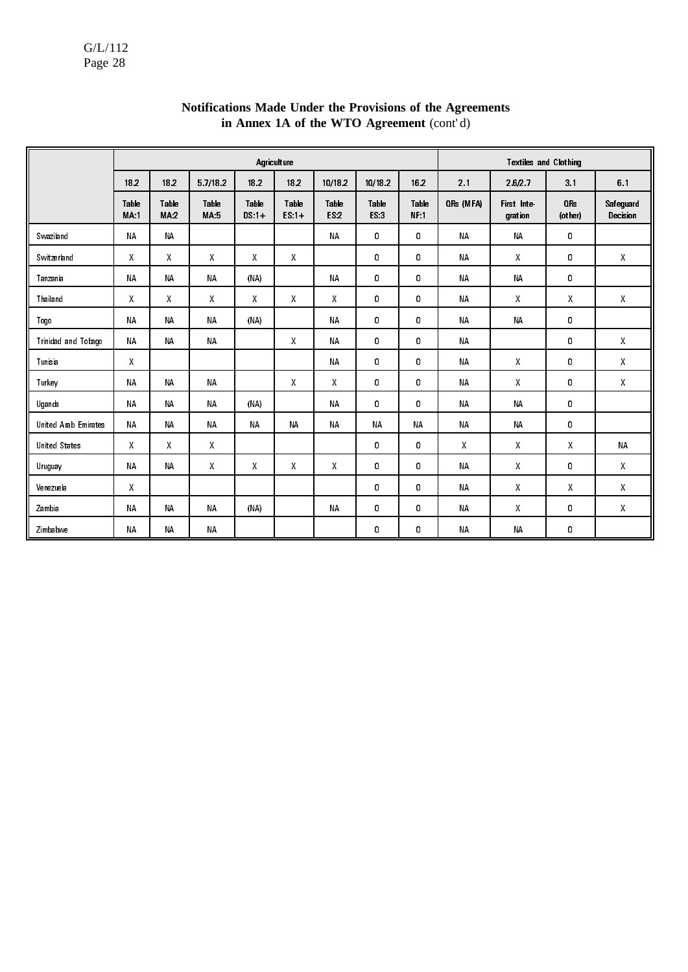|                      |                      |               |                     |                  | Agriculture      |               |               |               |           | <b>Textiles and Clothing</b> |                            |                       |
|----------------------|----------------------|---------------|---------------------|------------------|------------------|---------------|---------------|---------------|-----------|------------------------------|----------------------------|-----------------------|
|                      | 182                  | 18.2          | 57/182              | 182              | 182              | 10/18 2       | 10/18 2       | 16.2          | 21        | 26/27                        | 3.1                        | 61                    |
|                      | Table<br><b>MA:1</b> | Table<br>MA.2 | Table<br><b>MA5</b> | Table<br>$DS:1+$ | Table<br>$ES.1+$ | Table<br>ES.2 | Table<br>ES:3 | Table<br>NF:1 | QRs (MFA) | First Inte<br>gration        | QR <sub>s</sub><br>(other) | Safeguard<br>Decision |
| Swaziland            | <b>NA</b>            | <b>NA</b>     |                     |                  |                  | <b>NA</b>     | 0             | 0             | <b>NA</b> | <b>NA</b>                    | 0                          |                       |
| Switzerland          | $\mathsf{X}$         | $\mathsf{X}$  | X                   | X                | $\mathsf{X}$     |               | 0             | 0             | NΑ        | X                            | 0                          | X                     |
| Tanzania             | <b>NA</b>            | <b>NA</b>     | <b>NA</b>           | (NA)             |                  | <b>NA</b>     | 0             | 0             | <b>NA</b> | <b>NA</b>                    | 0                          |                       |
| Thailand             | $\mathsf{X}$         | $\mathsf{X}$  | X                   | X                | X                | X             | 0             | 0             | <b>NA</b> | X                            | X                          | X                     |
| Togo                 | <b>NA</b>            | <b>NA</b>     | <b>NA</b>           | (NA)             |                  | <b>NA</b>     | 0             | 0             | <b>NA</b> | <b>NA</b>                    | 0                          |                       |
| Trinidad and Tobago  | <b>NA</b>            | <b>NA</b>     | <b>NA</b>           |                  | X                | <b>NA</b>     | 0             | 0             | <b>NA</b> |                              | 0                          | X                     |
| Tunisia              | X                    |               |                     |                  |                  | ΝA            | 0             | 0             | <b>NA</b> | Χ                            | 0                          | X                     |
| Turkey               | <b>NA</b>            | <b>NA</b>     | <b>NA</b>           |                  | X                | $\mathsf{X}$  | 0             | 0             | <b>NA</b> | X                            | 0                          | X                     |
| Uganda               | <b>NA</b>            | <b>NA</b>     | <b>NA</b>           | (NA)             |                  | <b>NA</b>     | 0             | 0             | <b>NA</b> | <b>NA</b>                    | 0                          |                       |
| United Arab Emirates | <b>NA</b>            | <b>NA</b>     | <b>NA</b>           | <b>NA</b>        | <b>NA</b>        | <b>NA</b>     | <b>NA</b>     | <b>NA</b>     | <b>NA</b> | <b>NA</b>                    | 0                          |                       |
| <b>United States</b> | X                    | $\mathsf{X}$  | X                   |                  |                  |               | 0             | 0             | Χ         | X                            | X                          | <b>NA</b>             |
| Uruguay              | <b>NA</b>            | <b>NA</b>     | X                   | X                | X                | X             | 0             | 0             | <b>NA</b> | X                            | 0                          | X                     |
| Venezuela            | X                    |               |                     |                  |                  |               | 0             | 0             | NΑ        | X                            | X                          | X                     |
| Zambia               | <b>NA</b>            | <b>NA</b>     | <b>NA</b>           | (NA)             |                  | <b>NA</b>     | 0             | 0             | <b>NA</b> | X                            | 0                          | X                     |
| Zimbabwe             | <b>NA</b>            | <b>NA</b>     | <b>NA</b>           |                  |                  |               | 0             | 0             | <b>NA</b> | <b>NA</b>                    | 0                          |                       |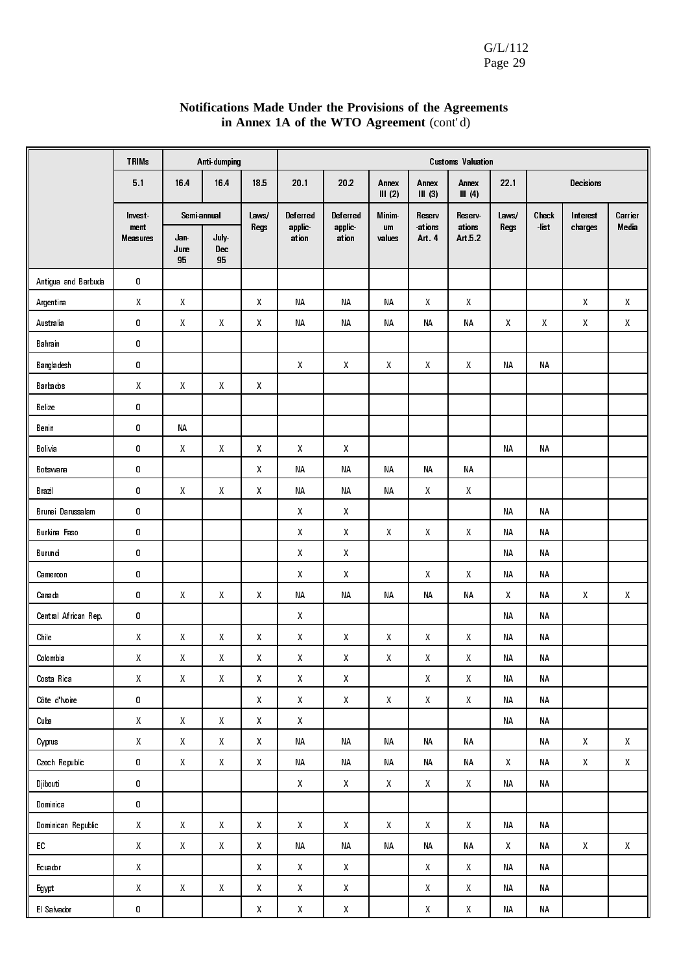| Notifications Made Under the Provisions of the Agreements |
|-----------------------------------------------------------|
| in Annex 1A of the WTO Agreement (cont'd)                 |

|                      | <b>TRIMs</b>                                        |                                                     | Anti-dumping                                        |                    |                                                     | <b>Customs Valuation</b>                            |                                                     |                                                     |                                                     |              |             |                                                     |                                                     |
|----------------------|-----------------------------------------------------|-----------------------------------------------------|-----------------------------------------------------|--------------------|-----------------------------------------------------|-----------------------------------------------------|-----------------------------------------------------|-----------------------------------------------------|-----------------------------------------------------|--------------|-------------|-----------------------------------------------------|-----------------------------------------------------|
|                      | 5.1                                                 | 16.4                                                | 16.4                                                | 185                | 20 1                                                | 202                                                 | Annex<br>III(2)                                     | Annex<br>$III$ (3)                                  | Annex<br>III(4)                                     | 22.1         |             | Decisions                                           |                                                     |
|                      | Invest                                              | Semi-annual                                         |                                                     | Laws/              | Deferred                                            | Deferred                                            | <b>Minim</b>                                        | Reserv                                              | Reserv                                              | Laws/        | Check       | Interest                                            | Carrier                                             |
|                      | ment<br><b>Measures</b>                             | Jan<br>June<br>95                                   | July-<br>Dec<br>95                                  | Regs               | applic<br>ation                                     | applic<br>ation                                     | um<br>values                                        | ations<br>Art 4                                     | ations<br>Art 5.2                                   | Regs         | <b>list</b> | charges                                             | Media                                               |
| Antigua and Barbuda  | 0                                                   |                                                     |                                                     |                    |                                                     |                                                     |                                                     |                                                     |                                                     |              |             |                                                     |                                                     |
| Argentina            | $\mathsf{X}$                                        | Χ                                                   |                                                     | Χ                  | <b>NA</b>                                           | <b>NA</b>                                           | <b>NA</b>                                           | Χ                                                   | $\mathsf{X}% _{0}^{\prime}=\mathsf{X}_{0}^{\prime}$ |              |             | $\mathsf{X}% _{0}^{\prime}=\mathsf{X}_{0}^{\prime}$ | $\mathsf{X}% _{0}^{\prime}=\mathsf{X}_{0}^{\prime}$ |
| Australia            | 0                                                   | Χ                                                   | X                                                   | Χ                  | <b>NA</b>                                           | NΑ                                                  | <b>NA</b>                                           | <b>NA</b>                                           | <b>NA</b>                                           | $\mathsf{X}$ | Χ           | $\mathsf{X}% _{0}^{\prime}=\mathsf{X}_{0}^{\prime}$ | Χ                                                   |
| Bahrain              | 0                                                   |                                                     |                                                     |                    |                                                     |                                                     |                                                     |                                                     |                                                     |              |             |                                                     |                                                     |
| Bangladesh           | 0                                                   |                                                     |                                                     |                    | $\boldsymbol{X}$                                    | X                                                   | X                                                   | X                                                   | $\mathsf{X}$                                        | <b>NA</b>    | <b>NA</b>   |                                                     |                                                     |
| Barbados             | X                                                   | X                                                   | $\pmb{\mathsf{X}}$                                  | Χ                  |                                                     |                                                     |                                                     |                                                     |                                                     |              |             |                                                     |                                                     |
| Belize               | 0                                                   |                                                     |                                                     |                    |                                                     |                                                     |                                                     |                                                     |                                                     |              |             |                                                     |                                                     |
| Benin                | 0                                                   | ΝA                                                  |                                                     |                    |                                                     |                                                     |                                                     |                                                     |                                                     |              |             |                                                     |                                                     |
| Bolivia              | 0                                                   | Χ                                                   | Χ                                                   | Χ                  | $\pmb{\mathsf{X}}$                                  | Χ                                                   |                                                     |                                                     |                                                     | <b>NA</b>    | <b>NA</b>   |                                                     |                                                     |
| Botswana             | 0                                                   |                                                     |                                                     | Χ                  | <b>NA</b>                                           | NА                                                  | <b>NA</b>                                           | ΝA                                                  | <b>NA</b>                                           |              |             |                                                     |                                                     |
| Brazil               | 0                                                   | Χ                                                   | Χ                                                   | Χ                  | ΝA                                                  | ΝA                                                  | <b>NA</b>                                           | Χ                                                   | $\mathsf{X}% _{0}^{\prime}=\mathsf{X}_{0}^{\prime}$ |              |             |                                                     |                                                     |
| Brunei Darussalam    | 0                                                   |                                                     |                                                     |                    | $\mathsf{X}$                                        | $\mathsf{X}% _{0}^{\prime}=\mathsf{X}_{0}^{\prime}$ |                                                     |                                                     |                                                     | <b>NA</b>    | <b>NA</b>   |                                                     |                                                     |
| Burkina Faso         | 0                                                   |                                                     |                                                     |                    | $\pmb{\mathsf{X}}$                                  | $\mathsf{X}$                                        | X                                                   | Χ                                                   | $\pmb{\mathsf{X}}$                                  | <b>NA</b>    | NA          |                                                     |                                                     |
| Burundi              | 0                                                   |                                                     |                                                     |                    | $\pmb{\mathsf{X}}$                                  | $\mathsf{X}% _{0}^{\prime}=\mathsf{X}_{0}^{\prime}$ |                                                     |                                                     |                                                     | <b>NA</b>    | <b>NA</b>   |                                                     |                                                     |
| Cameroon             | 0                                                   |                                                     |                                                     |                    | $\mathsf{X}$                                        | $\boldsymbol{X}$                                    |                                                     | Χ                                                   | $\mathsf{X}$                                        | <b>NA</b>    | <b>NA</b>   |                                                     |                                                     |
| Canada               | 0                                                   | X                                                   | X                                                   | Χ                  | <b>NA</b>                                           | <b>NA</b>                                           | <b>NA</b>                                           | <b>NA</b>                                           | <b>NA</b>                                           | X            | <b>NA</b>   | $\mathsf{X}% _{0}^{\prime}=\mathsf{X}_{0}^{\prime}$ | $\mathsf{X}% _{0}^{\prime}=\mathsf{X}_{0}^{\prime}$ |
| Central African Rep. | 0                                                   |                                                     |                                                     |                    | X                                                   |                                                     |                                                     |                                                     |                                                     | <b>NA</b>    | <b>NA</b>   |                                                     |                                                     |
| Chile                | X                                                   | X                                                   | $\pmb{\mathsf{X}}$                                  | Χ                  | $\mathsf{X}$                                        | X                                                   | X                                                   | Χ                                                   | $\mathsf{X}$                                        | <b>NA</b>    | <b>NA</b>   |                                                     |                                                     |
| Colombia             | Χ                                                   | Χ                                                   | Χ                                                   | Χ                  | Χ                                                   | X                                                   | X                                                   | Χ                                                   | Χ                                                   | <b>NA</b>    | <b>NA</b>   |                                                     |                                                     |
| Costa Rica           | $\mathsf{X}% _{0}^{\prime}=\mathsf{X}_{0}^{\prime}$ | $\mathsf{X}% _{0}^{\prime}=\mathsf{X}_{0}^{\prime}$ | $\mathsf X$                                         | $\pmb{\chi}$       | $\mathsf X$                                         | $\mathsf{X}% _{0}^{\prime}=\mathsf{X}_{0}^{\prime}$ |                                                     | $\mathsf{X}% _{0}^{\prime}=\mathsf{X}_{0}^{\prime}$ | $\pmb{\chi}$                                        | <b>NA</b>    | <b>NA</b>   |                                                     |                                                     |
| Côte d'Ivoire        | 0                                                   |                                                     |                                                     | X                  | $\pmb{\mathsf{X}}$                                  | $\pmb{\mathsf{X}}$                                  | $\mathsf{X}% _{0}^{\prime}=\mathsf{X}_{0}^{\prime}$ | $\mathsf X$                                         | $\mathsf{X}% _{0}^{\prime}=\mathsf{X}_{0}^{\prime}$ | NA           | ΝA          |                                                     |                                                     |
| Cuba                 | $\mathsf{X}% _{0}^{\prime}=\mathsf{X}_{0}^{\prime}$ | X                                                   | $\mathsf{X}% _{0}^{\prime}=\mathsf{X}_{0}^{\prime}$ | X                  | $\pmb{\mathsf{X}}$                                  |                                                     |                                                     |                                                     |                                                     | ΝA           | ΝA          |                                                     |                                                     |
| Cyprus               | $\pmb{\mathsf{X}}$                                  | $\pmb{\mathsf{X}}$                                  | $\mathsf{X}% _{0}^{\prime}=\mathsf{X}_{0}^{\prime}$ | $\pmb{\mathsf{X}}$ | ΝA                                                  | NΑ                                                  | ΝA                                                  | $\sf NA$                                            | $\sf NA$                                            |              | ΝA          | $\mathsf{X}% _{0}$                                  | $\mathsf{X}^-$                                      |
| Czech Republic       | 0                                                   | $\mathsf X$                                         | $\mathsf{X}% _{0}^{\prime}=\mathsf{X}_{0}^{\prime}$ | $\mathsf{X}^-$     | NA                                                  | NΑ                                                  | NA                                                  | NΑ                                                  | NA                                                  | $\mathsf{X}$ | ΝA          | $\mathsf{X}^-$                                      | $\mathsf{X}^-$                                      |
| Djibouti             | 0                                                   |                                                     |                                                     |                    | $\mathsf X$                                         | $\mathsf X$                                         | $\mathsf{X}% _{0}^{\prime}=\mathsf{X}_{0}^{\prime}$ | $\mathsf{X}% _{0}$                                  | $\mathsf{X}% _{0}^{\prime}=\mathsf{X}_{0}^{\prime}$ | ΝA           | ΝA          |                                                     |                                                     |
| Dominica             | 0                                                   |                                                     |                                                     |                    |                                                     |                                                     |                                                     |                                                     |                                                     |              |             |                                                     |                                                     |
| Dominican Republic   | $\pmb{\mathsf{X}}$                                  | $\pmb{\mathsf{X}}$                                  | $\mathsf X$                                         | $\mathsf X$        | $\mathsf X$                                         | $\mathsf{X}$                                        | $\mathsf{X}% _{0}^{\prime}=\mathsf{X}_{0}^{\prime}$ | $\pmb{\mathsf{X}}$                                  | $\mathsf{X}% _{0}$                                  | NΑ           | ΝA          |                                                     |                                                     |
| EC                   | $\mathsf X$                                         | $\pmb{\mathsf{X}}$                                  | $\mathsf X$                                         | X                  | NΑ                                                  | NΑ                                                  | NΑ                                                  | NΑ                                                  | NA                                                  | X            | ΝA          | $\mathsf{X}% _{0}$                                  | $\mathsf{X}^-$                                      |
| Ecuador              | $\mathsf{X}% _{0}^{\prime}=\mathsf{X}_{0}^{\prime}$ |                                                     |                                                     | $\mathsf{X}^-$     | $\mathsf X$                                         | $\boldsymbol{X}$                                    |                                                     | $\mathsf{X}% _{0}^{\prime}=\mathsf{X}_{0}^{\prime}$ | $\mathsf{X}% _{0}$                                  | ΝA           | <b>NA</b>   |                                                     |                                                     |
| Egypt                | $\pmb{\mathsf{X}}$                                  | $\mathsf{X}% _{0}^{\prime}=\mathsf{X}_{0}^{\prime}$ | $\mathsf X$                                         | Χ                  | $\mathsf X$                                         | X                                                   |                                                     | $\mathsf{X}% _{0}^{\prime}=\mathsf{X}_{0}^{\prime}$ | $\mathsf{X}% _{0}$                                  | ΝA           | <b>NA</b>   |                                                     |                                                     |
| El Salvador          | $\pmb{0}$                                           |                                                     |                                                     | $\mathsf X$        | $\mathsf{X}% _{0}^{\prime}=\mathsf{X}_{0}^{\prime}$ | $\pmb{\mathsf{X}}$                                  |                                                     | Χ                                                   | $\pmb{\mathsf{X}}$                                  | ΝA           | NA          |                                                     |                                                     |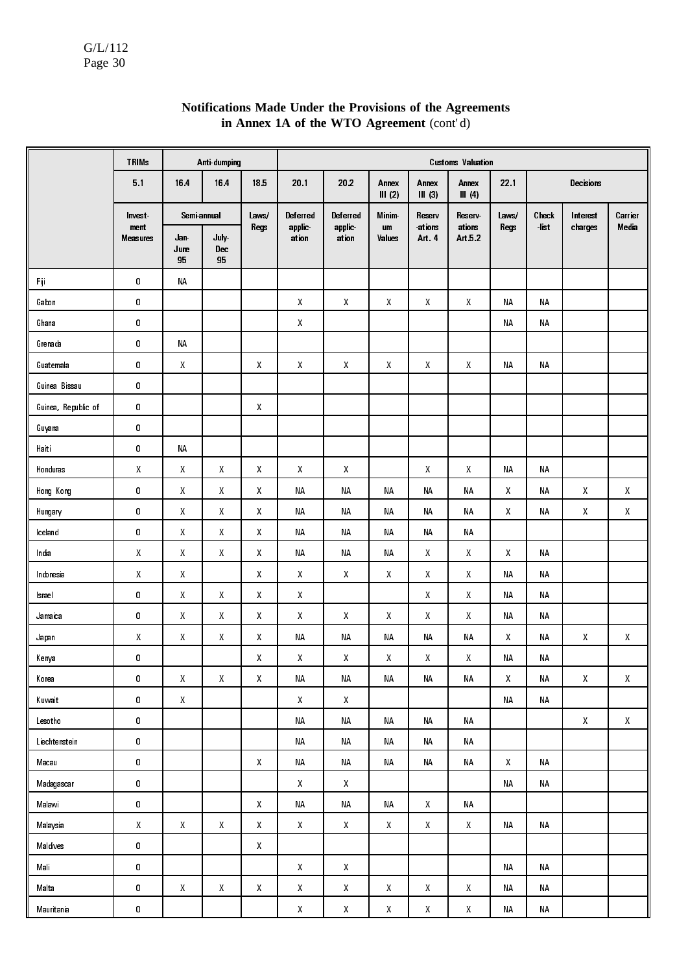|                     | <b>TRIMs</b>            |                                                     | Anti-dumping                                        |                                                     |                                                     |                                                     |                 |                    | <b>Customs Valuation</b>                            |                    |             |                                                     |                                                     |
|---------------------|-------------------------|-----------------------------------------------------|-----------------------------------------------------|-----------------------------------------------------|-----------------------------------------------------|-----------------------------------------------------|-----------------|--------------------|-----------------------------------------------------|--------------------|-------------|-----------------------------------------------------|-----------------------------------------------------|
|                     | 51                      | 164                                                 | 164                                                 | 185                                                 | 20.1                                                | 20.2                                                | Annex<br>III(2) | Annex<br>$III$ (3) | Annex<br>III(4)                                     | 221                |             | Decisions                                           |                                                     |
|                     | Invest                  | Semi-annual                                         |                                                     | Laws/                                               | Deferred                                            | Deferred                                            | <b>Minim</b>    | Reserv             | Reserv                                              | Laws/              | Check       | Interest                                            | Carrier                                             |
|                     | ment<br><b>Measures</b> | Jan<br>June<br>95                                   | July-<br>Dec<br>95                                  | Regs                                                | applic<br>ation                                     | applic<br>ation                                     | um<br>Values    | ations<br>Art 4    | ations<br>Art 5.2                                   | Regs               | <b>list</b> | charges                                             | Media                                               |
| Fiji                | $\pmb{0}$               | ΝA                                                  |                                                     |                                                     |                                                     |                                                     |                 |                    |                                                     |                    |             |                                                     |                                                     |
| Gabon               | $\pmb{0}$               |                                                     |                                                     |                                                     | X                                                   | X                                                   | X               | X                  | X                                                   | <b>NA</b>          | <b>NA</b>   |                                                     |                                                     |
| Ghana               | $\pmb{0}$               |                                                     |                                                     |                                                     | Χ                                                   |                                                     |                 |                    |                                                     | ΝA                 | NΑ          |                                                     |                                                     |
| Grenada             | $\pmb{0}$               | ΝA                                                  |                                                     |                                                     |                                                     |                                                     |                 |                    |                                                     |                    |             |                                                     |                                                     |
| Guatemala           | $\pmb{0}$               | $\pmb{\mathsf{X}}$                                  |                                                     | X                                                   | Χ                                                   | X                                                   | X               | X                  | X                                                   | ΝA                 | ΝA          |                                                     |                                                     |
| Guinea Bissau       | $\pmb{0}$               |                                                     |                                                     |                                                     |                                                     |                                                     |                 |                    |                                                     |                    |             |                                                     |                                                     |
| Guinea, Republic of | 0                       |                                                     |                                                     | $\boldsymbol{X}$                                    |                                                     |                                                     |                 |                    |                                                     |                    |             |                                                     |                                                     |
| Guyana              | $\pmb{0}$               |                                                     |                                                     |                                                     |                                                     |                                                     |                 |                    |                                                     |                    |             |                                                     |                                                     |
| Haiti               | $\pmb{0}$               | $\sf NA$                                            |                                                     |                                                     |                                                     |                                                     |                 |                    |                                                     |                    |             |                                                     |                                                     |
| Honduras            | $\mathsf{X}$            | $\mathsf{X}% _{0}^{\prime}=\mathsf{X}_{0}^{\prime}$ | $\boldsymbol{X}$                                    | $\mathsf{X}% _{0}^{\prime}=\mathsf{X}_{0}^{\prime}$ | X                                                   | $\mathsf{X}% _{0}$                                  |                 | $\mathsf{X}$       | $\mathsf{X}$                                        | <b>NA</b>          | <b>NA</b>   |                                                     |                                                     |
| Hong Kong           | $\pmb{0}$               | $\mathsf{X}$                                        | $\pmb{\mathsf{X}}$                                  | $\mathsf{X}$                                        | <b>NA</b>                                           | <b>NA</b>                                           | <b>NA</b>       | ΝA                 | <b>NA</b>                                           | X                  | <b>NA</b>   | $\mathsf{X}% _{0}$                                  | $\mathsf{X}$                                        |
| Hungary             | $\pmb{0}$               | X                                                   | $\pmb{\mathsf{X}}$                                  | $\mathsf{X}$                                        | <b>NA</b>                                           | <b>NA</b>                                           | <b>NA</b>       | ΝA                 | <b>NA</b>                                           | X                  | ΝA          | $\mathsf X$                                         | $\mathsf{X}$                                        |
| Iceland             | $\pmb{0}$               | $\mathsf{X}$                                        | $\pmb{\mathsf{X}}$                                  | $\mathsf X$                                         | <b>NA</b>                                           | <b>NA</b>                                           | <b>NA</b>       | <b>NA</b>          | <b>NA</b>                                           |                    |             |                                                     |                                                     |
| India               | $\pmb{\mathsf{X}}$      | X                                                   | $\pmb{\mathsf{X}}$                                  | $\mathsf{X}$                                        | <b>NA</b>                                           | <b>NA</b>                                           | <b>NA</b>       | X                  | $\mathsf X$                                         | X                  | NA          |                                                     |                                                     |
| Indonesia           | $\pmb{\chi}$            | $\mathsf{X}% _{0}^{\prime}=\mathsf{X}_{0}^{\prime}$ |                                                     | $\mathsf{X}% _{0}$                                  | Χ                                                   | $\mathsf{X}% _{0}^{\prime}=\mathsf{X}_{0}^{\prime}$ | $\mathsf{X}$    | Χ                  | $\pmb{\chi}$                                        | ΝA                 | NA          |                                                     |                                                     |
| Israel              | $\pmb{0}$               | Χ                                                   | $\mathsf{X}$                                        | $\mathsf{X}% _{0}$                                  | Χ                                                   |                                                     |                 | Χ                  | $\mathsf{X}% _{0}$                                  | <b>NA</b>          | <b>NA</b>   |                                                     |                                                     |
| Jamaica             | $\pmb{0}$               | Χ                                                   | $\mathsf{X}$                                        | $\mathsf{X}% _{0}^{\prime}=\mathsf{X}_{0}^{\prime}$ | Χ                                                   | $\mathsf{X}% _{0}^{\prime}=\mathsf{X}_{0}^{\prime}$ | $\mathsf{X}$    | Χ                  | $\mathsf{X}% _{0}$                                  | ΝA                 | <b>NA</b>   |                                                     |                                                     |
| Japan               | Χ                       | $\mathsf{X}% _{0}^{\prime}=\mathsf{X}_{0}^{\prime}$ | $\mathsf{X}% _{0}^{\prime}=\mathsf{X}_{0}^{\prime}$ | $\mathsf{X}% _{0}^{\prime}=\mathsf{X}_{0}^{\prime}$ | <b>NA</b>                                           | ΝA                                                  | NА              | <b>NA</b>          | <b>NA</b>                                           | X                  | <b>NA</b>   | $\mathsf{X}% _{0}^{\prime}=\mathsf{X}_{0}^{\prime}$ | Χ                                                   |
| Kenya               | 0                       |                                                     |                                                     | Χ                                                   | Χ                                                   | Χ                                                   | X               | Χ                  | χ                                                   | <b>NA</b>          | NΑ          |                                                     |                                                     |
| Korea               | 0                       | $\mathsf{X}% _{0}$                                  | $\mathsf{X}% _{0}$                                  | $\mathsf{X}^-$                                      | <b>NA</b>                                           | $\sf NA$                                            | NA              | NА                 | NA                                                  | $\mathsf{X}% _{0}$ | NA          | $\mathsf{X}^-$                                      | $\mathsf{X}% _{0}^{\prime}=\mathsf{X}_{0}^{\prime}$ |
| Kuwait              | $\pmb{0}$               | $\mathsf{X}% _{0}$                                  |                                                     |                                                     | $\mathsf{X}% _{0}^{\prime}=\mathsf{X}_{0}^{\prime}$ | $\mathsf{X}$                                        |                 |                    |                                                     | NA                 | NA          |                                                     |                                                     |
| Lesotho             | $\pmb{0}$               |                                                     |                                                     |                                                     | <b>NA</b>                                           | $\sf NA$                                            | <b>NA</b>       | NА                 | <b>NA</b>                                           |                    |             | $\mathsf{X}^-$                                      | $\mathsf{X}% _{0}^{\prime}=\mathsf{X}_{0}^{\prime}$ |
| Liechtenstein       | 0                       |                                                     |                                                     |                                                     | NA                                                  | NΑ                                                  | NA              | ΝA                 | <b>NA</b>                                           |                    |             |                                                     |                                                     |
| Macau               | $\pmb{0}$               |                                                     |                                                     | $\mathsf{X}% _{0}$                                  | <b>NA</b>                                           | NA                                                  | NA              | ΝA                 | <b>NA</b>                                           | $\mathsf{X}^-$     | NA          |                                                     |                                                     |
| Madagascar          | $\pmb{0}$               |                                                     |                                                     |                                                     | $\mathsf{X}% _{0}$                                  | $\mathsf{X}% _{0}$                                  |                 |                    |                                                     | NΑ                 | NA          |                                                     |                                                     |
| Malawi              | $\pmb{0}$               |                                                     |                                                     | $\mathsf{X}% _{0}$                                  | <b>NA</b>                                           | $\sf NA$                                            | NA              | $\mathsf{X}^-$     | <b>NA</b>                                           |                    |             |                                                     |                                                     |
| Malaysia            | $\mathsf X$             | $\mathsf X$                                         | X                                                   | $\mathsf{X}% _{0}$                                  | X                                                   | X                                                   | $\mathsf X$     | $\mathsf{X}^-$     | $\mathsf{X}^-$                                      | NΑ                 | NA          |                                                     |                                                     |
| Maldives            | 0                       |                                                     |                                                     | $\mathsf{X}% _{0}$                                  |                                                     |                                                     |                 |                    |                                                     |                    |             |                                                     |                                                     |
| Mali                | 0                       |                                                     |                                                     |                                                     | $\mathsf{X}% _{0}^{\prime}=\mathsf{X}_{0}^{\prime}$ | $\mathsf{X}% _{0}$                                  |                 |                    |                                                     | ΝA                 | NA          |                                                     |                                                     |
| Malta               | 0                       | $\mathsf{X}% _{0}^{\prime}=\mathsf{X}_{0}^{\prime}$ | $\mathsf{X}% _{0}^{\prime}=\mathsf{X}_{0}^{\prime}$ | $\mathsf{X}% _{0}$                                  | $\mathsf{X}% _{0}^{\prime}=\mathsf{X}_{0}^{\prime}$ | $\mathsf{X}$                                        | $\mathsf X$     | $\mathsf{X}$       | $\mathsf{X}% _{0}$                                  | ΝA                 | NA          |                                                     |                                                     |
| Mauritania          | $\pmb{0}$               |                                                     |                                                     |                                                     | $\mathsf{X}% _{0}^{\prime}=\mathsf{X}_{0}^{\prime}$ | $\mathsf{X}% _{0}^{\prime}=\mathsf{X}_{0}^{\prime}$ | $\mathsf{X}$    | $\mathsf{X}% _{0}$ | $\mathsf{X}% _{0}^{\prime}=\mathsf{X}_{0}^{\prime}$ | NΑ                 | NΑ          |                                                     |                                                     |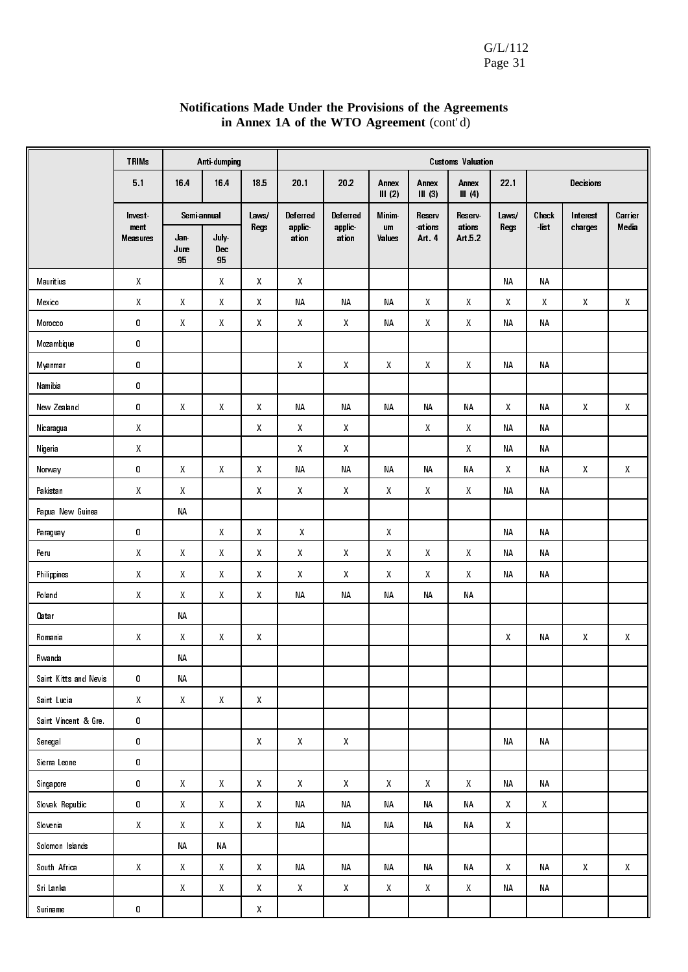| Notifications Made Under the Provisions of the Agreements |
|-----------------------------------------------------------|
| in Annex 1A of the WTO Agreement (cont'd)                 |

|                       | <b>TRIMs</b>            |                    | Anti-dumping                                        |                                                     |                                                     |                                                     |                  |                                                     | <b>Customs Valuation</b>                            |                  |           |                                                     |                                                     |
|-----------------------|-------------------------|--------------------|-----------------------------------------------------|-----------------------------------------------------|-----------------------------------------------------|-----------------------------------------------------|------------------|-----------------------------------------------------|-----------------------------------------------------|------------------|-----------|-----------------------------------------------------|-----------------------------------------------------|
|                       | 5 <sub>1</sub>          | 16.4               | 164                                                 | 185                                                 | 201                                                 | 202                                                 | Annex<br>III (2) | Annex<br>$III$ (3)                                  | Annex<br>III(4)                                     | 221              |           | Decisions                                           |                                                     |
|                       | <b>Invest</b>           | Semi-annual        |                                                     | Laws/                                               | Deferred                                            | Deferred                                            | Minim-           | Reserv                                              | Reserv                                              | Laws/            | Check     | Interest                                            | Carrier                                             |
|                       | ment<br><b>Measures</b> | Jan<br>June<br>95  | July-<br>Dec<br>95                                  | Regs                                                | applic<br>ation                                     | applic<br>ation                                     | um<br>Values     | ations<br>Art 4                                     | ations<br>Art 5.2                                   | Regs             | -list     | charges                                             | Media                                               |
| Mauritius             | $\mathsf{X}$            |                    | $\boldsymbol{X}$                                    | $\pmb{\chi}$                                        | $\pmb{\chi}$                                        |                                                     |                  |                                                     |                                                     | <b>NA</b>        | <b>NA</b> |                                                     |                                                     |
| Mexico                | $\mathsf{X}$            | Χ                  | $\boldsymbol{X}$                                    | X                                                   | NΑ                                                  | <b>NA</b>                                           | <b>NA</b>        | $\mathsf{X}% _{0}^{\prime}=\mathsf{X}_{0}^{\prime}$ | $\mathsf{X}% _{0}$                                  | Χ                | X         | Χ                                                   | $\mathsf{X}% _{0}^{\prime}=\mathsf{X}_{0}^{\prime}$ |
| Morocco               | 0                       | $\pmb{\mathsf{X}}$ | $\boldsymbol{X}$                                    | $\pmb{\chi}$                                        | $\pmb{\chi}$                                        | X                                                   | <b>NA</b>        | $\mathsf{X}$                                        | $\mathsf{X}% _{0}$                                  | <b>NA</b>        | <b>NA</b> |                                                     |                                                     |
| Mozambique            | 0                       |                    |                                                     |                                                     |                                                     |                                                     |                  |                                                     |                                                     |                  |           |                                                     |                                                     |
| Myanmar               | 0                       |                    |                                                     |                                                     | Χ                                                   | $\mathsf{X}% _{0}^{\prime}=\mathsf{X}_{0}^{\prime}$ | Χ                | Χ                                                   | $\mathsf{X}% _{0}^{\prime}=\mathsf{X}_{0}^{\prime}$ | <b>NA</b>        | <b>NA</b> |                                                     |                                                     |
| Namibia               | 0                       |                    |                                                     |                                                     |                                                     |                                                     |                  |                                                     |                                                     |                  |           |                                                     |                                                     |
| New Zealand           | 0                       | X                  | $\mathsf{X}$                                        | Χ                                                   | <b>NA</b>                                           | <b>NA</b>                                           | <b>NA</b>        | <b>NA</b>                                           | <b>NA</b>                                           | X                | <b>NA</b> | Χ                                                   | $\boldsymbol{X}$                                    |
| Nicaragua             | X                       |                    |                                                     | Χ                                                   | $\pmb{\chi}$                                        | X                                                   |                  | Χ                                                   | $\mathsf{X}% _{0}^{\prime}=\mathsf{X}_{0}^{\prime}$ | <b>NA</b>        | <b>NA</b> |                                                     |                                                     |
| Nigeria               | $\boldsymbol{X}$        |                    |                                                     |                                                     | $\pmb{\chi}$                                        | $\mathsf{X}% _{0}^{\prime}=\mathsf{X}_{0}^{\prime}$ |                  |                                                     | $\mathsf{X}$                                        | <b>NA</b>        | <b>NA</b> |                                                     |                                                     |
| Norway                | 0                       | X                  | $\mathsf{X}$                                        | X                                                   | <b>NA</b>                                           | <b>NA</b>                                           | <b>NA</b>        | <b>NA</b>                                           | <b>NA</b>                                           | X                | <b>NA</b> | $\pmb{\mathsf{X}}$                                  | $\mathsf{X}% _{0}^{\prime}=\mathsf{X}_{0}^{\prime}$ |
| Pakistan              | $\boldsymbol{X}$        | X                  |                                                     | X                                                   | X                                                   | $\boldsymbol{X}$                                    | X                | X                                                   | $\mathsf{X}% _{0}$                                  | <b>NA</b>        | ΝA        |                                                     |                                                     |
| Papua New Guinea      |                         | ΝA                 |                                                     |                                                     |                                                     |                                                     |                  |                                                     |                                                     |                  |           |                                                     |                                                     |
| Paraguay              | 0                       |                    | $\boldsymbol{X}$                                    | $\pmb{\chi}$                                        | $\mathsf{X}$                                        |                                                     | X                |                                                     |                                                     | <b>NA</b>        | <b>NA</b> |                                                     |                                                     |
| Peru                  | $\boldsymbol{X}$        | $\pmb{\chi}$       | $\boldsymbol{X}$                                    | X                                                   | $\mathsf{X}$                                        | $\mathsf{X}% _{0}^{\prime}=\mathsf{X}_{0}^{\prime}$ | X                | $\mathsf{X}% _{0}^{\prime}=\mathsf{X}_{0}^{\prime}$ | $\mathsf{X}$                                        | <b>NA</b>        | <b>NA</b> |                                                     |                                                     |
| Philippines           | $\mathsf{X}$            | X                  | $\boldsymbol{X}$                                    | Χ                                                   | X                                                   | $\pmb{\mathsf{X}}$                                  | X                | X                                                   | X                                                   | <b>NA</b>        | NA        |                                                     |                                                     |
| Poland                | $\boldsymbol{X}$        | $\boldsymbol{X}$   | X                                                   | X                                                   | <b>NA</b>                                           | NΑ                                                  | <b>NA</b>        | <b>NA</b>                                           | <b>NA</b>                                           |                  |           |                                                     |                                                     |
| <b>Oatar</b>          |                         | ΝA                 |                                                     |                                                     |                                                     |                                                     |                  |                                                     |                                                     |                  |           |                                                     |                                                     |
| Romania               | X                       | Χ                  | X                                                   | Χ                                                   |                                                     |                                                     |                  |                                                     |                                                     | Χ                | <b>NA</b> | Χ                                                   | X                                                   |
| Rwanda                |                         | ΝA                 |                                                     |                                                     |                                                     |                                                     |                  |                                                     |                                                     |                  |           |                                                     |                                                     |
| Saint Kitts and Nevis | 0                       | ΝA                 |                                                     |                                                     |                                                     |                                                     |                  |                                                     |                                                     |                  |           |                                                     |                                                     |
| Saint Lucia           | $\pmb{\mathsf{X}}$      | $\pmb{\mathsf{X}}$ | $\pmb{\mathsf{X}}$                                  | $\mathsf{X}% _{0}$                                  |                                                     |                                                     |                  |                                                     |                                                     |                  |           |                                                     |                                                     |
| Saint Vincent & Gre   | 0                       |                    |                                                     |                                                     |                                                     |                                                     |                  |                                                     |                                                     |                  |           |                                                     |                                                     |
| Senegal               | 0                       |                    |                                                     | $\boldsymbol{X}$                                    | $\pmb{\mathsf{X}}$                                  | $\mathsf X$                                         |                  |                                                     |                                                     | ΝA               | ΝA        |                                                     |                                                     |
| Sierra Leone          | 0                       |                    |                                                     |                                                     |                                                     |                                                     |                  |                                                     |                                                     |                  |           |                                                     |                                                     |
| Singapore             | 0                       | Χ                  | $\mathsf{X}% _{0}^{\prime}=\mathsf{X}_{0}^{\prime}$ | $\mathsf{X}% _{0}^{\prime}=\mathsf{X}_{0}^{\prime}$ | $\pmb{\mathsf{X}}$                                  | $\mathsf X$                                         | Χ                | X                                                   | $\mathsf X$                                         | ΝA               | ΝA        |                                                     |                                                     |
| Slovak Republic       | 0                       | Χ                  | $\pmb{\mathsf{X}}$                                  | $\mathsf{X}% _{0}^{\prime}=\mathsf{X}_{0}^{\prime}$ | ΝA                                                  | NΑ                                                  | ΝA               | ΝA                                                  | ΝA                                                  | X                | X         |                                                     |                                                     |
| Slovenia              | X                       | Χ                  | $\boldsymbol{X}$                                    | X                                                   | ΝA                                                  | ΝA                                                  | ΝA               | ΝA                                                  | ΝA                                                  | $\boldsymbol{X}$ |           |                                                     |                                                     |
| Solomon Islands       |                         | ΝA                 | ΝA                                                  |                                                     |                                                     |                                                     |                  |                                                     |                                                     |                  |           |                                                     |                                                     |
| South Africa          | Χ                       | Χ                  | X                                                   | X.                                                  | NΑ                                                  | ΝA                                                  | ΝA               | ΝA                                                  | ΝA                                                  | Х                | ΝA        | $\mathsf{X}% _{0}^{\prime}=\mathsf{X}_{0}^{\prime}$ | $\mathsf{X}$                                        |
| Sri Lanka             |                         | χ                  | Χ                                                   | Χ                                                   | $\mathsf{X}% _{0}^{\prime}=\mathsf{X}_{0}^{\prime}$ | X                                                   | Χ                | Χ                                                   | $\mathsf{X}% _{0}^{\prime}=\mathsf{X}_{0}^{\prime}$ | ΝA               | ΝA        |                                                     |                                                     |
| Suriname              | 0                       |                    |                                                     | Χ                                                   |                                                     |                                                     |                  |                                                     |                                                     |                  |           |                                                     |                                                     |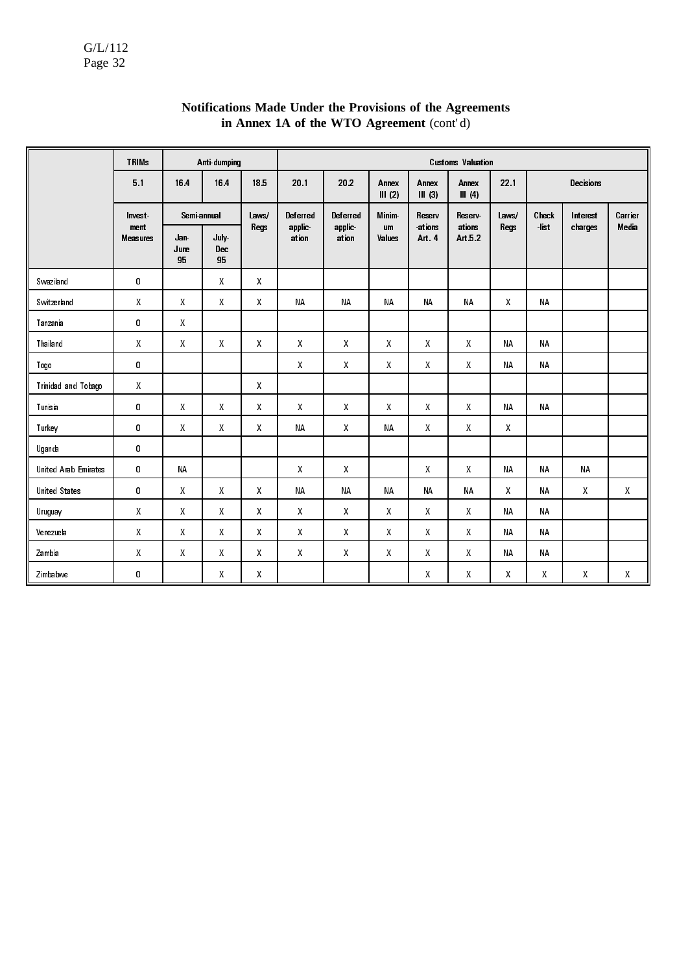|                      | <b>TRIMs</b>            |                   | Anti-dumping              |              |                 | <b>Customs Valuation</b> |                     |                    |                   |           |           |           |         |  |
|----------------------|-------------------------|-------------------|---------------------------|--------------|-----------------|--------------------------|---------------------|--------------------|-------------------|-----------|-----------|-----------|---------|--|
|                      | 5.1                     | 164               | 164                       | 185          | 20 <sub>1</sub> | 202                      | Annex<br>III (2)    | Annex<br>$III$ (3) | Annex<br>III(4)   | 22.1      |           | Decisions |         |  |
|                      | Invest                  | Semi-annual       |                           | Laws/        | Deferred        | Deferred                 | <b>Minim</b>        | Reserv             | Reserv            | Laws/     | Check     | Interest  | Carrier |  |
|                      | ment<br><b>Measures</b> | Jan<br>June<br>95 | July-<br><b>Dec</b><br>95 | Regs         | applic<br>ation | applic<br>ation          | <b>um</b><br>Values | ations<br>Art 4    | ations<br>Art 5.2 | Regs      | $-$ list  | charges   | Media   |  |
| Swaziland            | 0                       |                   | $\mathsf{X}$              | $\mathsf{X}$ |                 |                          |                     |                    |                   |           |           |           |         |  |
| Switzerland          | $\pmb{\mathsf{X}}$      | X                 | X                         | X            | <b>NA</b>       | <b>NA</b>                | <b>NA</b>           | <b>NA</b>          | <b>NA</b>         | X         | <b>NA</b> |           |         |  |
| Tanzania             | 0                       | X                 |                           |              |                 |                          |                     |                    |                   |           |           |           |         |  |
| Thailand             | X                       | X                 | $\mathsf{X}$              | X            | X               | X                        | X                   | X                  | $\mathsf{X}$      | <b>NA</b> | <b>NA</b> |           |         |  |
| Togo                 | 0                       |                   |                           |              | Χ               | $\mathsf{X}$             | Χ                   | X                  | X                 | <b>NA</b> | <b>NA</b> |           |         |  |
| Trinidad and Tobago  | $\pmb{\mathsf{X}}$      |                   |                           | $\mathsf{X}$ |                 |                          |                     |                    |                   |           |           |           |         |  |
| Tunisia              | $\mathbf 0$             | X                 | $\mathsf{X}$              | $\mathsf{X}$ | X               | X                        | X                   | X                  | X                 | <b>NA</b> | <b>NA</b> |           |         |  |
| Turkey               | 0                       | X                 | X                         | X            | <b>NA</b>       | $\mathsf{X}$             | <b>NA</b>           | X                  | X                 | X         |           |           |         |  |
| Uganda               | 0                       |                   |                           |              |                 |                          |                     |                    |                   |           |           |           |         |  |
| United Arab Emirates | 0                       | <b>NA</b>         |                           |              | X               | X                        |                     | X                  | X                 | <b>NA</b> | <b>NA</b> | <b>NA</b> |         |  |
| <b>United States</b> | 0                       | X                 | $\mathsf{X}$              | X            | <b>NA</b>       | <b>NA</b>                | <b>NA</b>           | <b>NA</b>          | <b>NA</b>         | X         | <b>NA</b> | X         | X       |  |
| Uruguay              | $\mathsf{X}$            | $\mathsf{X}$      | $\mathbf{X}$              | X            | $\mathsf{X}$    | X                        | X                   | X                  | $\mathsf{X}$      | <b>NA</b> | <b>NA</b> |           |         |  |
| Venezuela            | $\pmb{\mathsf{X}}$      | $\mathsf{X}$      | $\mathsf{X}$              | $\mathsf{X}$ | $\mathsf{X}$    | $\mathsf{X}$             | X                   | $\mathsf{X}$       | $\mathsf{X}$      | <b>NA</b> | <b>NA</b> |           |         |  |
| Zambia               | $\pmb{\mathsf{X}}$      | Χ                 | X                         | $\mathsf{X}$ | $\mathsf{X}$    | $\mathsf{X}$             | X                   | X                  | $\mathsf{X}$      | <b>NA</b> | NA        |           |         |  |
| Zimbabwe             | 0                       |                   | X                         | X            |                 |                          |                     | X                  | X                 | X         | X         | X         | X       |  |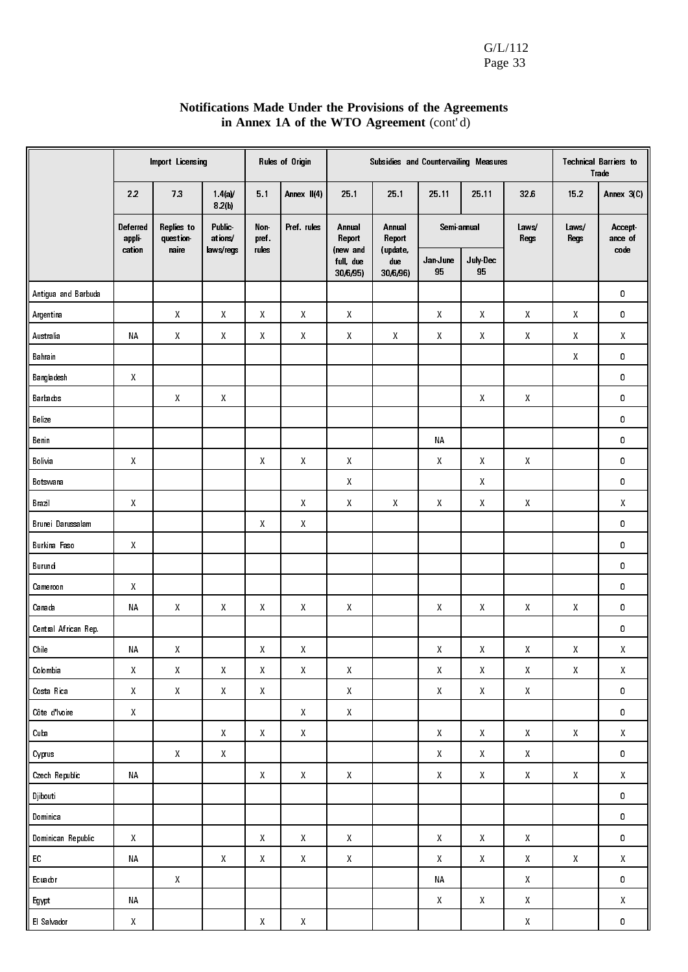| Notifications Made Under the Provisions of the Agreements |
|-----------------------------------------------------------|
| in Annex 1A of the WTO Agreement (cont'd)                 |

|                      |                    | Import Licensing                                    |                          |                                                     | Rules of Origin    |                                                     | Subsidies and Countervailing Measures |                                                     |                                                     |                    | <b>Technical Barriers to</b><br>Trade               |                          |  |  |
|----------------------|--------------------|-----------------------------------------------------|--------------------------|-----------------------------------------------------|--------------------|-----------------------------------------------------|---------------------------------------|-----------------------------------------------------|-----------------------------------------------------|--------------------|-----------------------------------------------------|--------------------------|--|--|
|                      | 22                 | 73                                                  | 1.4(a)<br>8.2(b)         | 5.1                                                 | Annex II(4)        | 25.1                                                | 25.1                                  | 25 11                                               | 25.11                                               | 326                | 152                                                 | Annex 3(C)               |  |  |
|                      | Deferred<br>appli  | Replies to<br>question                              | <b>Public</b><br>ations/ | Non-<br>pref                                        | Pref. rules        | Annual<br>Report                                    | Annual<br>Report                      | Semi-annual                                         |                                                     | Laws/<br>Regs      | Laws/<br>Regs                                       | <b>Accept</b><br>ance of |  |  |
|                      | cation             | naire                                               | laws/regs                | rules                                               |                    | (new and<br>full, due<br>30/6/95)                   | (update,<br>due<br>30/6/96)           | Jan June<br>95                                      | July Dec<br>95                                      |                    |                                                     | code                     |  |  |
| Antigua and Barbuda  |                    |                                                     |                          |                                                     |                    |                                                     |                                       |                                                     |                                                     |                    |                                                     | 0                        |  |  |
| Argentina            |                    | Χ                                                   | Х                        | $\mathsf{X}% _{0}^{\prime}=\mathsf{X}_{0}^{\prime}$ | $\mathsf{X}$       | $\pmb{\mathsf{X}}$                                  |                                       | X                                                   | Χ                                                   | $\boldsymbol{X}$   | Χ                                                   | 0                        |  |  |
| Australia            | NA                 | $\pmb{\mathsf{X}}$                                  | $\pmb{\mathsf{X}}$       | $\pmb{\mathsf{X}}$                                  | $\pmb{\mathsf{X}}$ | $\pmb{\mathsf{X}}$                                  | $\pmb{\mathsf{X}}$                    | $\pmb{\mathsf{X}}$                                  | $\mathsf{X}% _{0}^{\prime}=\mathsf{X}_{0}^{\prime}$ | $\mathsf{X}$       | $\mathsf{X}% _{0}^{\prime}=\mathsf{X}_{0}^{\prime}$ | Χ                        |  |  |
| Bahrain              |                    |                                                     |                          |                                                     |                    |                                                     |                                       |                                                     |                                                     |                    | Χ                                                   | 0                        |  |  |
| Bangladesh           | $\boldsymbol{X}$   |                                                     |                          |                                                     |                    |                                                     |                                       |                                                     |                                                     |                    |                                                     | 0                        |  |  |
| Barbados             |                    | X                                                   | X                        |                                                     |                    |                                                     |                                       |                                                     | X                                                   | X                  |                                                     | 0                        |  |  |
| Belize               |                    |                                                     |                          |                                                     |                    |                                                     |                                       |                                                     |                                                     |                    |                                                     | 0                        |  |  |
| Benin                |                    |                                                     |                          |                                                     |                    |                                                     |                                       | ΝA                                                  |                                                     |                    |                                                     | 0                        |  |  |
| Bolivia              | $\mathsf{X}$       |                                                     |                          | $\pmb{\mathsf{X}}$                                  | $\pmb{\mathsf{X}}$ | $\mathsf{X}% _{0}^{\prime}=\mathsf{X}_{0}^{\prime}$ |                                       | X                                                   | Χ                                                   | X                  |                                                     | 0                        |  |  |
| Botswana             |                    |                                                     |                          |                                                     |                    | $\mathsf{X}$                                        |                                       |                                                     | $\mathsf{X}% _{0}^{\prime}=\mathsf{X}_{0}^{\prime}$ |                    |                                                     | 0                        |  |  |
| Brazil               | $\mathsf{X}$       |                                                     |                          |                                                     | $\mathsf{X}$       | $\mathsf{X}$                                        | $\boldsymbol{X}$                      | $\mathsf{X}% _{0}^{\prime}=\mathsf{X}_{0}^{\prime}$ | Χ                                                   | $\pmb{\mathsf{X}}$ |                                                     | Χ                        |  |  |
| Brunei Darussalam    |                    |                                                     |                          | $\mathsf{X}$                                        | $\mathsf{X}$       |                                                     |                                       |                                                     |                                                     |                    |                                                     | 0                        |  |  |
| Burkina Faso         | $\mathsf{X}$       |                                                     |                          |                                                     |                    |                                                     |                                       |                                                     |                                                     |                    |                                                     | 0                        |  |  |
| Burundi              |                    |                                                     |                          |                                                     |                    |                                                     |                                       |                                                     |                                                     |                    |                                                     | 0                        |  |  |
| Cameroon             | X                  |                                                     |                          |                                                     |                    |                                                     |                                       |                                                     |                                                     |                    |                                                     | 0                        |  |  |
| Canada               | <b>NA</b>          | Χ                                                   | Χ                        | $\mathsf{X}% _{0}^{\prime}=\mathsf{X}_{0}^{\prime}$ | $\mathsf{X}$       | $\mathsf{X}$                                        |                                       | X                                                   | Χ                                                   | $\boldsymbol{X}$   | Χ                                                   | 0                        |  |  |
| Central African Rep. |                    |                                                     |                          |                                                     |                    |                                                     |                                       |                                                     |                                                     |                    |                                                     | 0                        |  |  |
| Chile                | <b>NA</b>          | Χ                                                   |                          | X                                                   | Χ                  |                                                     |                                       | χ                                                   | Χ                                                   | Χ                  | Χ                                                   | Χ                        |  |  |
| Colombia             | $\pmb{\mathsf{X}}$ | $\pmb{\mathsf{X}}$                                  | $\pmb{\mathsf{X}}$       | $\pmb{\mathsf{X}}$                                  | $\pmb{\mathsf{X}}$ | $\pmb{\mathsf{X}}$                                  |                                       | $\mathsf{X}$                                        | $\pmb{\mathsf{X}}$                                  | $\pmb{\mathsf{X}}$ | $\mathsf X$                                         | $\pmb{\mathsf{X}}$       |  |  |
| Costa Rica           | $\mathsf{X}% _{0}$ | $\mathsf{X}% _{0}^{\prime}=\mathsf{X}_{0}^{\prime}$ | $\pmb{\mathsf{X}}$       | $\pmb{\mathsf{X}}$                                  |                    | $\mathsf X$                                         |                                       | $\mathsf{X}% _{0}^{\prime}=\mathsf{X}_{0}^{\prime}$ | $\mathsf{X}% _{0}^{\prime}=\mathsf{X}_{0}^{\prime}$ | $\mathsf{X}% _{0}$ |                                                     | 0                        |  |  |
| Côte d'Ivoire        | $\mathsf{X}% _{0}$ |                                                     |                          |                                                     | $\mathsf{X}$       | $\pmb{\mathsf{X}}$                                  |                                       |                                                     |                                                     |                    |                                                     | 0                        |  |  |
| Cuba                 |                    |                                                     | $\pmb{\mathsf{X}}$       | $\mathsf{X}% _{0}^{\prime}=\mathsf{X}_{0}^{\prime}$ | $\pmb{\mathsf{X}}$ |                                                     |                                       | $\pmb{\mathsf{X}}$                                  | $\mathsf{X}% _{0}$                                  | $\mathsf{X}$       | $\mathsf{X}% _{0}$                                  | $\pmb{\mathsf{X}}$       |  |  |
| Cyprus               |                    | $\mathsf{X}% _{0}^{\prime}=\mathsf{X}_{0}^{\prime}$ | $\pmb{\chi}$             |                                                     |                    |                                                     |                                       | $\pmb{\mathsf{X}}$                                  | $\mathsf{X}% _{0}^{\prime}=\mathsf{X}_{0}^{\prime}$ | $\mathsf{X}% _{0}$ |                                                     | 0                        |  |  |
| Czech Republic       | NA                 |                                                     |                          | $\pmb{\mathsf{X}}$                                  | $\mathsf X$        | $\mathsf X$                                         |                                       | $\pmb{\mathsf{X}}$                                  | $\mathsf{X}% _{0}^{\prime}=\mathsf{X}_{0}^{\prime}$ | $\mathsf{X}% _{0}$ | $\mathsf{X}% _{0}^{\prime}=\mathsf{X}_{0}^{\prime}$ | $\pmb{\mathsf{X}}$       |  |  |
| Djibouti             |                    |                                                     |                          |                                                     |                    |                                                     |                                       |                                                     |                                                     |                    |                                                     | 0                        |  |  |
| Dominica             |                    |                                                     |                          |                                                     |                    |                                                     |                                       |                                                     |                                                     |                    |                                                     | 0                        |  |  |
| Dominican Republic   | X                  |                                                     |                          | $\pmb{\mathsf{X}}$                                  | $\pmb{\mathsf{X}}$ | $\pmb{\mathsf{X}}$                                  |                                       | $\pmb{\mathsf{X}}$                                  | $\mathsf{X}$                                        | X                  |                                                     | 0                        |  |  |
| EC                   | NA                 |                                                     | $\,$ X                   | $\pmb{\mathsf{X}}$                                  | $\pmb{\mathsf{X}}$ | $\mathsf{X}$                                        |                                       | $\mathsf{X}$                                        | $\mathsf{X}$                                        | $\mathsf{X}$       | $\mathsf{X}% _{0}$                                  | $\mathsf{X}$             |  |  |
| Ecuador              |                    | $\pmb{\mathsf{X}}$                                  |                          |                                                     |                    |                                                     |                                       | NΑ                                                  |                                                     | $\mathsf{X}$       |                                                     | 0                        |  |  |
| Egypt                | $\sf NA$           |                                                     |                          |                                                     |                    |                                                     |                                       | $\pmb{\mathsf{X}}$                                  | $\mathsf{X}% _{0}^{\prime}=\mathsf{X}_{0}^{\prime}$ | $\mathsf{X}$       |                                                     | $\mathsf{X}$             |  |  |
| El Salvador          | $\mathsf{X}$       |                                                     |                          | $\pmb{\mathsf{X}}$                                  | $\pmb{\mathsf{X}}$ |                                                     |                                       |                                                     |                                                     | $\mathsf{X}% _{0}$ |                                                     | 0                        |  |  |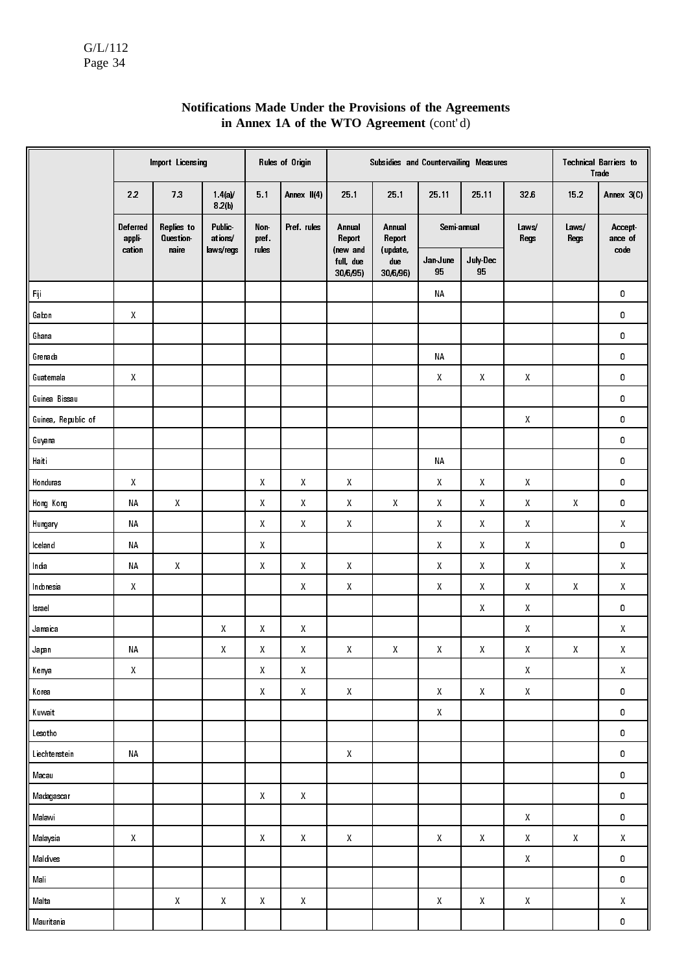|                         |                    | Import Licensing       |                      |                    | Rules of Origin                                     | Subsidies and Countervailing Measures<br><b>Technical Barriers to</b><br>Trade |                             |                                                     |                    |                                                     |                    |                           |  |
|-------------------------|--------------------|------------------------|----------------------|--------------------|-----------------------------------------------------|--------------------------------------------------------------------------------|-----------------------------|-----------------------------------------------------|--------------------|-----------------------------------------------------|--------------------|---------------------------|--|
|                         | 22                 | 73                     | $1.4(a)$ /<br>8.2(b) | 5.1                | Annex II(4)                                         | 25.1                                                                           | 25.1                        | 25.11                                               | 25 11              | 326                                                 | 152                | Annex 3(C)                |  |
|                         | Deferred<br>appli  | Replies to<br>Question | Public-<br>ations/   | Non-<br>pref.      | Pref. rules                                         | Annual<br>Report                                                               | Annual<br>Report            | Semi-annual                                         |                    | Laws/<br>Regs                                       | Laws/<br>Regs      | Accept<br>ance of<br>code |  |
|                         | cation             | naire                  | laws/regs            | rules              |                                                     | (new and<br>full, due<br>30/6/95)                                              | (update,<br>due<br>30/6/96) | Jan June<br>95                                      | July-Dec<br>95     |                                                     |                    |                           |  |
| $\mathsf{F}ij$          |                    |                        |                      |                    |                                                     |                                                                                |                             | <b>NA</b>                                           |                    |                                                     |                    | 0                         |  |
| Gabon                   | $\pmb{\mathsf{X}}$ |                        |                      |                    |                                                     |                                                                                |                             |                                                     |                    |                                                     |                    | 0                         |  |
| Ghana                   |                    |                        |                      |                    |                                                     |                                                                                |                             |                                                     |                    |                                                     |                    | 0                         |  |
| Grenada                 |                    |                        |                      |                    |                                                     |                                                                                |                             | <b>NA</b>                                           |                    |                                                     |                    | 0                         |  |
| Guatemala               | $\pmb{\mathsf{X}}$ |                        |                      |                    |                                                     |                                                                                |                             | Χ                                                   | $\pmb{\mathsf{X}}$ | Χ                                                   |                    | 0                         |  |
| Guinea Bissau           |                    |                        |                      |                    |                                                     |                                                                                |                             |                                                     |                    |                                                     |                    | 0                         |  |
| Guinea, Republic of     |                    |                        |                      |                    |                                                     |                                                                                |                             |                                                     |                    | Χ                                                   |                    | 0                         |  |
| Guyana                  |                    |                        |                      |                    |                                                     |                                                                                |                             |                                                     |                    |                                                     |                    | 0                         |  |
| Haiti                   |                    |                        |                      |                    |                                                     |                                                                                |                             | <b>NA</b>                                           |                    |                                                     |                    | 0                         |  |
| Honduras                | $\mathsf X$        |                        |                      | Χ                  | $\mathsf{X}% _{0}^{\prime}=\mathsf{X}_{0}^{\prime}$ | $\boldsymbol{X}$                                                               |                             | $\boldsymbol{X}$                                    | X                  | $\pmb{\mathsf{X}}$                                  |                    | 0                         |  |
| Hong Kong               | <b>NA</b>          | $\pmb{\mathsf{X}}$     |                      | Χ                  | $\mathsf{X}% _{0}^{\prime}=\mathsf{X}_{0}^{\prime}$ | $\boldsymbol{X}$                                                               | Χ                           | $\mathsf{X}% _{0}^{\prime}=\mathsf{X}_{0}^{\prime}$ | X                  | Χ                                                   | $\pmb{\mathsf{X}}$ | 0                         |  |
| Hungary                 | <b>NA</b>          |                        |                      | Χ                  | $\mathsf{X}% _{0}$                                  | $\boldsymbol{X}$                                                               |                             | Χ                                                   | X                  | Χ                                                   |                    | $\pmb{\mathsf{X}}$        |  |
| Iceland                 | <b>NA</b>          |                        |                      | Χ                  |                                                     |                                                                                |                             | $\pmb{\mathsf{X}}$                                  | $\boldsymbol{X}$   | Χ                                                   |                    | 0                         |  |
| India                   | <b>NA</b>          | $\pmb{\mathsf{X}}$     |                      | Χ                  | $\mathsf{X}% _{0}^{\prime}=\mathsf{X}_{0}^{\prime}$ | $\pmb{\mathsf{X}}$                                                             |                             | Χ                                                   | $\mathsf{X}$       | X                                                   |                    | Χ                         |  |
| Indonesia               | $\mathsf{X}% _{0}$ |                        |                      |                    | $\mathsf{X}% _{0}^{\prime}=\mathsf{X}_{0}^{\prime}$ | $\pmb{\mathsf{X}}$                                                             |                             | Χ                                                   | X                  | X                                                   | Χ                  | $\pmb{\mathsf{X}}$        |  |
| Israel                  |                    |                        |                      |                    |                                                     |                                                                                |                             |                                                     | $\mathsf{X}$       | $\mathsf{X}% _{0}^{\prime}=\mathsf{X}_{0}^{\prime}$ |                    | 0                         |  |
| Jamaica                 |                    |                        | $\pmb{\mathsf{X}}$   | $\pmb{\mathsf{X}}$ | $\pmb{\mathsf{X}}$                                  |                                                                                |                             |                                                     |                    | Χ                                                   |                    | $\pmb{\mathsf{X}}$        |  |
| Japan                   | NΑ                 |                        | X                    | Χ                  | $\mathsf{X}% _{0}^{\prime}=\mathsf{X}_{0}^{\prime}$ | X                                                                              | Χ                           | $\pmb{\mathsf{X}}$                                  | X                  | $\mathsf{X}% _{0}^{\prime}=\mathsf{X}_{0}^{\prime}$ | $\pmb{\mathsf{X}}$ | $\pmb{\mathsf{X}}$        |  |
| Kenya                   | $\pmb{\mathsf{X}}$ |                        |                      | $\pmb{\mathsf{X}}$ | X                                                   |                                                                                |                             |                                                     |                    | $\pmb{\mathsf{X}}$                                  |                    | $\pmb{\mathsf{X}}$        |  |
| Korea                   |                    |                        |                      | $\pmb{\mathsf{X}}$ | $\pmb{\mathsf{X}}$                                  | $\pmb{\mathsf{X}}$                                                             |                             | $\pmb{\mathsf{X}}$                                  | $\pmb{\mathsf{X}}$ | $\pmb{\mathsf{X}}$                                  |                    | 0                         |  |
| Kuwait                  |                    |                        |                      |                    |                                                     |                                                                                |                             | $\pmb{\mathsf{X}}$                                  |                    |                                                     |                    | 0                         |  |
| Lesotho                 |                    |                        |                      |                    |                                                     |                                                                                |                             |                                                     |                    |                                                     |                    | 0                         |  |
| Liechtenstein           | NA                 |                        |                      |                    |                                                     | $\pmb{\mathsf{X}}$                                                             |                             |                                                     |                    |                                                     |                    | 0                         |  |
| Macau                   |                    |                        |                      |                    |                                                     |                                                                                |                             |                                                     |                    |                                                     |                    | 0                         |  |
| Madagascar              |                    |                        |                      | $\pmb{\mathsf{X}}$ | X                                                   |                                                                                |                             |                                                     |                    |                                                     |                    | 0                         |  |
| Malawi                  |                    |                        |                      |                    |                                                     |                                                                                |                             |                                                     |                    | Χ                                                   |                    | 0                         |  |
| Malaysia                | $\pmb{\mathsf{X}}$ |                        |                      | X                  | X                                                   | $\pmb{\mathsf{X}}$                                                             |                             | Χ                                                   | $\pmb{\mathsf{X}}$ | Χ                                                   | X                  | X                         |  |
| Maldives                |                    |                        |                      |                    |                                                     |                                                                                |                             |                                                     |                    | X                                                   |                    | 0                         |  |
| $\mathsf{M}\mathsf{al}$ |                    |                        |                      |                    |                                                     |                                                                                |                             |                                                     |                    |                                                     |                    | 0                         |  |
| Malta                   |                    | $\pmb{\mathsf{X}}$     | $\pmb{\mathsf{X}}$   | Χ                  | $\pmb{\mathsf{X}}$                                  |                                                                                |                             | $\pmb{\mathsf{X}}$                                  | $\pmb{\mathsf{X}}$ | Χ                                                   |                    | $\pmb{\mathsf{X}}$        |  |
| Mauritania              |                    |                        |                      |                    |                                                     |                                                                                |                             |                                                     |                    |                                                     |                    | $\pmb{0}$                 |  |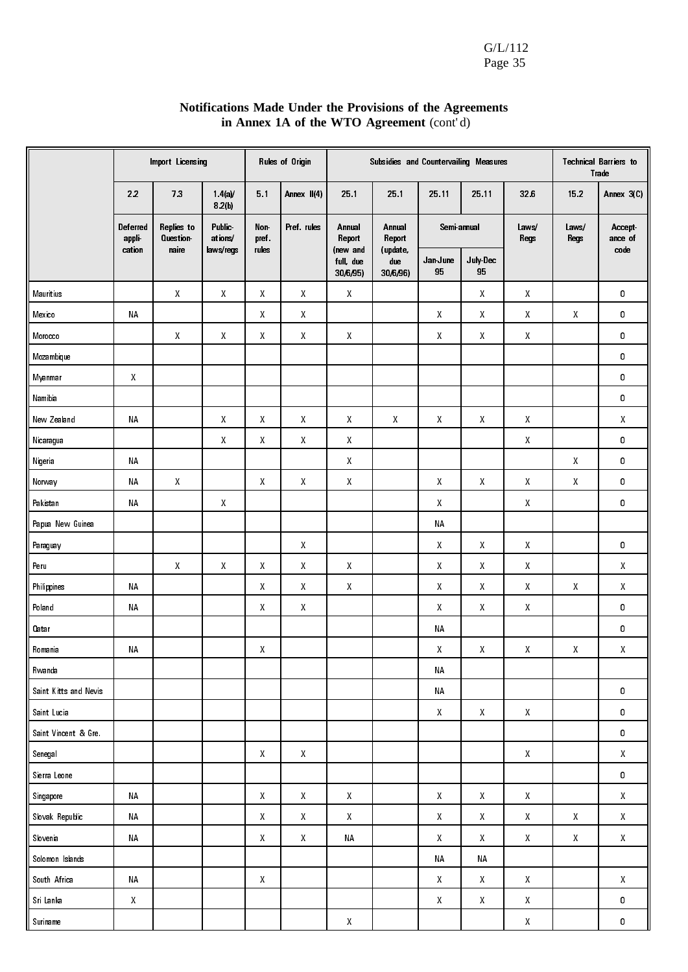|                       |                   | Import Licensing       |                          |                                                     | Rules of Origin                                     |                                   | Subsidies and Countervailing Measures<br><b>Technical Barriers to</b><br>Trade |                    |                    |                                                     |                                                     |                                                     |
|-----------------------|-------------------|------------------------|--------------------------|-----------------------------------------------------|-----------------------------------------------------|-----------------------------------|--------------------------------------------------------------------------------|--------------------|--------------------|-----------------------------------------------------|-----------------------------------------------------|-----------------------------------------------------|
|                       | 22                | 13                     | 1.4(a)<br>8.2(b)         | 5.1                                                 | Annex II(4)                                         | 25 1                              | 251                                                                            | 25 11              | 25.11              | 326                                                 | 152                                                 | Annex 3(C)                                          |
|                       | Deferred<br>appli | Replies to<br>Question | <b>Public</b><br>ations/ | Non-<br>pref.                                       | Pref. rules                                         | Annual<br>Report                  | Annual<br>Report                                                               | Semi-annual        |                    | Laws/<br>Regs                                       | Laws/<br><b>Regs</b>                                | Accept-<br>ance of                                  |
|                       | cation            | naire                  | laws/regs                | rules                                               |                                                     | (new and<br>full, due<br>30/6/95) | (update,<br>due<br>30/6/96)                                                    | Jan June<br>95     | July-Dec<br>95     |                                                     |                                                     | code                                                |
| Mauritius             |                   | X                      | $\boldsymbol{X}$         | $\boldsymbol{X}$                                    | X                                                   | X                                 |                                                                                |                    | X                  | $\mathsf{X}% _{0}^{\prime}=\mathsf{X}_{0}^{\prime}$ |                                                     | 0                                                   |
| Mexico                | <b>NA</b>         |                        |                          | $\pmb{\mathsf{X}}$                                  | $\pmb{\mathsf{X}}$                                  |                                   |                                                                                | X                  | X                  | $\mathsf{X}% _{0}^{\prime}=\mathsf{X}_{0}^{\prime}$ | $\mathsf{X}% _{0}^{\prime}=\mathsf{X}_{0}^{\prime}$ | 0                                                   |
| Morocco               |                   | Χ                      | Χ                        | $\pmb{\mathsf{X}}$                                  | $\pmb{\mathsf{X}}$                                  | $\pmb{\mathsf{X}}$                |                                                                                | X                  | Χ                  | $\mathsf{X}% _{0}^{\prime}=\mathsf{X}_{0}^{\prime}$ |                                                     | 0                                                   |
| Mozambique            |                   |                        |                          |                                                     |                                                     |                                   |                                                                                |                    |                    |                                                     |                                                     | 0                                                   |
| Myanmar               | $\mathsf X$       |                        |                          |                                                     |                                                     |                                   |                                                                                |                    |                    |                                                     |                                                     | 0                                                   |
| Namibia               |                   |                        |                          |                                                     |                                                     |                                   |                                                                                |                    |                    |                                                     |                                                     | 0                                                   |
| New Zealand           | $\sf NA$          |                        | Χ                        | $\mathsf{X}$                                        | $\mathsf{X}$                                        | $\mathsf{X}$                      | $\mathsf{X}% _{0}^{\prime}=\mathsf{X}_{0}^{\prime}$                            | $\mathsf{X}$       | Χ                  | Χ                                                   |                                                     | $\mathsf{X}% _{0}^{\prime}=\mathsf{X}_{0}^{\prime}$ |
| Nicaragua             |                   |                        | Χ                        | $\mathsf{X}$                                        | $\mathsf{X}$                                        | $\pmb{\mathsf{X}}$                |                                                                                |                    |                    | Χ                                                   |                                                     | 0                                                   |
| Nigeria               | <b>NA</b>         |                        |                          |                                                     |                                                     | $\mathsf{X}$                      |                                                                                |                    |                    |                                                     | X                                                   | 0                                                   |
| Norway                | <b>NA</b>         | Χ                      |                          | $\mathsf{X}$                                        | $\mathsf{X}$                                        | $\mathsf{X}$                      |                                                                                | $\boldsymbol{X}$   | X                  | X                                                   | $\mathsf X$                                         | 0                                                   |
| Pakistan              | ΝA                |                        | $\pmb{\chi}$             |                                                     |                                                     |                                   |                                                                                | $\pmb{\mathsf{X}}$ |                    | Χ                                                   |                                                     | 0                                                   |
| Papua New Guinea      |                   |                        |                          |                                                     |                                                     |                                   |                                                                                | <b>NA</b>          |                    |                                                     |                                                     |                                                     |
| Paraguay              |                   |                        |                          |                                                     | $\pmb{\mathsf{X}}$                                  |                                   |                                                                                | $\pmb{\mathsf{X}}$ | X                  | Χ                                                   |                                                     | 0                                                   |
| Peru                  |                   | Χ                      | $\pmb{\chi}$             | $\mathsf{X}% _{0}^{\prime}=\mathsf{X}_{0}^{\prime}$ | $\mathsf{X}% _{0}^{\prime}=\mathsf{X}_{0}^{\prime}$ | $\pmb{\mathsf{X}}$                |                                                                                | Χ                  | Χ                  | Χ                                                   |                                                     | Χ                                                   |
| Philippines           | ΝA                |                        |                          | $\mathsf{X}$                                        | $\mathsf{X}% _{0}^{\prime}=\mathsf{X}_{0}^{\prime}$ | $\pmb{\mathsf{X}}$                |                                                                                | $\pmb{\mathsf{X}}$ | Χ                  | Χ                                                   | Χ                                                   | $\mathsf{X}$                                        |
| Poland                | <b>NA</b>         |                        |                          | $\mathsf{X}% _{0}^{\prime}=\mathsf{X}_{0}^{\prime}$ | $\mathsf{X}% _{0}^{\prime}=\mathsf{X}_{0}^{\prime}$ |                                   |                                                                                | Χ                  | Χ                  | X                                                   |                                                     | 0                                                   |
| Qatar                 |                   |                        |                          |                                                     |                                                     |                                   |                                                                                | <b>NA</b>          |                    |                                                     |                                                     | 0                                                   |
| Romania               | ΝA                |                        |                          | $\mathsf{X}% _{0}^{\prime}=\mathsf{X}_{0}^{\prime}$ |                                                     |                                   |                                                                                | X                  | Χ                  | Χ                                                   | Χ                                                   | $\mathsf{X}% _{0}^{\prime}=\mathsf{X}_{0}^{\prime}$ |
| Rwanda                |                   |                        |                          |                                                     |                                                     |                                   |                                                                                | $\sf NA$           |                    |                                                     |                                                     |                                                     |
| Saint Kitts and Nevis |                   |                        |                          |                                                     |                                                     |                                   |                                                                                | <b>NA</b>          |                    |                                                     |                                                     | 0                                                   |
| Saint Lucia           |                   |                        |                          |                                                     |                                                     |                                   |                                                                                | $\pmb{\mathsf{X}}$ | $\boldsymbol{X}$   | $\mathsf{X}$                                        |                                                     | 0                                                   |
| Saint Vincent & Gre.  |                   |                        |                          |                                                     |                                                     |                                   |                                                                                |                    |                    |                                                     |                                                     | 0                                                   |
| Senegal               |                   |                        |                          | $\mathsf{X}$                                        | $\pmb{\mathsf{X}}$                                  |                                   |                                                                                |                    |                    | $\mathsf{X}% _{0}$                                  |                                                     | $\pmb{\mathsf{X}}$                                  |
| Sierra Leone          |                   |                        |                          |                                                     |                                                     |                                   |                                                                                |                    |                    |                                                     |                                                     | 0                                                   |
| Singapore             | ΝA                |                        |                          | $\pmb{\mathsf{X}}$                                  | $\pmb{\mathsf{X}}$                                  | $\pmb{\mathsf{X}}$                |                                                                                | $\pmb{\mathsf{X}}$ | $\pmb{\mathsf{X}}$ | $\mathsf{X}% _{0}$                                  |                                                     | $\pmb{\mathsf{X}}$                                  |
| Slovak Republic       | ΝA                |                        |                          | $\pmb{\mathsf{X}}$                                  | $\pmb{\mathsf{X}}$                                  | $\pmb{\mathsf{X}}$                |                                                                                | $\pmb{\mathsf{X}}$ | $\mathsf X$        | $\mathsf{X}% _{0}$                                  | $\pmb{\mathsf{X}}$                                  | $\mathsf{X}% _{0}$                                  |
| Slovenia              | ΝA                |                        |                          | $\pmb{\mathsf{X}}$                                  | $\mathsf{X}$                                        | NΑ                                |                                                                                | $\pmb{\mathsf{X}}$ | $\pmb{\mathsf{X}}$ | $\pmb{\mathsf{X}}$                                  | $\pmb{\mathsf{X}}$                                  | $\mathsf X$                                         |
| Solomon Islands       |                   |                        |                          |                                                     |                                                     |                                   |                                                                                | ΝA                 | ΝA                 |                                                     |                                                     |                                                     |
| South Africa          | ΝA                |                        |                          | $\pmb{\mathsf{X}}$                                  |                                                     |                                   |                                                                                | X                  | $\boldsymbol{X}$   | $\mathsf{X}% _{0}^{\prime}=\mathsf{X}_{0}^{\prime}$ |                                                     | $\mathsf{X}$                                        |
| Sri Lanka             | $\mathsf X$       |                        |                          |                                                     |                                                     |                                   |                                                                                | $\pmb{\mathsf{X}}$ | $\pmb{\mathsf{X}}$ | X                                                   |                                                     | 0                                                   |
| Suriname              |                   |                        |                          |                                                     |                                                     | $\pmb{\mathsf{X}}$                |                                                                                |                    |                    | $\pmb{\mathsf{X}}$                                  |                                                     | 0                                                   |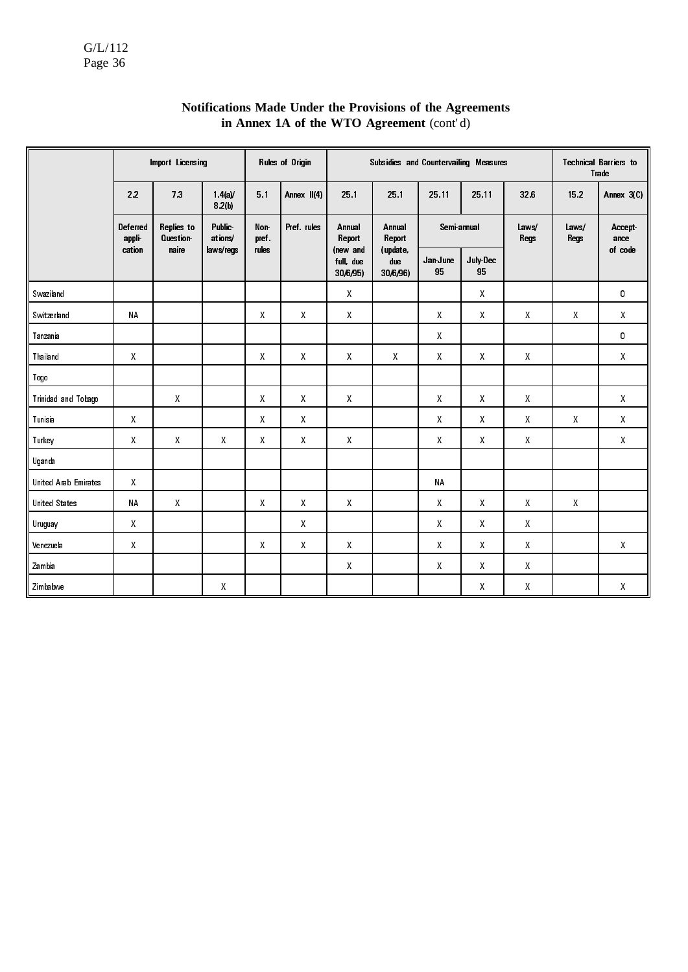|                      |                    | Import Licensing              |                          |                                                     | Rules of Origin |                                                     | Subsidies and Countervailing Measures |                    |                    |                    |               | <b>Technical Barriers to</b><br>Trade               |  |
|----------------------|--------------------|-------------------------------|--------------------------|-----------------------------------------------------|-----------------|-----------------------------------------------------|---------------------------------------|--------------------|--------------------|--------------------|---------------|-----------------------------------------------------|--|
|                      | 22                 | 73                            | 1.4(a)<br>8.2(b)         | 5.1                                                 | Annex II(4)     | 25 1                                                | 25 1                                  | 25.11              | 25.11              | 326                | 152           | Annex 3(C)                                          |  |
|                      | Deferred<br>appli  | Replies to<br><b>Question</b> | <b>Public</b><br>ations/ | Non-<br>pref.                                       | Pref. rules     | Annual<br>Report                                    | Annual<br>Report                      | Semi annual        |                    | Laws/<br>Regs      | Laws/<br>Regs | <b>Accept</b><br>ance                               |  |
|                      | cation             | naire                         | laws/regs                | rules                                               |                 | (new and<br>full, due<br>30/6/95)                   | (update,<br>due<br>30/6/96)           | Jan June<br>95     | July-Dec<br>95     |                    |               | of code                                             |  |
| Swaziland            |                    |                               |                          |                                                     |                 | X                                                   |                                       |                    | Χ                  |                    |               | 0                                                   |  |
| Switzerland          | NA                 |                               |                          | $\mathsf{X}% _{0}^{\prime}=\mathsf{X}_{0}^{\prime}$ | $\mathsf{X}$    | $\mathsf{X}% _{0}^{\prime}=\mathsf{X}_{0}^{\prime}$ |                                       | $\pmb{\mathsf{X}}$ | $\pmb{\mathsf{X}}$ | $\pmb{\mathsf{X}}$ | Χ             | $\mathsf{X}% _{0}^{\prime}=\mathsf{X}_{0}^{\prime}$ |  |
| Tanzania             |                    |                               |                          |                                                     |                 |                                                     |                                       | Χ                  |                    |                    |               | 0                                                   |  |
| Thailand             | $\mathsf{X}$       |                               |                          | $\mathsf{X}$                                        | X               | X                                                   | $\mathsf{X}$                          | X                  | $\mathsf{X}$       | $\mathsf{X}$       |               | $\mathsf{X}$                                        |  |
| Togo                 |                    |                               |                          |                                                     |                 |                                                     |                                       |                    |                    |                    |               |                                                     |  |
| Trinidad and Tobago  |                    | $\mathsf{X}$                  |                          | $\mathsf{X}$                                        | $\mathsf{X}$    | X                                                   |                                       | $\mathsf{X}$       | X                  | X                  |               | X                                                   |  |
| Tunisia              | $\mathsf{X}% _{0}$ |                               |                          | $\mathsf{X}% _{0}^{\prime}=\mathsf{X}_{0}^{\prime}$ | $\mathsf{X}$    |                                                     |                                       | $\mathsf{X}$       | X                  | X                  | $\mathsf{X}$  | $\mathsf{X}$                                        |  |
| Turkey               | X                  | X                             | X                        | X                                                   | X               | X                                                   |                                       | X                  | X                  | X                  |               | $\boldsymbol{X}$                                    |  |
| Uganda               |                    |                               |                          |                                                     |                 |                                                     |                                       |                    |                    |                    |               |                                                     |  |
| United Arab Emirates | $\mathsf{X}% _{0}$ |                               |                          |                                                     |                 |                                                     |                                       | <b>NA</b>          |                    |                    |               |                                                     |  |
| <b>United States</b> | <b>NA</b>          | $\mathsf{X}$                  |                          | $\mathsf{X}$                                        | X               | X                                                   |                                       | X                  | $\mathsf{X}$       | X                  | $\mathsf{X}$  |                                                     |  |
| Uruguay              | $\mathsf{X}$       |                               |                          |                                                     | Χ               |                                                     |                                       | Χ                  | Χ                  | Χ                  |               |                                                     |  |
| Venezuela            | X                  |                               |                          | $\mathsf{X}$                                        | X               | X                                                   |                                       | $\mathsf{X}$       | X                  | X                  |               | X                                                   |  |
| Zambia               |                    |                               |                          |                                                     |                 | $\pmb{\mathsf{X}}$                                  |                                       | X                  | X                  | X                  |               |                                                     |  |
| Zimbabwe             |                    |                               | X                        |                                                     |                 |                                                     |                                       |                    | X                  | X                  |               | X                                                   |  |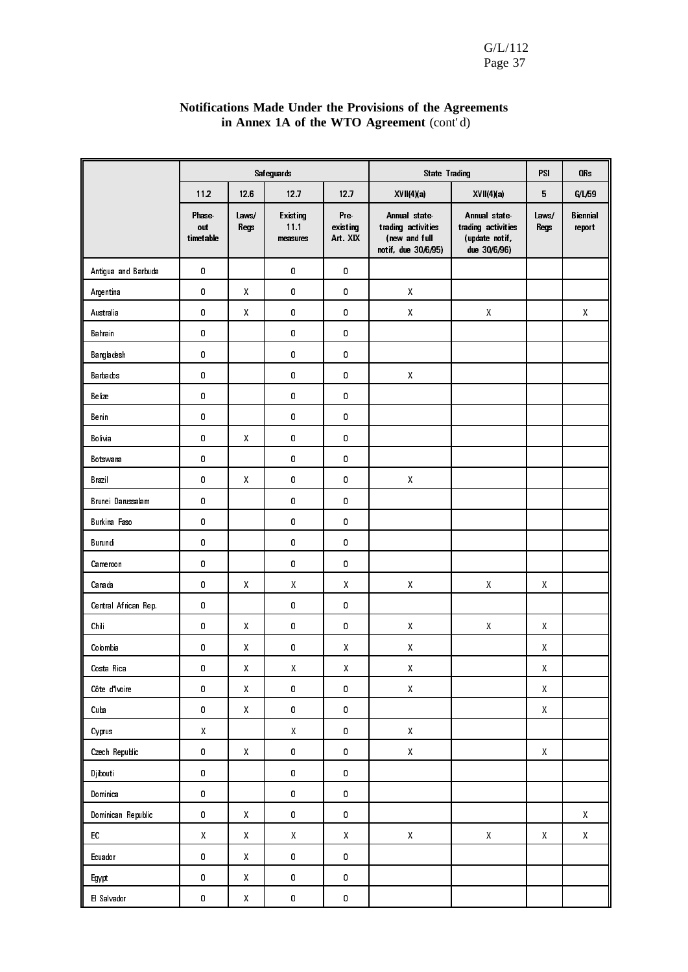|                      |                                                     |                                                     | Safeguards                   |                             | <b>State Trading</b>                                                       |                                                                      | PSI                                                 | OR <sub>s</sub>                                     |
|----------------------|-----------------------------------------------------|-----------------------------------------------------|------------------------------|-----------------------------|----------------------------------------------------------------------------|----------------------------------------------------------------------|-----------------------------------------------------|-----------------------------------------------------|
|                      | 11.2                                                | 126                                                 | 12.7                         | 12.7                        | XVII(4)(a)                                                                 | XVII(4)(a)                                                           | 5                                                   | G/L/59                                              |
|                      | <b>Phase</b><br>out<br>timetable                    | Laws/<br><b>Regs</b>                                | Existing<br>11.1<br>measures | Pre-<br>existing<br>Art XIX | Annual state<br>trading activities<br>(new and full<br>notif, due 30/6/95) | Annual state<br>trading activities<br>(update notif,<br>due 30/6/96) | Laws/<br>Regs                                       | <b>Biennial</b><br>report                           |
| Antigua and Barbuda  | 0                                                   |                                                     | 0                            | 0                           |                                                                            |                                                                      |                                                     |                                                     |
| Argentina            | 0                                                   | $\pmb{\mathsf{X}}$                                  | 0                            | 0                           | $\pmb{\mathsf{X}}$                                                         |                                                                      |                                                     |                                                     |
| Australia            | 0                                                   | $\pmb{\mathsf{X}}$                                  | 0                            | 0                           | $\mathsf X$                                                                | $\pmb{\mathsf{X}}$                                                   |                                                     | X                                                   |
| Bahrain              | 0                                                   |                                                     | 0                            | 0                           |                                                                            |                                                                      |                                                     |                                                     |
| Bangladesh           | 0                                                   |                                                     | 0                            | 0                           |                                                                            |                                                                      |                                                     |                                                     |
| <b>B</b> arbados     | 0                                                   |                                                     | 0                            | 0                           | $\mathsf{X}% _{0}^{\prime}=\mathsf{X}_{0}^{\prime}$                        |                                                                      |                                                     |                                                     |
| Belize               | 0                                                   |                                                     | 0                            | 0                           |                                                                            |                                                                      |                                                     |                                                     |
| Benin                | 0                                                   |                                                     | 0                            | 0                           |                                                                            |                                                                      |                                                     |                                                     |
| Bolivia              | 0                                                   | $\pmb{\mathsf{X}}$                                  | 0                            | 0                           |                                                                            |                                                                      |                                                     |                                                     |
| Botswana             | 0                                                   |                                                     | 0                            | 0                           |                                                                            |                                                                      |                                                     |                                                     |
| Brazil               | 0                                                   | $\pmb{\mathsf{X}}$                                  | 0                            | 0                           | $\mathsf X$                                                                |                                                                      |                                                     |                                                     |
| Brunei Darussalam    | 0                                                   |                                                     | 0                            | 0                           |                                                                            |                                                                      |                                                     |                                                     |
| Burkina Faso         | 0                                                   |                                                     | 0                            | 0                           |                                                                            |                                                                      |                                                     |                                                     |
| Burundi              | 0                                                   |                                                     | 0                            | 0                           |                                                                            |                                                                      |                                                     |                                                     |
| Cameroon             | 0                                                   |                                                     | 0                            | 0                           |                                                                            |                                                                      |                                                     |                                                     |
| Canada               | $\pmb{0}$                                           | $\pmb{\mathsf{X}}$                                  | Χ                            | X                           | $\mathsf{X}% _{0}^{\prime}=\mathsf{X}_{0}^{\prime}$                        | $\pmb{\chi}$                                                         | $\pmb{\chi}$                                        |                                                     |
| Central African Rep. | 0                                                   |                                                     | 0                            | 0                           |                                                                            |                                                                      |                                                     |                                                     |
| Chili                | $\pmb{0}$                                           | $\pmb{\mathsf{X}}$                                  | 0                            | 0                           | $\pmb{\chi}$                                                               | $\pmb{\mathsf{X}}$                                                   | $\pmb{\chi}$                                        |                                                     |
| Colombia             | 0                                                   | X                                                   | 0                            | Χ                           | $\pmb{\mathsf{X}}$                                                         |                                                                      | Χ                                                   |                                                     |
| Costa Rica           | 0                                                   | X                                                   | $\mathsf X$                  | Χ                           | $\pmb{\mathsf{X}}$                                                         |                                                                      | Χ                                                   |                                                     |
| Côte d'Ivoire        | 0                                                   | $\mathsf{X}% _{0}^{\prime}=\mathsf{X}_{0}^{\prime}$ | $\pmb{0}$                    | $\pmb{0}$                   | $\mathsf{X}% _{0}^{\prime}=\mathsf{X}_{0}^{\prime}$                        |                                                                      | $\mathsf{X}% _{0}$                                  |                                                     |
| Cuba                 | 0                                                   | $\mathsf{X}% _{0}^{\prime}=\mathsf{X}_{0}^{\prime}$ | 0                            | $\pmb{0}$                   |                                                                            |                                                                      | $\mathsf{X}% _{0}$                                  |                                                     |
| Cyprus               | $\mathsf{X}% _{0}^{\prime}=\mathsf{X}_{0}^{\prime}$ |                                                     | $\mathsf{X}$                 | $\pmb{0}$                   | $\mathsf{X}% _{0}$                                                         |                                                                      |                                                     |                                                     |
| Czech Republic       | 0                                                   | $\mathsf{X}% _{0}^{\prime}=\mathsf{X}_{0}^{\prime}$ | 0                            | $\pmb{0}$                   | $\mathsf{X}% _{0}^{\prime}=\mathsf{X}_{0}^{\prime}$                        |                                                                      | $\mathsf{X}% _{0}$                                  |                                                     |
| <b>Djibouti</b>      | $\pmb{0}$                                           |                                                     | 0                            | $\pmb{0}$                   |                                                                            |                                                                      |                                                     |                                                     |
| Dominica             | 0                                                   |                                                     | 0                            | $\pmb{0}$                   |                                                                            |                                                                      |                                                     |                                                     |
| Dominican Republic   | 0                                                   | $\mathsf{X}% _{0}^{\prime}=\mathsf{X}_{0}^{\prime}$ | $\pmb{0}$                    | $\pmb{0}$                   |                                                                            |                                                                      |                                                     | $\mathsf{X}% _{0}^{\prime}=\mathsf{X}_{0}^{\prime}$ |
| EC                   | $\mathsf{X}% _{0}^{\prime}=\mathsf{X}_{0}^{\prime}$ | $\mathsf{X}% _{0}^{\prime}=\mathsf{X}_{0}^{\prime}$ | $\mathsf X$                  | $\mathsf X$                 | $\mathsf{X}% _{0}^{\prime}=\mathsf{X}_{0}^{\prime}$                        | $\mathsf{X}$                                                         | $\mathsf{X}% _{0}^{\prime}=\mathsf{X}_{0}^{\prime}$ | $\mathsf{X}% _{0}^{\prime}=\mathsf{X}_{0}^{\prime}$ |
| Ecuador              | 0                                                   | $\mathsf{X}% _{0}^{\prime}=\mathsf{X}_{0}^{\prime}$ | $\pmb{0}$                    | $\pmb{0}$                   |                                                                            |                                                                      |                                                     |                                                     |
| Egypt                | 0                                                   | $\mathsf{X}% _{0}^{\prime}=\mathsf{X}_{0}^{\prime}$ | 0                            | $\pmb{0}$                   |                                                                            |                                                                      |                                                     |                                                     |
| El Salvador          | 0                                                   | $\mathsf{X}% _{0}^{\prime}=\mathsf{X}_{0}^{\prime}$ | 0                            | $\pmb{0}$                   |                                                                            |                                                                      |                                                     |                                                     |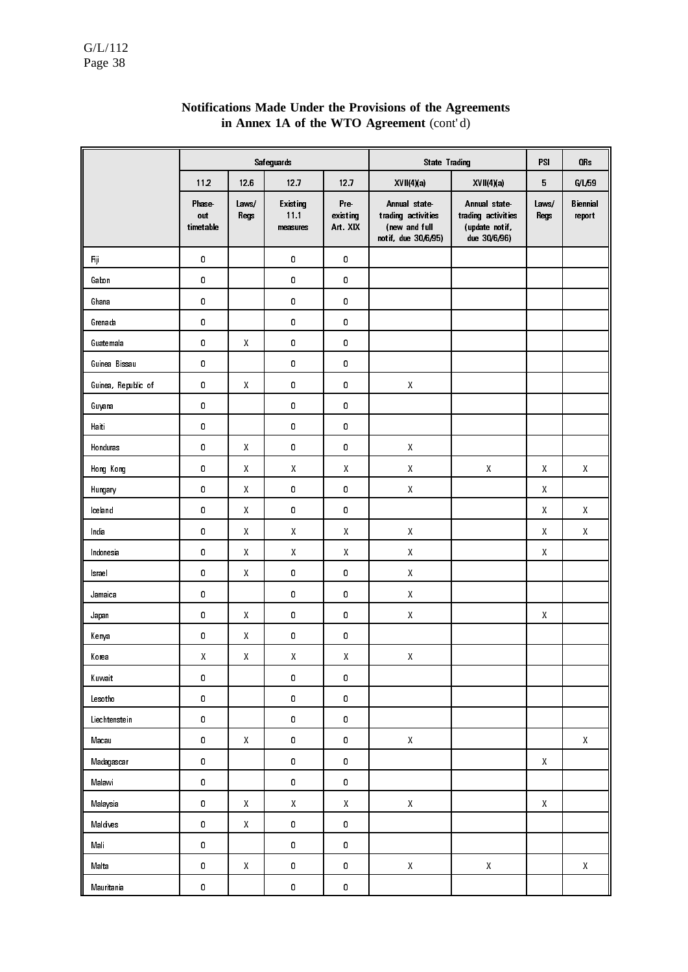|                     |                           |                                                     | Safeguards                                          |                             | <b>State Trading</b>                                                       |                                                                      | PSI                  | OR <sub>s</sub>                                     |
|---------------------|---------------------------|-----------------------------------------------------|-----------------------------------------------------|-----------------------------|----------------------------------------------------------------------------|----------------------------------------------------------------------|----------------------|-----------------------------------------------------|
|                     | 112                       | 12.6                                                | 12.7                                                | 12 <sub>7</sub>             | XVII(4)(a)                                                                 | XVII(4)(a)                                                           | 5                    | G/L/59                                              |
|                     | Phase<br>out<br>timetable | Laws/<br><b>Regs</b>                                | Existing<br>11.1<br>measures                        | Pre-<br>existing<br>Art XIX | Annual state<br>trading activities<br>(new and full<br>notif, due 30/6/95) | Annual state<br>trading activities<br>(update notif.<br>due 30/6/96) | Laws/<br><b>Regs</b> | <b>Biennial</b><br>report                           |
| Fiji                | 0                         |                                                     | 0                                                   | $\mathbf 0$                 |                                                                            |                                                                      |                      |                                                     |
| Gabon               | 0                         |                                                     | 0                                                   | 0                           |                                                                            |                                                                      |                      |                                                     |
| Ghana               | $\pmb{0}$                 |                                                     | 0                                                   | 0                           |                                                                            |                                                                      |                      |                                                     |
| Grenada             | 0                         |                                                     | 0                                                   | 0                           |                                                                            |                                                                      |                      |                                                     |
| Guatemala           | $\mathbf 0$               | $\mathsf{X}% _{0}^{\prime}=\mathsf{X}_{0}^{\prime}$ | 0                                                   | 0                           |                                                                            |                                                                      |                      |                                                     |
| Guinea Bissau       | 0                         |                                                     | 0                                                   | 0                           |                                                                            |                                                                      |                      |                                                     |
| Guinea, Republic of | $\pmb{0}$                 | $\mathsf{X}$                                        | 0                                                   | 0                           | $\pmb{\mathsf{X}}$                                                         |                                                                      |                      |                                                     |
| Guyana              | 0                         |                                                     | 0                                                   | $\pmb{0}$                   |                                                                            |                                                                      |                      |                                                     |
| Haiti               | $\pmb{0}$                 |                                                     | 0                                                   | 0                           |                                                                            |                                                                      |                      |                                                     |
| Honduras            | 0                         | $\pmb{\mathsf{X}}$                                  | 0                                                   | 0                           | $\pmb{\mathsf{X}}$                                                         |                                                                      |                      |                                                     |
| Hong Kong           | $\pmb{0}$                 | $\pmb{\mathsf{X}}$                                  | $\mathsf{X}$                                        | X                           | $\pmb{\mathsf{X}}$                                                         | $\mathsf{X}% _{0}^{\prime}=\mathsf{X}_{0}^{\prime}$                  | X                    | $\mathsf{X}% _{0}^{\prime}=\mathsf{X}_{0}^{\prime}$ |
| Hungary             | 0                         | $\pmb{\mathsf{X}}$                                  | 0                                                   | 0                           | $\pmb{\mathsf{X}}$                                                         |                                                                      | X                    |                                                     |
| lceland             | $\pmb{0}$                 | $\mathsf{X}% _{0}^{\prime}=\mathsf{X}_{0}^{\prime}$ | 0                                                   | $\pmb{0}$                   |                                                                            |                                                                      | X                    | $\mathsf{X}% _{0}^{\prime}=\mathsf{X}_{0}^{\prime}$ |
| India               | 0                         | X                                                   | X                                                   | Χ                           | $\pmb{\mathsf{X}}$                                                         |                                                                      | X                    | X                                                   |
| Indonesia           | $\pmb{0}$                 | X                                                   | X                                                   | Χ                           | $\pmb{\mathsf{X}}$                                                         |                                                                      | X                    |                                                     |
| Israel              | 0                         | $\mathsf{X}% _{0}^{\prime}=\mathsf{X}_{0}^{\prime}$ | 0                                                   | 0                           | $\pmb{\mathsf{X}}$                                                         |                                                                      |                      |                                                     |
| Jamaica             | $\pmb{0}$                 |                                                     | 0                                                   | $\pmb{0}$                   | $\pmb{\mathsf{X}}$                                                         |                                                                      |                      |                                                     |
| Japan               | 0                         | X                                                   | 0                                                   | 0                           | $\pmb{\mathsf{X}}$                                                         |                                                                      | Χ                    |                                                     |
| Kenya               | 0                         | X                                                   | 0                                                   | 0                           |                                                                            |                                                                      |                      |                                                     |
| Korea               | $\pmb{\mathsf{X}}$        | $\mathsf{X}% _{0}^{\prime}=\mathsf{X}_{0}^{\prime}$ | $\mathsf{X}% _{0}^{\prime}=\mathsf{X}_{0}^{\prime}$ | $\mathsf X$                 | $\mathsf X$                                                                |                                                                      |                      |                                                     |
| Kuwait              | $\pmb{0}$                 |                                                     | 0                                                   | 0                           |                                                                            |                                                                      |                      |                                                     |
| Lesotho             | $\pmb{0}$                 |                                                     | 0                                                   | $\pmb{0}$                   |                                                                            |                                                                      |                      |                                                     |
| Liechtenstein       | 0                         |                                                     | 0                                                   | 0                           |                                                                            |                                                                      |                      |                                                     |
| Macau               | $\pmb{0}$                 | X                                                   | 0                                                   | 0                           | Χ                                                                          |                                                                      |                      | $\mathsf{X}% _{0}^{\prime}=\mathsf{X}_{0}^{\prime}$ |
| Madagascar          | $\pmb{0}$                 |                                                     | 0                                                   | 0                           |                                                                            |                                                                      | Χ                    |                                                     |
| Malawi              | $\pmb{0}$                 |                                                     | 0                                                   | 0                           |                                                                            |                                                                      |                      |                                                     |
| Malaysia            | 0                         | $\pmb{\mathsf{X}}$                                  | $\mathsf{X}% _{0}^{\prime}=\mathsf{X}_{0}^{\prime}$ | $\pmb{\mathsf{X}}$          | $\pmb{\mathsf{X}}$                                                         |                                                                      | X                    |                                                     |
| Maldives            | $\pmb{0}$                 | $\pmb{\mathsf{X}}$                                  | 0                                                   | 0                           |                                                                            |                                                                      |                      |                                                     |
| Mali                | $\pmb{0}$                 |                                                     | 0                                                   | $\pmb{0}$                   |                                                                            |                                                                      |                      |                                                     |
| Malta               | $\pmb{0}$                 | $\pmb{\mathsf{X}}$                                  | 0                                                   | $\pmb{0}$                   | $\pmb{\mathsf{X}}$                                                         | $\mathsf{X}% _{0}^{\prime}=\mathsf{X}_{0}^{\prime}$                  |                      | $\mathsf{X}% _{0}^{\prime}=\mathsf{X}_{0}^{\prime}$ |
| Mauritania          | $\pmb{0}$                 |                                                     | 0                                                   | $\pmb{0}$                   |                                                                            |                                                                      |                      |                                                     |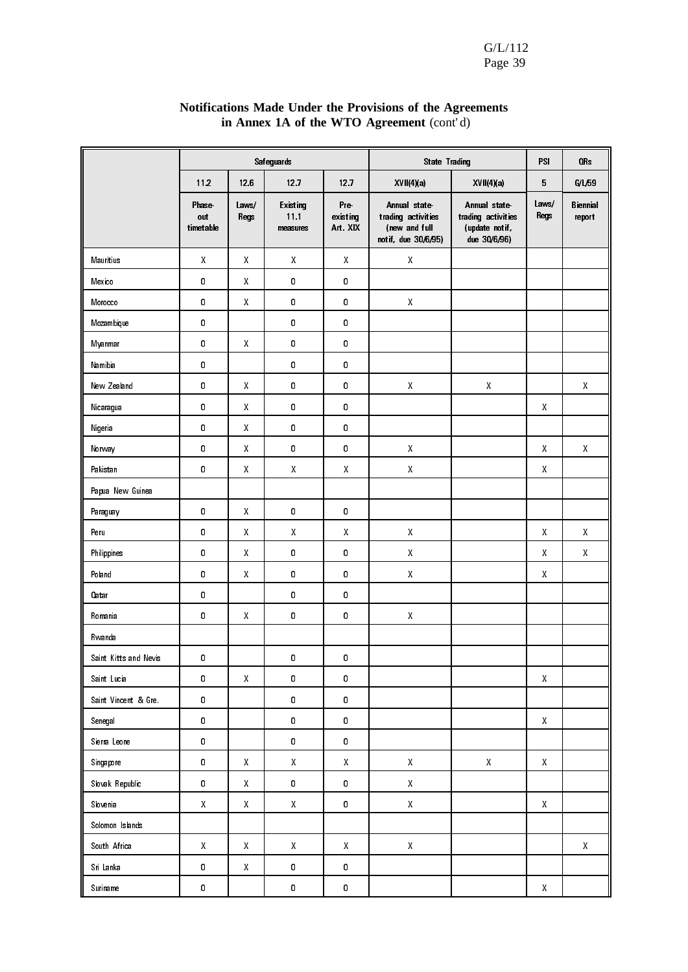|                       |                                  |                                                     | Safeguards                   |                                                     | <b>State Trading</b>                                                       |                                                                      | PS.                                                 | OR <sub>s</sub>                                     |
|-----------------------|----------------------------------|-----------------------------------------------------|------------------------------|-----------------------------------------------------|----------------------------------------------------------------------------|----------------------------------------------------------------------|-----------------------------------------------------|-----------------------------------------------------|
|                       | 112                              | 126                                                 | 12.7                         | 127                                                 | XVII(4)(a)                                                                 | XVII(4)(a)                                                           | 5                                                   | G/L/59                                              |
|                       | <b>Phase</b><br>out<br>timetable | Laws/<br><b>Regs</b>                                | Existing<br>11.1<br>measures | Pre<br>existing<br>Art XIX                          | Annual state<br>trading activities<br>(new and full<br>notif, due 30/6/95) | Annual state<br>trading activities<br>(update notif,<br>due 30/6/96) | Laws/<br>Regs                                       | Biennial<br>report                                  |
| Mauritius             | Χ                                | X                                                   | X                            | Χ                                                   | $\pmb{\mathsf{X}}$                                                         |                                                                      |                                                     |                                                     |
| Mexico                | 0                                | X                                                   | 0                            | $\pmb{0}$                                           |                                                                            |                                                                      |                                                     |                                                     |
| Morocco               | 0                                | X                                                   | 0                            | $\pmb{0}$                                           | $\pmb{\mathsf{X}}$                                                         |                                                                      |                                                     |                                                     |
| Mozambique            | 0                                |                                                     | 0                            | $\pmb{0}$                                           |                                                                            |                                                                      |                                                     |                                                     |
| Myanmar               | 0                                | X                                                   | 0                            | $\pmb{0}$                                           |                                                                            |                                                                      |                                                     |                                                     |
| Namibia               | 0                                |                                                     | 0                            | $\pmb{0}$                                           |                                                                            |                                                                      |                                                     |                                                     |
| New Zealand           | 0                                | Χ                                                   | 0                            | 0                                                   | Χ                                                                          | $\pmb{\mathsf{X}}$                                                   |                                                     | X                                                   |
| Nicaragua             | 0                                | X                                                   | 0                            | 0                                                   |                                                                            |                                                                      | X                                                   |                                                     |
| Nigeria               | 0                                | X                                                   | 0                            | 0                                                   |                                                                            |                                                                      |                                                     |                                                     |
| Norway                | 0                                | $\mathsf{X}% _{0}^{\prime}=\mathsf{X}_{0}^{\prime}$ | 0                            | $\pmb{0}$                                           | $\pmb{\mathsf{X}}$                                                         |                                                                      | $\mathsf{X}% _{0}^{\prime}=\mathsf{X}_{0}^{\prime}$ | Χ                                                   |
| Pakistan              | 0                                | $\mathsf{X}% _{0}^{\prime}=\mathsf{X}_{0}^{\prime}$ | X                            | $\pmb{\mathsf{X}}$                                  | $\pmb{\mathsf{X}}$                                                         |                                                                      | $\mathsf{X}% _{0}^{\prime}=\mathsf{X}_{0}^{\prime}$ |                                                     |
| Papua New Guinea      |                                  |                                                     |                              |                                                     |                                                                            |                                                                      |                                                     |                                                     |
| Paraguay              | 0                                | $\pmb{\chi}$                                        | 0                            | $\pmb{0}$                                           |                                                                            |                                                                      |                                                     |                                                     |
| Peru                  | 0                                | $\pmb{\mathsf{X}}$                                  | $\mathsf{X}$                 | $\pmb{\mathsf{X}}$                                  | $\pmb{\mathsf{X}}$                                                         |                                                                      | $\pmb{\mathsf{X}}$                                  | X                                                   |
| Philippines           | 0                                | $\pmb{\chi}$                                        | 0                            | 0                                                   | $\pmb{\chi}$                                                               |                                                                      | $\pmb{\mathsf{X}}$                                  | Χ                                                   |
| Poland                | 0                                | $\pmb{\chi}$                                        | 0                            | 0                                                   | $\pmb{\chi}$                                                               |                                                                      | $\mathsf{X}$                                        |                                                     |
| Oatar                 | 0                                |                                                     | 0                            | 0                                                   |                                                                            |                                                                      |                                                     |                                                     |
| Romania               | 0                                | Χ                                                   | 0                            | 0                                                   | $\pmb{\mathsf{X}}$                                                         |                                                                      |                                                     |                                                     |
| Rwanda                |                                  |                                                     |                              |                                                     |                                                                            |                                                                      |                                                     |                                                     |
| Saint Kitts and Nevis | 0                                |                                                     | 0                            | 0                                                   |                                                                            |                                                                      |                                                     |                                                     |
| Saint Lucia           | 0                                | $\pmb{\mathsf{X}}$                                  | 0                            | $\pmb{0}$                                           |                                                                            |                                                                      | $\mathsf{X}% _{0}$                                  |                                                     |
| Saint Vincent & Gre.  | 0                                |                                                     | 0                            | $\pmb{0}$                                           |                                                                            |                                                                      |                                                     |                                                     |
| Senegal               | 0                                |                                                     | 0                            | $\pmb{0}$                                           |                                                                            |                                                                      | $\mathsf{X}$                                        |                                                     |
| Sierra Leone          | 0                                |                                                     | 0                            | $\pmb{0}$                                           |                                                                            |                                                                      |                                                     |                                                     |
| Singapore             | 0                                | $\mathsf{X}% _{0}$                                  | $\mathsf X$                  | $\mathsf{X}% _{0}^{\prime}=\mathsf{X}_{0}^{\prime}$ | $\mathsf{X}% _{0}^{\prime}=\mathsf{X}_{0}^{\prime}$                        | $\mathsf{X}% _{0}$                                                   | $\mathsf{X}% _{0}$                                  |                                                     |
| Slovak Republic       | 0                                | $\mathsf{X}% _{0}^{\prime}=\mathsf{X}_{0}^{\prime}$ | 0                            | 0                                                   | $\mathsf{X}% _{0}^{\prime}=\mathsf{X}_{0}^{\prime}$                        |                                                                      |                                                     |                                                     |
| Slovenia              | Χ                                | $\mathsf{X}$                                        | $\mathsf{X}$                 | $\pmb{0}$                                           | $\mathsf{X}% _{0}^{\prime}=\mathsf{X}_{0}^{\prime}$                        |                                                                      | $\mathsf{X}% _{0}$                                  |                                                     |
| Solomon Islands       |                                  |                                                     |                              |                                                     |                                                                            |                                                                      |                                                     |                                                     |
| South Africa          | $\mathsf{X}$                     | $\mathsf{X}$                                        | $\mathsf{X}^-$               | $\mathsf{X}% _{0}$                                  | $\mathsf X$                                                                |                                                                      |                                                     | $\mathsf{X}% _{0}^{\prime}=\mathsf{X}_{0}^{\prime}$ |
| Sri Lanka             | 0                                | X                                                   | 0                            | 0                                                   |                                                                            |                                                                      |                                                     |                                                     |
| Suriname              | 0                                |                                                     | 0                            | 0                                                   |                                                                            |                                                                      | $\mathsf{X}$                                        |                                                     |